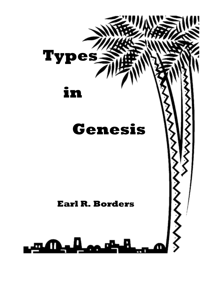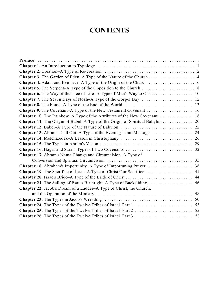# **CONTENTS**

| Chapter 7. The Seven Days of Noah-A Type of the Gospel Day  12                      |    |
|-------------------------------------------------------------------------------------|----|
|                                                                                     |    |
| <b>Chapter 9.</b> The Covenant-A Type of the New Testament Covenant  16             |    |
| Chapter 10. The Rainbow-A Type of the Attributes of the New Covenant  18            |    |
| <b>Chapter 11.</b> The Origin of Babel–A Type of the Origin of Spiritual Babylon 20 |    |
|                                                                                     |    |
| Chapter 13. Abram's Call Out-A Type of the Evening-Time Message  24                 |    |
|                                                                                     |    |
|                                                                                     |    |
|                                                                                     |    |
| Chapter 17. Abram's Name Change and Circumcision–A Type of                          |    |
|                                                                                     |    |
|                                                                                     |    |
| Chapter 19. The Sacrifice of Isaac-A Type of Christ Our Sacrifice  41               |    |
|                                                                                     |    |
| Chapter 21. The Selling of Esau's Birthright-A Type of Backsliding  46              |    |
| Chapter 22. Jacob's Dream of a Ladder-A Type of Christ, the Church,                 |    |
|                                                                                     | 48 |
|                                                                                     |    |
|                                                                                     |    |
|                                                                                     |    |
|                                                                                     |    |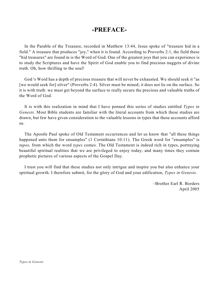# **-PREFACE-**

In the Parable of the Treasure, recorded in Matthew 13:44, Jesus spoke of "treasure hid in a field." A treasure that produces "joy," when it is found. According to Proverbs 2:1, the field these "hid treasures" are found in is the Word of God. One of the greatest joys that you can experience is to study the Scriptures and have the Spirit of God enable you to find precious nuggets of divine truth. Oh, how thrilling to the soul!

God 's Word has a depth of precious treasure that will never be exhausted. We should seek it "as [we would seek for] silver" (Proverbs 2:4). Silver must be mined; it does not lie on the surface. So it is with truth: we must get beyond the surface to really secure the precious and valuable truths of the Word of God.

It is with this realization in mind that I have penned this series of studies entitled *Types in Genesis*. Most Bible students are familiar with the literal accounts from which these studies are drawn, but few have given consideration to the valuable lessons in types that these accounts afford us.

The Apostle Paul spoke of Old Testament occurrences and let us know that "all these things happened unto them for ensamples" (1 Corinthians 10:11). The Greek word for "ensamples" is *tupos,* from which the word *types* comes. The Old Testament is indeed rich in types, portraying beautiful spiritual realities that we are privileged to enjoy today; and many times they contain prophetic pictures of various aspects of the Gospel Day.

I trust you will find that these studies not only intrigue and inspire you but also enhance your spiritual growth. I therefore submit, for the glory of God and your edification, *Types in Genesis*.

> –Brother Earl R. Borders April 2005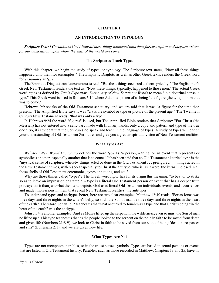# **AN INTRODUCTION TO TYPOLOGY**

<span id="page-3-0"></span>*Scripture Text: 1 Corinthians 10:11 Now all these things happened unto them for ensamples: and they are written for our admonition, upon whom the ends of the world are come.*

## **The Scriptures Teach Types**

With this chapter, we begin the study of types, or typology. The Scripture text states, "Now all these things happened unto them for ensamples." The Emphatic Diaglott, as well as other Greek texts, renders the Greek word for *ensamples* as *types*.

The Emphatic Diaglott translates our text to read: "But these things occurred to them typically." The Englishman's Greek New Testament renders the text as: "Now these things, typically, happened to those men." The actual Greek word *tupos* is defined by *Vine's Expository Dictionary of New Testament Words* to mean "in a doctrinal sense, a type." This Greek word is used in Romans 5:14 where Adam is spoken of as being "the figure [the type] of him that was to come."

Hebrews 9:9 speaks of the Old Testament sanctuary, and we are told that it was "a figure for the time then present." The Amplified Bible says it was "a visible symbol or type or picture of the present age." The Twentieth Century New Testament reads: "that was only a type."

In Hebrews 9:24 the word "figures" is used, but The Amplified Bible renders that Scripture: "For Christ (the Messiah) has not entered into a sanctuary made with [human] hands, only a copy and pattern and type of the true one." So, it is evident that the Scriptures do speak and teach in the language of types. A study of types will enrich your understanding of Old Testament Scriptures and give you a greater spiritual vision of New Testament realities.

### **What Types Are**

*Webster's New World Dictionary* defines the word *type* as "a person, a thing, or an event that represents or symbolizes another, especially another that is to come." It has been said that an Old Testament historical type is the "mystical sense of scripture, whereby things acted or done in the Old Testament . . . prefigured . . . things acted in the New Testament times, with respect especially to Christ the antitype, who is, as it were, the kernal inclosed in all those shells of Old Testament ceremonies, types or actions, and etc."

Why are those things called "types"? The Greek word *tupos* has for its origin this meaning: "to beat or to strike so as to leave an impression or stamp." A type is a literal Old Testament person or event that has a deeper truth portrayed in it than just what the literal depicts. God used literal Old Testament individuals, events, and occurrences and made impressions in them that reveal New Testament realities: the antitypes.

To understand types and antitypes better, here are two clear examples: Matthew 12:40 reads, "For as Jonas was three days and three nights in the whale's belly; so shall the Son of man be three days and three nights in the heart of the earth." Therefore, Jonah 1:17 teaches us that what occurred to Jonah was a type and that Christ's being "in the heart of the earth" was the antitype.

John 3:14 is another example: "And as Moses lifted up the serpent in the wilderness, even so must the Son of man be lifted up." This type teaches us that as the people looked to the serpent on the pole in faith to be saved from death and given life (Numbers 21:8-9), we look to Christ in faith to be saved from our state of being "dead in trespasses and sins" (Ephesians 2:1), and we are given new life.

#### **What Types Are Not**

Types are not metaphors, parables, or in the truest sense, symbols. Types are based in actual persons or events that are listed in Old Testament history. Parables, such as those recorded in Matthew, Chapters 13 and 25, have no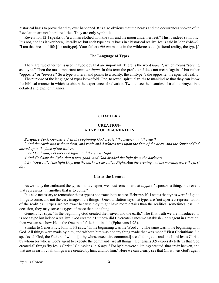<span id="page-4-0"></span>historical basis to prove that they ever happened. It is also obvious that the beasts and the occurrences spoken of in Revelation are not literal realities. They are only symbolic.

Revelation 12:1 speaks of "a woman clothed with the sun, and the moon under her feet." This is indeed symbolic. It is not, nor has it ever been, literally so; but each type has its basis in a historical reality. Jesus said in John 6:48-49: "I am that bread of life [the antitype]. Your fathers *did eat* manna in the wilderness . . . [a literal reality, the type]."

### **The Language of Types**

There are two other terms used in typology that are important. There is the word *typical*, which means "serving as a type." Then the most important term: *antitype.* In this term the prefix *anti* does not mean "against" but rather "opposite" or "reverse." So a type is literal and points to a reality; the antitype *is* the opposite, the spiritual reality.

The purpose of the language of types is twofold. One, to reveal spiritual truths to mankind so that they can know the biblical manner in which to obtain the experience of salvation. Two, to see the beauties of truth portrayed in a detailed and explicit manner.

### **CHAPTER 2**

# **CREATION– A TYPE OF RE-CREATION**

*Scripture Text: Genesis 1:1 In the beginning God created the heaven and the earth.*

*2 And the earth was without form, and void; and darkness was upon the face of the deep. And the Spirit of God moved upon the face of the waters.*

*3 And God said, Let there be light: and there was light.*

*4 And God saw the light, that it was good: and God divided the light from the darkness.*

*5 And God called the light Day, and the darkness he called Night. And the evening and the morning were the first day.*

### **Christ the Creator**

As we study the truths and the types in this chapter, we must remember that a *type* is "a person, a thing, or an event that represents . . . another that is to come."

It is also necessary to remember that a type is not exact in its nature. Hebrews 10:1 states that types were "of good things to come, and not the very image of the things." One translation says that types are "not a perfect representation of the realities." Types are not exact because they might have more details than the realities, sometimes less. On occasion, they may serve as types of more than one thing.

Genesis 1:1 says, "In the beginning God created the heaven and the earth." The first truth we are introduced to is not a type but indeed a reality: "God created." But how did He create? Once we establish God's agent in Creation, then we can see how He is the One that " filleth all in all" (Ephesians 1:23).

Similar to Genesis 1:1, John 1:1-3 says: "In the beginning was the Word . . . . The same was in the beginning with God. All things were made by him; and without him was not any thing made that was made." First Corinthians 8:6 speaks of "God, the Father, of whom [or by whose executive command] are all things . . . and one Lord Jesus Christ, by whom [or who is God's agent to execute the command] are all things." Ephesians 3:9 expressly tells us that God created all things "by Jesus Christ." Colossians 1:16 says, "For by him were all things created, that are in heaven, and that are in earth . . . all things were created by him, and for him." Here we can clearly see that Christ was God's agent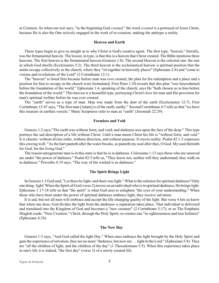in Creation. So when our text says, "in the beginning God *created,*" the word *created* is a portrayal of Jesus Christ, because He is also the One actively engaged in the work of re-creation, making the antitype a reality.

### **Heaven and Earth**

These types begin to give us insight as to why Christ is God's creative agent. The first type, "heaven," literally, was the firmamental heaven. The lesson, in type, is that this is a heaven that Christ created. The Bible mentions three heavens. The first heaven is the firmamental heaven (Genesis 1:8). The second Heaven is the celestial one–the one in which God dwells (Ecclesiastes 5:2). The third heaven is the ecclesiastical heaven–a spiritual position that the saints occupy collectively as the church, where they "sit together in heavenly places" (Ephesians 2:6) and "come to visions and revelations of the Lord" (2 Corinthians 12:1).

The "heaven" is listed first because before man was ever created, the plan for his redemption and a place and a position for him to occupy in the church were formulated. First Peter 1:20 reveals that this plan "was foreordained before the foundation of the world." Ephesians 1:4, speaking of the church, says He "hath chosen us in him before the foundation of the world." This heaven is a beautiful type, portraying Christ's love for man and His provision for man's spiritual welfare before he was ever created.

The "earth" serves as a type of man. Man was made from the dust of the earth (Ecclesiastes 12:7). First Corinthians 15:47 says, "The first man [Adam] is of the earth, earthy." Second Corinthians 4:7 tells us that "we have this treasure in earthen vessels." Many Scriptures refer to man as "earth" (Jeremiah 22:29).

### **Formless and Void**

Genesis 1:2 says,"The earth was without form, and void; and darkness was upon the face of the deep." This type portrays the sad description of a life without Christ. Until a man meets Christ his life is "without form, and void." It is chaotic–without divine order, without direction, and without purpose. It craves reality. Psalm 42:1-2 expresses this craving well: "As the hart panteth after the water brooks, so panteth my soul after thee, O God. My soul thirsteth for God, for the living God."

The reason unregenerate man is in this state is that he is in darkness. Colossians 1:13 says those who are unsaved are under "the power of darkness." Psalm 82:5 tells us, "They know not, neither will they understand; they walk on in darkness." Proverbs 4:19 says, "The way of the wicked is as darkness."

### **The Spirit Brings Light**

In Genesis 1:3 God said, "Let there be light: and there was light." What is the solution for spiritual darkness? Only one thing–light! When the Spirit of God (verse 2) moves on an individual who is in spiritual darkness, He brings light. Ephesians 1:17-18 tells us that "the spirit" is what God uses to enlighten "the eyes of your understanding." When those who have been under the power of spiritual darkness embrace light, they receive salvation.

It is sad, but not all men will embrace and accept the life-changing quality of the light. But verse 4 lets us know that when one does, God divides the light from the darkness–a separation takes place. That individual is delivered and translated into the Kingdom of God and becomes a "new creature" (2 Corinthians 5:17), or as The Emphatic Diaglott reads: "New Creation." Christ, through the Holy Spirit, re-creates one "in righteousness and true holiness" (Ephesians 4:24).

### **The New Day**

Genesis 1:5 says, "And God called the light Day." When ones embrace the light brought by the Holy Spirit and gain the experience of salvation, they are no more "darkness, but now are . . . light in the Lord." (Ephesians 5:8). They are "all the children of light, and the children of the day" (1 Thessalonians 5:5). When this experience takes place in one's life it is indeed, "the first day" (verse 5) of a newly created life.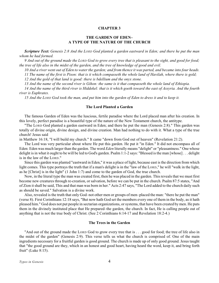# **THE GARDEN OF EDEN– A TYPE OF THE NATURE OF THE CHURCH**

<span id="page-6-0"></span>*Scripture Text: Genesis 2:8 And the LORD God planted a garden eastward in Eden; and there he put the man whom he had formed.*

*9 And out of the ground made the LORD God to grow every tree that is pleasant to the sight, and good for food; the tree of life also in the midst of the garden, and the tree of knowledge of good and evil.*

*10 And a river went out of Eden to water the garden; and from thence it was parted, and became into four heads.*

*11 The name of the first is Pison: that is it which compasseth the whole land of Havilah, where there is gold;*

*12 And the gold of that land is good: there is bdellium and the onyx stone.*

*13 And the name of the second river is Gihon: the same is it that compasseth the whole land of Ethiopia.*

*14 And the name of the third river is Hiddekel: that is it which goeth toward the east of Assyria. And the fourth river is Euphrates.*

*15 And the LORD God took the man, and put him into the garden of Eden to dress it and to keep it.*

### **The Lord Planted a Garden**

The famous Garden of Eden was the luscious, fertile paradise where the Lord placed man after his creation. In this lovely, perfect paradise is a beautiful type of the nature of the New Testament church, the antitype.

"The LORD God planted a garden eastward in Eden; and there he put the man (Genesis 2:8)." This garden was totally of divine origin, divine design, and divine creation. Man had nothing to do with it. What a type of the true church! Jesus said

in Matthew 16:18, "I will build my church." It came "down from God out of heaven" (Revelation 21:2).

The Lord was very particular about where He put this garden. He put it "in Eden." It did not encompass all of Eden: Eden was much larger than the garden. The word *Eden* literally means "delight" or "pleasantness." One whose delight is in what it ought to be will be led to God's garden. Psalm 1:1-2 says: "Blessed is the man [whose] . . . delight is in the law of the LORD."

Since this garden was planted "eastward in Eden," it was a place of light, because east is the direction from which light comes. This type portrays the truth that if a man's delight is in the "law of the LORD," he will "walk in the light, as he [Christ] is in the light" (1 John 1:7) and come to the garden of God, the true church.

Now, in the literal type the man was created first, then he was placed in the garden. This reveals that we must first become new creatures through re-creation, or salvation, before we can be put in the church. Psalm 87:5 states, "And of Zion it shall be said, This and that man was born in her." Acts 2:47 says, "The Lord added to the church daily such as should be saved." Salvation is a divine work.

Also, revealed is the truth that only God–not other men or groups of men–placed the man: "there he put the man" (verse 8). First Corinthians 12:18 says, "But now hath God set the members every one of them in the body, as it hath pleased him." God does not put people in sectarian organizations, or systems, that have been created by men. He puts them in the divinely instituted place that He prepared–the garden, the church. In fact, He is calling people out of anything that is not the true body of Christ. (See 2 Corinthians 6:14-17 and Revelation 18:2-4.)

### **The Trees in the Garden**

"And out of the ground made the LORD God to grow every tree that is . . . good for food; the tree of life also in the midst of the garden" (Genesis 2:9). This verse tells us what the church is comprised of. One of the main ingredients necessary for a fruitful garden is good ground. The church is made up of only good ground. Jesus taught that "the good ground are they, which in an honest and good heart, having heard the word, keep it, and bring forth fruit" (Luke 8:15).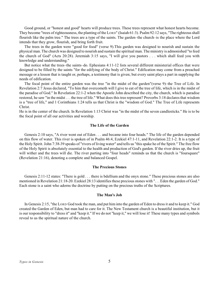Good ground, or "honest and good" hearts will produce trees. These trees represent what honest hearts become. They become "trees of righteousness, the planting of the LORD" (Isaiah 61:3). Psalm 92:12 says, "The righteous shall flourish like the palm tree." The trees are a type of the saints. The garden–the church–is the place where the Lord intends that they grow, flourish, and bring forth fruit.

The trees in the garden were "good for food" (verse 9).This garden was designed to nourish and sustain the physical man. The church was designed to nourish and sustain the spiritual man. The ministry is admonished "to feed the church of God" (Acts 20:28). Jeremiah 3:15 says, "I will give you pastors . . . which shall feed you with knowledge and understanding."

But notice what the trees–the saints–do. Ephesians 4:11-12 lists several different ministerial offices that were designed to be filled by the saints "for the edifying of the body of Christ." Edification may come from a preached message or a lesson that is taught or, perhaps, a testimony that is given; but every saint plays a part in supplying the needs of edification.

The focal point of the entire garden was the tree "in the midst of the garden"(verse 9)–the Tree of Life. In Revelation 2:7 Jesus declared, "To him that overcometh will I give to eat of the tree of life, which is in the midst of the paradise of God." In Revelation 22:1-2 when the Apostle John described the city, the church, which is paradise restored, he saw "in the midst . . . the tree of life." What does this tree represent? Proverbs 3:18 declares that wisdom is a "tree of life," and 1 Corinthians 1:24 tells us that Christ is the "wisdom of God." The Tree of Life represents Christ.

He is in the center of the church. In Revelation 1:13 Christ was "in the midst of the seven candlesticks." He is to be the focal point of all our activities and worship.

### **The Life of the Garden**

Genesis 2:10 says, "A river went out of Eden . . . and became into four heads." The life of the garden depended on this flow of water. This river is spoken of in Psalm 46:4, Ezekiel 47:1-11, and Revelation 22:1-2. It is a type of the Holy Spirit. John 7:38-39 speaks of "rivers of living water" and tells us "this spake he of the Spirit." The free flow of the Holy Spirit is absolutely essential to the health and production of God's garden. If the river dries up, the fruit will wither and the trees will die. The river parting into "four heads" reminds us that the church is "foursquare" (Revelation 21:16), denoting a complete and balanced Gospel.

### **The Precious Stones**

Genesis 2:11-12 states: "There is gold . . . there is bdellium and the onyx stone." These precious stones are also mentioned in Revelation 21:18-20. Ezekiel 28:13 identifies these precious stones with ". . . Eden the garden of God." Each stone is a saint who adorns the doctrine by putting on the precious truths of the Scriptures.

### **The Man's Job**

In Genesis 2:15, "the LORD God took the man, and put him into the garden of Eden to dress it and to keep it." God created the Garden of Eden, but man had to care for it. The New Testament church is a beautiful institution, but it is our responsibility to "dress it" and "keep it." If we do not "keep it," we will lose it! These many types and symbols reveal to us the spiritual nature of the church.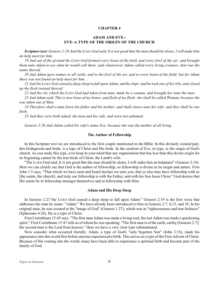# **ADAM AND EVE-- EVE–A TYPE OF THE ORIGIN OF THE CHURCH**

<span id="page-8-0"></span>*Scripture text: Genesis 2:18 And the LORD God said, It is not good that the man should be alone; I will make him an help meet for him.*

*19 And out of the ground the LORD God formed every beast of the field, and every fowl of the air; and brought them unto Adam to see what he would call them: and whatsoever Adam called every living creature, that was the name thereof.*

*20 And Adam gave names to all cattle, and to the fowl of the air, and to every beast of the field; but for Adam there was not found an help meet for him.*

*21 And the LORD God caused a deep sleep to fall upon Adam, and he slept: and he took one of his ribs, and closed up the flesh instead thereof;*

*22 And the rib, which the LORD God had taken from man, made he a woman, and brought her unto the man.*

*23 And Adam said, This is now bone of my bones, and flesh of my flesh: she shall be called Woman, because she was taken out of Man.*

*24 Therefore shall a man leave his father and his mother, and shall cleave unto his wife: and they shall be one flesh.*

*25 And they were both naked, the man and his wife, and were not ashamed.*

*Genesis 3:20 And Adam called his wife's name Eve; because she was the mother of all living.*

#### **The Author of Fellowship**

In this Scripture text we are introduced to the first couple mentioned in the Bible. In this divinely created pair, this bridegroom and bride, is a type of Christ and His bride. In the creation of Eve, in type, is the origin of God's church. As you study this type, ever keep in your mind that any organization that has less than this divine origin for its beginning cannot be the true bride of Christ, the Lamb's wife.

"The LORD God said, It is not good that the man should be alone; I will make him an helpmeet" (Genesis 2:18). Here we can clearly see that God is the author of fellowship; so fellowship is divine in its origin and nature. First John 1:3 says, "That which we have seen and heard declare we unto you, that ye also may have fellowship with us [the saints, the church]: and truly our fellowship is with the Father, and with his Son Jesus Christ." God desires that His saints be in fellowship amongst themselves and in fellowship with Him.

### **Adam and His Deep Sleep**

In Genesis 2:21"the LORD God caused a deep sleep to fall upon Adam." Genesis 2:19 is the first verse that addresses the man by name: "Adam." We have already been introduced to him in Genesis 2:7, 8,15, and 18. In his original state, he was created in the "image of God" (Genesis 1:27), which was in "righteousness and true holiness" (Ephesians 4:24). He is a type of Christ.

First Corinthians 15:45 says, "The first man Adam was made a living soul; the last Adam was made a quickening spirit." First Corinthians 15:47 tells us of whom he was speaking: "The first man is of the earth, earthy [Genesis 2:7]: the second man is the Lord from heaven." Here we have a very clear type substantiated.

Now consider what occurred literally. Adam, a type of God's "only begotten Son" (John 3:16), made his appearance into this world first before anyone experienced a birth. This serves as a type of the First Advent of Christ. Because of His coming into the world, many have been able to experience a spiritual birth and become part of the family of God.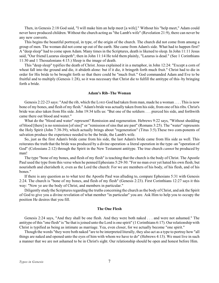Then, in Genesis 2:18 God said, "I will make him an help meet [a wife]." Without his "help meet," Adam could never have produced children. Without the church acting as "the Lamb's wife" (Revelation 21:9), there can never be any new converts.

This begins the beautiful portrayal, in type, of the origin of the church. The church did not come from among a group of men. The woman did not come up out of the earth. She came from Adam's side. What had to happen first? A "deep sleep" had to come upon Adam. Many times in the Scriptures, death is likened to sleep. In John 11:11 Jesus said, "Our friend Lazarus sleepeth"; then in John 11:14 He told them plainly, "Lazarus is dead." (See 1 Corinthians 11:30 and 1 Thessalonians 4:15.) Sleep is the image of death.

This "deep sleep" typifies the death of Christ. Jesus explained it in a metaphor, in John 12:24: "Except a corn of wheat fall into the ground and die, it abideth alone: but if it die, it bringeth forth much fruit." Christ had to die in order for His bride to be brought forth so that there could be "much fruit." God commanded Adam and Eve to be fruitful and to multiply (Genesis 1:28), so it was necessary that Christ die to fulfill the antitype of this–by bringing forth a bride.

### **Adam's Rib–The Woman**

Genesis 2:22-23 says: "And the rib, which the LORD God had taken from man, made he a woman . . . . This is now bone of my bones, and flesh of my flesh." Adam's bride was actually taken from his side, from one of his ribs. Christ's bride was also taken from His side. John 19:34 tells us: "But one of the soldiers . . . pierced his side, and forthwith came there out blood and water."

What do the "blood and water" represent? Remission and regeneration. Hebrews 9:22 says, "Without shedding of blood [there] is no remission [of sins]" or "remission of sins that are past" (Romans 3:25). The "water" represents the Holy Spirit (John 7:38-39), which actually brings about "regeneration" (Titus 3:5).These two com-ponents of salvation produce the experience needed to be the bride, the Lamb's wife.

So, just as the first Adam's bride came from his side, the last Adam's bride came from His side as well. This reiterates the truth that the bride was produced by a divine operation–a literal operation in the type–an "operation of God" (Colossians 2:12) through the Spirit in the New Testament antitype. The true church *cannot* be produced by man!

The type "bone of my bones, and flesh of my flesh" is teaching that the church is the body of Christ. The Apostle Paul used the type from this verse when he penned Ephesians 5:29-30: "For no man ever yet hated his own flesh; but nourisheth and cherisheth it, even as the Lord the church: For we are members of his body, of his flesh, and of his bones."

If there is any question as to what text the Apostle Paul was alluding to, compare Ephesians 5:31 with Genesis 2:24. The church is "bone of my bones, and flesh of my flesh" (Genesis 2:23). First Corinthians 12:27 says it this way: "Now ye are the body of Christ, and members in particular."

Diligently study the Scriptures regarding the truths concerning the church as the body of Christ, and ask the Spirit of God to give you a divine revelation of what member "in particular" you are. Ask Him to help you to occupy the position He desires that you fill.

#### **The One Flesh**

Genesis 2:24 says, "And they shall be one flesh. And they were both naked . . . and were not ashamed." The antitype of this "one flesh" is "he that is joined unto the Lord is one spirit" (1 Corinthians 6:17). Our relationship with Christ is typified as being as intimate as marriage. Yea, even closer, for we actually become "one spirit."

Though the words "they were both naked "are to be interpreted literally, they also act as a type to portray how "all things are naked and opened unto the eyes of him with whom we have to do" (Hebrews 4:13). We must live in such a manner that we are not ashamed to be in Christ's sight. Our relationship should be open and honest before Him.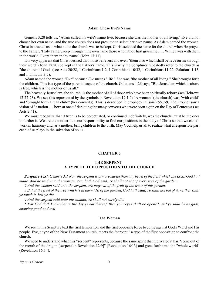### **Adam Chose Eve's Name**

<span id="page-10-0"></span>Genesis 3:20 tells us, "Adam called his wife's name Eve; because she was the mother of all living." Eve did not choose her own name, and the true church does not presume to select her own name. As Adam named the woman, Christ instructed us in what name the church was to be kept. Christ selected the name for the church when He prayed to the Father, "Holy Father, keep through thine own name those whom thou hast given me . . . . While I was with them in the world, I kept them in thy name" (John 17:11).

It is very apparent that Christ desired that those believers and even "them also which shall believe on me through their word" (John 17:20) be kept in the Father's name. This is why the Scriptures repeatedly refer to the church as "the church of God" (see Acts 20:28, 1 Corinthians 1:2, 1 Corinthians 10:32, 1 Corinthians 11:22, Galatians 1:13, and 1 Timothy 3:5).

Adam named the woman "Eve" because *Eve* means "life." She was "the mother of all living." She brought forth the children. This is a type of the parental aspect of the church. Galatians 4:26 says, "But Jerusalem which is above is free, which is the mother of us all."

The heavenly Jerusalem–the church–is the mother of all of those who have been spiritually reborn (see Hebrews 12:22-23). We see this represented by the symbols in Revelation 12:1-5: "A woman" (the church) was "with child" and "brought forth a man child" (her converts). This is described in prophecy in Isaiah 66:7-9. The Prophet saw a vision of "a nation . . . born at once," depicting the many converts who were born again on the Day of Pentecost (see Acts 2:41).

We must recognize that if truth is to be perpetuated, or continued indefinitely, we (the church) must be the ones to further it. We are the mother. It is our responsibility to find our positions in the body of Christ so that we can all work in harmony and, as a mother, bring children to the birth. May God help us all to realize what a responsible part each of us plays in the salvation of souls.

# **CHAPTER 5**

# **THE SERPENT– A TYPE OF THE OPPOSITION TO THE CHURCH**

*Scripture Text: Genesis 3:1 Now the serpent was more subtle than any beast of the field which the LORD God had made. And he said unto the woman, Yea, hath God said, Ye shall not eat of every tree of the garden?*

*2 And the woman said unto the serpent, We may eat of the fruit of the trees of the garden:*

*3 But of the fruit of the tree which is in the midst of the garden, God hath said, Ye shall not eat of it, neither shall ye touch it, lest ye die.*

*4 And the serpent said unto the woman, Ye shall not surely die:*

*5 For God doth know that in the day ye eat thereof, then your eyes shall be opened, and ye shall be as gods, knowing good and evil.*

### **The Woman**

We see in this Scripture text the first temptation and the first opposing force to come against God's Word and His people. Eve, a type of the New Testament church, meets the "serpent," a type of the first opposition to confront the church.

We need to understand what this "serpent" represents, because the same spirit that motivated it has "come out of the mouth of the dragon ['serpent' in Revelation 12:9]" (Revelation 16:13) and gone forth unto the "whole world" (Revelation 16:14).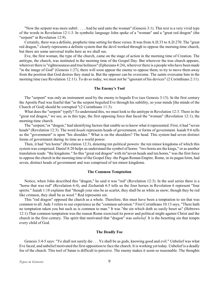"Now the serpent was more subtil . . . . And he said unto the woman" (Genesis 3:1). This text is a very vivid type of the words in Revelation 12:1-3. In symbolic language John spoke of a "woman" and a "great red dragon" (the "serpent" in Revelation 12:9).

Certainly, there was a definite, prophetic time setting for these verses. It was from A.D.33 to A.D.270. The "great red dragon," clearly represents a definite system that the devil worked through to oppose the morning-time church, but there are some universal truths here as we shall see.

Eve, the first woman, the type of the church, came on the stage of action in the morning time of Creation. The antitype, the church, was instituted in the morning time of the Gospel Day. But wherever the true church appears, wherever there is "righteousness and true holiness" (Ephesians 4:24), wherever there is a people who have been made "in the image of God" (Genesis 1:27), there will soon appear the enemy to oppose them, to try to move them away from the position that God desires they stand in. But the opposer can be overcome. The saints overcame him in the morning time (see Revelation 12:11). To do so today, we must not be "ignorant of his devices" (2 Corinthians 2:11).

### **The Enemy's Tool**

The "serpent" was only an instrument used by the enemy to beguile Eve (see Genesis 3:13). In the first century the Apostle Paul was fearful that "as the serpent beguiled Eve through his subtility, so your minds [the minds of the Church of God] should be corrupted "(2 Corinthians 11:3).

What does the "serpent" typify? To understand this, we must look to the antitype in Revelation 12:3. There in the "great red dragon," we see, as in this type, the first opposing force that faced the "woman" (Revelation 12:1), the morning-time church.

The "serpent,"or "dragon," had identifying factors that enable us to know what it represented. First, it had "seven heads" (Revelation 12:3). The word *heads* represents heads of government, or forms of government. Isaiah 9:6 tells us the "government" is upon "his shoulder." What is on the shoulders? The head. This system had seven distinct forms of government during its time as a world power.

Then, it had "ten horns" (Revelation 12:3), denoting ten political powers: the ten minor kingdoms of which this system was comprised. Daniel 8:20 helps us understand the symbol of horns: "two horns are the kings," or as another translation reads: "the kingdoms." So this "great red dragon" with its"seven heads and ten horns," was the first force to oppose the church in the morning time of the Gospel Day–the Pagan Roman Empire. Rome, in its pagan form, had seven, distinct heads of government and was comprised of ten minor kingdoms.

### **The Common Temptation**

Notice, when John described this "dragon," he said it was "red" (Revelation 12:3). In the seal series there is a "horse that was red" (Revelation 6:4), and Zechariah 6:5 tells us the four horses in Revelation 6 represent "four spirits." Isaiah 1:18 explains that "though your sins be as scarlet, they shall be as white as snow; though they be red like crimson, they shall be as wool." Red represents sin.

This "red dragon" opposed the church as a whole. Therefore, this must have been a temptation to sin that was common to all. Jude 3 refers to our experience as the "common salvation." First Corinthians 10:13 says, "There hath no temptation taken you but such as is common to man." It was "the sin which doth so easily beset us" (Hebrews 12:1).That common temptation was the reason Rome exercised its power and political might against Christ and the church in the first century. The spirit that motivated that "dragon" was *unbelief.* It is the besetting sin that tempts every child of God.

### **The Deadly Foe**

Genesis 3:4-5 says: "Ye shall not surely die . . . Ye shall be as gods, knowing good and evil." Unbelief was what Eve faced, and unbelief motivated the first opposition to face the church. It is working yet today. Unbelief is a deadly foe of the church. This tool of Satan is difficult to perceive. The enemy makes it seem so reasonable. The thoughts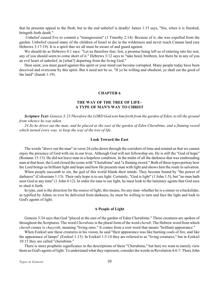<span id="page-12-0"></span>that he presents appeal to the flesh; but in the end unbelief is deadly! James 1:15 says, "Sin, when it is finished, bringeth forth death."

Unbelief caused Eve to commit a "transgression" (1 Timothy 2:14). Because of it, she was expelled from the garden. Unbelief caused many of the children of Israel to die in the wilderness and never reach Canaan land (see Hebrews 3:17-19). It is a spirit that we all must be aware of and guard against.

We should do as Hebrews 4:1 says: "Let us therefore fear, lest, a promise being left us of entering into his rest, any of you should seem to come short of it." Hebrews 3:12 says to "take heed, brethren, lest there be in any of you an evil heart of unbelief, in [what?] departing from the living God."

Dear saint, you must guard against this spirit or your mind can become corrupted. Many people today have been deceived and overcome by this spirit. But it need not be so. "If ye be willing and obedient, ye shall eat the good of the land" (Isaiah 1:19).

# **CHAPTER 6**

# **THE WAY OF THE TREE OF LIFE– A TYPE OF MAN'S WAY TO CHRIST**

*Scripture Text: Genesis 3:23 Therefore the LORD God sent him forth from the garden of Eden, to till the ground from whence he was taken.*

*24 So he drove out the man; and he placed at the east of the garden of Eden Cherubims, and a flaming sword which turned every way, to keep the way of the tree of life.*

# **Look Toward the East**

The words "drove out the man" in verse 24 echo down through the corridors of time and remind us that we cannot enjoy the presence of God with sin in our lives. Although God will not fellowship sin, He is still the "God of hope" (Romans 15:13). He did not leave man in a hopeless condition. In the midst of all the darkness that was enshrouding man at that hour, the Lord closed the scene with "Cherubims" and "a flaming sword." Both of these types portray how the Lord brings us brilliant light and hope and how He presents man with light and shows him the route to salvation.

When people succumb to sin, the god of this world blinds their minds. They become bound by "the power of darkness" (Colossians 1:13). Their only hope is to see light. Certainly, "God is light" (1 John 1:5), but "no man hath seen God at any time" (1 John 4:12). In order for man to see light, he must look to the luminary agents that God uses to shed it forth.

In type, east is the direction for the source of light; this means, for any man–whether he is a sinner or a backslider, as typified by Adam–to ever be delivered from darkness, he must be willing to turn and face the light and look to God's agents of light.

### **A People of Light**

Genesis 3:24 says that God "placed at the east of the garden of Eden Cherubims." These creatures are spoken of throughout the Scriptures. The word *Cherubims* is the plural form of the word *cherub*. The Hebrew word from which *cherub* comes is *chayyoth*, meaning "living ones." It comes from a root word that means "brilliant appearance."

When Ezekiel saw these creatures in his vision, he said "their appearance was like burning coals of fire, and like the appearance of lamps" (Ezekiel 1:13). In Ezekiel 1:5-14 they are referred to as "living creatures," but in Ezekiel 10:15 they are called "cherubims."

There is more prophetic significance in the descriptions of these "Cherubims," but here we want to merely view them as God's agents of light. To understand what they represent, consider the words in Revelation 4:6-7. There John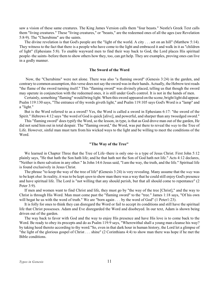saw a vision of these same creatures. The King James Version calls them "four beasts." Nestle's Greek Text calls them "living creatures." These "living creatures," or "beasts," are the redeemed ones of all the ages (see Revelation 5:8-9). The "Cherubims" are the saints.

The divine revelation is that God's people are the "light of the world. A city . . . set on an hill" (Matthew 5:14). They witness to the fact that there is a people who have come to the light and embraced it and walk in it as "children of light" (Ephesians 5:8). To enable wayward men to find their way back to God, the Lord places His spiritual people–the saints–before them to show others how they, too, can get help. They are examples, proving ones can live in a godly manner.

### **The Sword of the Word**

Now, the "Cherubims" were not alone. There was also "a flaming sword" (Genesis 3:24) in the garden, and contrary to common assumption, this verse does not say the sword was in their hands. Actually, the Hebrew text reads "the flame of the sword turning itself." This "flaming sword" was divinely placed, telling us that though the sword may operate in conjunction with the redeemed ones, it is still under God's control. It is not in the hands of men.

Certainly, something "flaming" would bring light. When this sword appeared on the scene, bright light did appear. Psalm 119:130 says, "The entrance of thy words giveth light," and Psalm 119:105 says God's Word is a "lamp" and a "light."

But is the Word referred to as a sword? Yes, the Word is called a sword in Ephesians 6:17: "the sword of the Spirit." Hebrews 4:12 says "the word of God is quick [alive], and powerful, and sharper than any twoedged sword."

This "flaming sword" does typify the Word, so the lesson, in type, is that as God drove man out of the garden, He did not send him out in total despair. The "flaming sword," the Word, was put there to reveal the *way* to the Tree of Life. However, sinful man must turn from his wicked ways to the light and be willing to meet the conditions of the Word.

### **"The Way of the Tree"**

We learned in Chapter Three that the Tree of Life–there is only one–is a type of Jesus Christ. First John 5:12 plainly says, "He that hath the Son hath life; and he that hath not the Son of God hath not life." Acts 4:12 declares, "Neither is there salvation in any other." In John 14:6 Jesus said, "I am the way, the truth, and the life." Spiritual life is found exclusively in Jesus Christ.

The phrase "to keep the way of the tree of life" **(**Genesis 3:24) is very revealing. Many assume that the *way* was to be kept *shut.* In reality, it was to be kept *open* to show man there was a way that he could still enjoy God's presence and have spiritual life. The Lord is "not willing that any should perish, but that all should come to repentance" (2 Peter 3:9).

If men and women want to find Christ and life, they must go by "the way of the tree [Christ]," and the way to Christ is through His Word. Man must come past the "flaming sword" to the "tree." James 1:18 says, "Of his own will begat he us with the word of truth." We are "born again . . . by the word of God" (1 Peter1:23).

It is folly for ones to think they can disregard the Word or fail to accept its conditions and still have the spiritual life that Christ possesses. Adam and Eve disregarded the Word and disobeyed. In our text, Adam is shown being driven out of the garden.

The way back to favor with God and the way to enjoy His presence and have His love is to come back to the Word. Be ready to obey its precepts and do as Psalm 119:9 says, "Wherewithal shall a young man cleanse his way? by taking heed thereto according to thy word."So, even in that dark hour in human history, the Lord let a glimpse of "the light of the glorious gospel of Christ . . . shine" (2 Corinthians 4:4) to show man there was hope if he met the Bible conditions.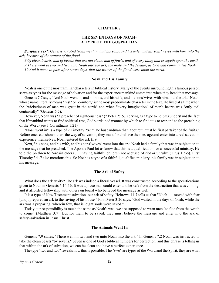# **THE SEVEN DAYS OF NOAH– A TYPE OF THE GOSPEL DAY**

<span id="page-14-0"></span>*Scripture Text: Genesis 7:7 And Noah went in, and his sons, and his wife, and his sons' wives with him, into the ark, because of the waters of the flood.*

*8 Of clean beasts, and of beasts that are not clean, and of fowls, and of every thing that creepeth upon the earth, 9 There went in two and two unto Noah into the ark, the male and the female, as God had commanded Noah. 10 And it came to pass after seven days, that the waters of the flood were upon the earth.*

### **Noah and His Family**

Noah is one of the most familiar characters in biblical history. Many of the events surrounding this famous person serve as types for the message of salvation and for the experience mankind enters into when they heed that message.

Genesis 7:7 says, "And Noah went in, and his sons, and his wife, and his sons' wives with him, into the ark." Noah, whose name literally means "rest" or "comfort," is the most predominate character in the text. He lived at a time when the "wickedness of man was great in the earth" and when "every imagination" of men's hearts was "only evil continually" (Genesis 6:5).

However, Noah was "a preacher of righteousness" (2 Peter 2:15), serving as a type to help us understand the fact that if mankind wants to find spiritual rest, God's ordained manner by which to find it is to respond to the preaching of the Word (see 1 Corinthians 1:21).

"Noah went in" is a type of 2 Timothy 2:6: "The husbandman that laboureth must be first partaker of the fruits." Before ones can show others the way of salvation, they must first believe the message and enter into a real salvation experience themselves. Noah entered the ark first.

Next, "his sons, and his wife, and his sons' wives" went into the ark. Noah had a family that was in subjection to the message that he preached. The Apostle Paul let us know that this is a qualification for a successful ministry. He told the brethren to "ordain elders . . . having faithful children not accused of riot or unruly" (Titus 1:5-6). First Timothy 3:1-7 also mentions this. So Noah is a type of a faithful, qualified ministry–his family was in subjection to his message.

### **The Ark of Safety**

What does the ark typify? The ark was indeed a literal vessel. It was constructed according to the specifications given to Noah in Genesis 6:14-16. It was a place man could enter and be safe from the destruction that was coming, and it afforded fellowship with others on board who believed the message as well.

It is a type of New Testament salvation–our ark of safety. Hebrews 11:7 tells us that "Noah . . . moved with fear [and], prepared an ark to the saving of his house." First Peter 3:20 says, "God waited in the days of Noah, while the ark was a preparing, wherein few, that is, eight souls were saved."

Today our responsibility is much the same as Noah's was: we are supposed to warn men "to flee from the wrath to come" (Matthew 3:7). But for them to be saved, they must believe the message and enter into the ark of safety–salvation in Jesus Christ.

### **The Animals Went In**

Genesis 7:9 states, "There went in two and two unto Noah into the ark." In Genesis 7:2 Noah was instructed to take the clean beasts "by sevens." Seven is one of God's biblical numbers for perfection, and this phrase is telling us that within the ark of salvation, we can be clean and have a perfect experience.

The type "two and two" reveals how this is possible. The "two" are types of the Word and the Spirit, they are what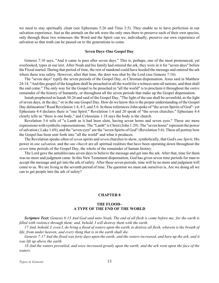<span id="page-15-0"></span>we need to stay spiritually clean (see Ephesians 5:26 and Titus 3:5). They enable us to have perfection in our salvation experience. Just as the animals on the ark were the only ones there to preserve each of their own species, only through these two witnesses–the Word and the Spirit–can we, individually, preserve our own experience of salvation so that truth can be passed on to the generations to come.

### **Seven Days–One Gospel Day**

Genesis 7:10 says, "And it came to pass after seven days." This is, perhaps, one of the most pronounced, yet overlooked, types in our text. After Noah and his family had entered the ark, they were in it for "seven days" before the Flood started. During that period of time, the rest of mankind could have heeded the message and entered the ark where there was safety. However, after that time, the door was shut by the Lord (see Genesis 7:16).

The "seven days" typify the seven periods of the Gospel Day, or Christian dispensation. Jesus said in Matthew 24:14, "And this gospel of the kingdom shall be preached in all the world for a witness unto all nations; and then shall the end come." The only way for the Gospel to be preached in "all the world" is to proclaim it throughout the *entire* remainder of the history of humanity, or throughout all the seven periods that make up the Gospel dispensation.

Isaiah prophesied in Isaiah 30:26 and said of the Gospel Day, "The light of the sun shall be sevenfold, as the light of seven days, in the day," or in the one Gospel Day. How do we know this is the proper understanding of the Gospel Day delineation? Read Revelation 1:4, 4:5, and 5:6. In these references John spoke of "the seven Spirits of God"–yet Ephesians 4:4 declares there is "one Spirit." Revelation 1:4 and 20 speak of "the seven churches." Ephesians 4:4 clearly tells us "there is one body," and Colossians 1:18 says the body is the church.

Revelation 5:6 tells of "a Lamb as it had been slain, having seven horns and seven eyes." These are more expressions with symbolic representations. The "Lamb" is Christ (John 1:29). The "seven horns" represent the power of salvation ( Luke 1:69), and the "seven eyes" are the "seven Spirits of God" (Revelation 5:6). These all portray how the Gospel has been sent forth into "all the world" and what it produces.

The Revelation speaks often of *seven* spirits and *seven* churches to show, symbolically, that God's *one Spirit,* His power in *one salvation,* and the *one church* are all spiritual realities that have been operating down throughout the *seven* time periods of the Gospel Day, the whole of the remainder of human history.

The Lord gave the antediluvians seven days to believe the message and get into the ark. After that, time for them was no more and judgment came. In this New Testament dispensation, God has given seven time periods for man to accept the message and get into the ark of safety. After these seven periods, time will be no more and judgment will come to us. We are living in the seventh period of time. The question we must ask ourselves is, Are we doing all we can to get people into the ark of safety?

### **CHAPTER 8**

# **THE FLOOD– A TYPE OF THE END OF THE WORLD**

*Scripture Text: Genesis 6:13 And God said unto Noah, The end of all flesh is come before me; for the earth is filled with violence through them; and, behold, I will destroy them with the earth.*

*17 And, behold, I, even I, do bring a flood of waters upon the earth, to destroy all flesh, wherein is the breath of life, from under heaven; and every thing that is in the earth shall die.*

*Genesis 7:17 And the flood was forty days upon the earth; and the waters increased, and bare up the ark, and it was lift up above the earth.*

*18 And the waters prevailed, and were increased greatly upon the earth; and the ark went upon the face of the waters.*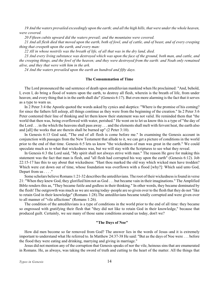*19 And the waters prevailed exceedingly upon the earth; and all the high hills, that were under the whole heaven, were covered.*

*20 Fifteen cubits upward did the waters prevail; and the mountains were covered.*

*21 And all flesh died that moved upon the earth, both of fowl, and of cattle, and of beast, and of every creeping thing that creepeth upon the earth, and every man:*

*22 All in whose nostrils was the breath of life, of all that was in the dry land, died.*

*23 And every living substance was destroyed which was upon the face of the ground, both man, and cattle, and the creeping things, and the fowl of the heaven; and they were destroyed from the earth: and Noah only remained alive, and they that were with him in the ark.*

*24 And the waters prevailed upon the earth an hundred and fifty days.*

### **The Consummation of Time**

The Lord pronounced the sad sentence of death upon antediluvian mankind when He proclaimed: "And, behold, I, even I, do bring a flood of waters upon the earth, to destroy all flesh, wherein is the breath of life, from under heaven; and every thing that is in the earth shall die" (Genesis 6:17). But even more alarming is the fact that it serves as a type to warn us.

In 2 Peter 3:4 the Apostle quoted the words asked by cynics and skeptics: "Where is the promise of his coming? for since the fathers fell asleep, all things continue as they were from the beginning of the creation." In 2 Peter 3:6 Peter contested their line of thinking and let them know their statement was not valid. He reminded them that "the world that then was, being overflowed with water, perished." He went on to let us know this is a type of "the day of the Lord . . . in the which the heavens shall pass away . . . and the elements shall melt with fervent heat, the earth also and [all] the works that are therein shall be burned up" (2 Peter 3:10).

In Genesis 6:13 God said, "The end of all flesh is come before me." In examining the Genesis account in conjunction with passages from the New Testament that allude to it, we can get a picture of conditions in the world prior to the end of that time. Genesis 6:5 lets us know "the wickedness of man was great in the earth." We could speculate much as to what that wickedness was, but we will stay with the Scriptures to see what they reveal.

In Genesis 6:3 the Lord said, "My spirit shall not always strive with man." The reason He gave for making this statement was the fact that man is flesh, and "all flesh had corrupted his way upon the earth" (Genesis 6:12). Job 22:15-17 has this to say about that wickedness: "Hast thou marked the old way which wicked men have trodden? Which were cut down out of time, whose foundation was overflown with a flood [why?]: Which said unto God, Depart from us . . . . "

Some scholars believe Romans 1:21-32 describes the antediluvians. The root of their wickedness is found in verse 21: "When they knew God, they glorified him not as God . . . but became vain in their imaginations." The Amplified Bible renders this as, "They became futile and godless in their thinking." In other words, they became dominated by the flesh! The outgrowth was much as we are seeing today–people are so given over to the flesh that they do not "like to retain God in their knowledge" (Romans 1:28).The antediluvians became totally corrupted and were given over to all manner of "vile affections" (Romans 1:26).

The condition of the antediluvians is a type of conditions in the world prior to the end of all time: they became so engrossed with gratifying their flesh that "they did not like to retain God in their knowledge," because that produced guilt. Certainly, we see many of those same conditions around us today, don't we?

### **"The Days of Noe"**

How did men become so far removed from God? The answer lies in the words of Jesus–and it is extremely important to understand what He referred to. In Matthew 24:37-38 He said: "But as the days of Noe were . . . before the flood they were eating and drinking, marrying and giving in marriage."

Jesus did not mention any of the corruption that Genesis speaks of nor the vile, heinous sins that are enumerated in Romans. He, as always, was taking the sword of truth and cutting to the heart of the matter. All the things that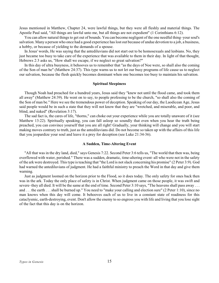Jesus mentioned in Matthew, Chapter 24, were lawful things, but they were all fleshly and material things. The Apostle Paul said, "All things are lawful unto me, but all things are not expedient" (1 Corinthians 6:12).

You can allow natural things to get out of bounds. You can become negligent of the one needful thing–your soul's salvation. Many a person who once had a good experience has lost out because of undue devotion to a job, a business, a hobby, or because of yielding to the demands of a spouse.

In Jesus' words, He was saying that the antediluvians did not start out to be homosexuals and lesbians. No, they just became too busy to take care of the experience that was available to them in their day. In light of that thought, Hebrews 2:3 asks us, "How shall we escape, if we neglect so great salvation?"

In this day of ultra busyness, it behooves us to remember that "as the days of Noe were, so shall also the coming of the Son of man be" (Matthew 24:37). This type warns us to not let our busy programs of life cause us to neglect our salvation, because the flesh quickly becomes dominant when one becomes too busy to maintain his salvation.

#### **Spiritual Sleepiness**

Though Noah had preached for a hundred years, Jesus said they "knew not until the flood came, and took them all away" (Matthew 24:39). He went on to say, to people professing to be the church, "so shall also the coming of the Son of man be." Here we see the tremendous power of deception. Speaking of our day, the Laodicean Age, Jesus said people would be in such a state that they will not know that they are "wretched, and miserable, and poor, and blind, and naked" (Revelation 3:17).

The sad fact is, the cares of life, "thorns," can choke out your experience while you are totally unaware of it (see Matthew 13:22). Spiritually speaking, you can fall asleep so soundly that even when you hear the truth being preached, you can convince yourself that you are all right! Gradually, your thinking will change and you will start making moves contrary to truth, just as the antediluvians did. Do not become so taken up with the affairs of this life that you jeopardize your soul and leave it a prey for deception (see Luke 21:34-36).

#### **A Sudden, Time-Altering Event**

"All that was in the dry land, died," says Genesis 7:22. Second Peter 3:6 tells us, "The world that then was, being overflowed with water, perished." There was a sudden, dramatic, time-altering event–all who were not in the safety of the ark were destroyed. This type is teaching that "the Lord is not slack concerning his promise" (2 Peter 3:9). God had warned the antediluvians of judgment. He had a faithful ministry to preach the Word in that day and give them warning.

Just as judgment loomed on the horizon prior to the Flood, so it does today. The only safety for ones back then was in the ark. Today the only place of safety is in Christ. When judgment came on those people, it was swift and severe–they all died. It will be the same at the end of time. Second Peter 3:10 says, "The heavens shall pass away . . . and . . . the earth . . . shall be burned up." You need to "make your calling and election sure" (2 Peter 1:10), since no man knows when this day will come. It behooves each of us to live in a constant state of readiness for this cataclysmic, earth-destroying, event. Don't allow the enemy to so engross you with life and living that you lose sight of the fact that this day is on the horizon.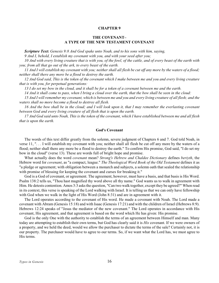# **THE COVENANT– A TYPE OF THE NEW TESTAMENT COVENANT**

<span id="page-18-0"></span>*Scripture Text: Genesis 9:8 And God spake unto Noah, and to his sons with him, saying,*

*9 And I, behold, I establish my covenant with you, and with your seed after you;*

*10 And with every living creature that is with you, of the fowl, of the cattle, and of every beast of the earth with you; from all that go out of the ark, to every beast of the earth.*

*11 And I will establish my covenant with you; neither shall all flesh be cut off any more by the waters of a flood; neither shall there any more be a flood to destroy the earth.*

*12 And God said, This is the token of the covenant which I make between me and you and every living creature that is with you, for perpetual generations:*

*13 I do set my bow in the cloud, and it shall be for a token of a covenant between me and the earth.*

*14 And it shall come to pass, when I bring a cloud over the earth, that the bow shall be seen in the cloud:*

*15 And I will remember my covenant, which is between me and you and every living creature of all flesh; and the waters shall no more become a flood to destroy all flesh.*

16 And the bow shall be in the cloud; and I will look upon it, that I may remember the everlasting covenant *between God and every living creature of all flesh that is upon the earth.*

*17 And God said unto Noah, This is the token of the covenant, which I have established between me and all flesh that is upon the earth.*

### **God's Covenant**

The words of this text differ greatly from the solemn, severe judgment of Chapters 6 and 7. God told Noah, in verse 11, ". . . I will establish my covenant with you; neither shall all flesh be cut off any more by the waters of a flood; neither shall there any more be a flood to destroy the earth." To confirm His promise, God said, "I do set my bow in the cloud" (verse 13). These are words full of bright hope and promise.

What actually does the word *covenant* mean? *Strong's Hebrew and Chaldee Dictionary* defines *beriyth*, the Hebrew word for *covenant*, as "a compact, league." *The Theological Word Book of the Old Testament* defines it as "a pledge or agreement; with obligation between a monarch and subjects, a solemn oath that sealed the relationship with promise of blessing for keeping the covenant and curses for breaking it."

God is a God of covenant, or agreement. The agreement, however, must have a basis, and that basis is His Word. Psalm 138:2 tells us, "Thou hast magnified thy word above all thy name." God wants us to walk in agreement with Him. He detests contention. Amos 3:3 asks the question, "Can two walk together, except they be agreed?" When read in its context, this verse is speaking of the Lord walking with Israel. It is telling us that we can only have fellowship with God when we walk in the light of His Word (John 8:31) and are in agreement with it.

The Lord operates according to the covenant of His word. He made a covenant with Noah. The Lord made a covenant with Abram (Genesis 15:18) and with Isaac (Genesis 17:21) and with the children of Israel (Hebrews 8:9). Hebrews 12:24 speaks of "Jesus the mediator of the new covenant." The Lord operates in accordance with His covenant, His agreement, and that agreement is based on the word which He has given: His promise.

God is the only One with the authority to establish the terms of an agreement between Himself and man. Many today are attempting to establish their own terms, but God has clearly said it is *His* covenant. If we were owners of a property, and we held the deed, would we allow the purchaser to dictate the terms of the sale? Certainly not, it is our property. The purchaser would have to agree to our terms. So, if we want what the Lord has, we must agree to His terms.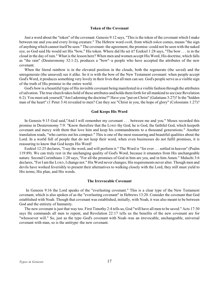## **Token of the Covenant**

Just a word about the "token" of the covenant. Genesis 9:12 says, "This is the token of the covenant which I make between me and you and every living creature." The Hebrew word *owth*, from which *token* comes, means "the sign of anything which cannot itself be seen." The covenant–the agreement, the promise–could not be seen with the naked eye, so God said He would set His "bow," His token. Where did He set it? Ezekiel 1:28 says, "The bow . . . is in the cloud in the day of rain." What is the lesson here? When men and women accept His Word, His doctrine, which falls as "the rain" (Deuteronomy 32:1-2), produces a "bow"–a people who have accepted the attributes of the new covenant.

When the literal rainbow is in the elevated position in the clouds, both the regenerate (the saved) and the unregenerate (the unsaved) see it alike. So it is with the bow of the New Testament covenant: when people accept God's Word, it produces something very lovely in their lives that all men can see. God's people serve as a visible sign of the truth of His promise to the entire world.

God's bow is a beautiful type of His invisible covenant being manifested in a visible fashion through the attributes of salvation. The true church takes hold of these attributes and holds them forth for all mankind to see (see Revelation 6:2). You must ask yourself,"Am I adorning the doctrine?" Have you "put on Christ" (Galatians 3:27)? Is the "hidden man of the heart" (1 Peter 3:4) revealed to men? Can they see "Christ in you, the hope of glory" (Colossians 1:27)?

### **God Keeps His Word**

In Genesis 9:15 God said,"And I will remember my covenant . . . between me and you." Moses recorded this promise in Deuteronomy 7:9: "Know therefore that the LORD thy God, he is God, the faithful God, which keepeth covenant and mercy with them that love him and keep his commandments to a thousand generations." Another translation reads, "who carries out his compact." This is one of the most reassuring and beautiful qualities about the Lord. In a world full of people that do not keep their word, when even businesses do not fulfil promises, it is reassuring to know that God keeps His Word!

Ezekiel 12:25 declares, "I say the word, and will perform it." The Word is "for ever . . . settled in heaven" (Psalm 119:89). We can truly rest in the unchanging quality of God's Word, because it emanates from His unchangeable nature. Second Corinthians 1:20 says, "For all the promises of God in him are yea, and in him Amen." Malachi 3:6 declares, "For I am the LORD, I change not." His Word never changes; His requirements never alter. Though men and devils have worked feverishly to present their alternatives to walking closely with the Lord, they still must yield to His terms, His plan, and His words.

### **The Irrevocable Covenant**

 In Genesis 9:16 the Lord speaks of the "everlasting covenant." This is a clear type of the New Testament covenant, which is also spoken of as the "everlasting covenant" in Hebrews 13:20. Consider the covenant that God established with Noah. Though that covenant was established, initially, with Noah, it was also meant to be between God and the entirety of humanity.

The new covenant is just that way too. First Timothy 2:4 tells us, God "will have all men to be saved." Acts 17:30 says He commands all men to repent, and Revelation 22:17 tells us the benefits of the new covenant are for "whosoever will." So, just as the type–God's covenant with Noah–was an irrevocable, unchangeable, universal covenant with man, so is the antitype–the new covenant.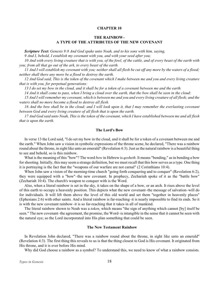# **THE RAINBOW– A TYPE OF THE ATTRIBUTES OF THE NEW COVENANT**

<span id="page-20-0"></span>*Scripture Text: Genesis 9:8 And God spake unto Noah, and to his sons with him, saying,*

*9 And I, behold, I establish my covenant with you, and with your seed after you;*

*10 And with every living creature that is with you, of the fowl, of the cattle, and of every beast of the earth with you; from all that go out of the ark, to every beast of the earth.*

*11 And I will establish my covenant with you; neither shall all flesh be cut off any more by the waters of a flood; neither shall there any more be a flood to destroy the earth.*

*12 And God said, This is the token of the covenant which I make between me and you and every living creature that is with you, for perpetual generations:*

*13 I do set my bow in the cloud, and it shall be for a token of a covenant between me and the earth.*

*14 And it shall come to pass, when I bring a cloud over the earth, that the bow shall be seen in the cloud:*

*15 And I will remember my covenant, which is between me and you and every living creature of all flesh; and the waters shall no more become a flood to destroy all flesh.*

16 And the bow shall be in the cloud; and I will look upon it, that I may remember the everlasting covenant *between God and every living creature of all flesh that is upon the earth.*

*17 And God said unto Noah, This is the token of the covenant, which I have established between me and all flesh that is upon the earth.*

### **The Lord's Bow**

In verse 13 the Lord said, "I do set my bow in the cloud, and it shall be for a token of a covenant between me and the earth." When John saw a vision in symbolic expressions of the throne scene, he declared, "There was a rainbow round about the throne, in sight like unto an emerald" (Revelation 4:3). Just as the natural rainbow is a beautiful thing to see and behold, so is this rainbow.

What is the meaning of this "bow"? The word *bow* in Hebrew is *qesheth*. It means "bending," as in bending a bow for shooting. Initially, this may seem a strange definition, but we must recall that this bow serves as a type. One thing it is portraying is the fact that the "weapons of our warfare are not carnal" (2 Corinthians 10:4).

When John saw a vision of the morning-time church "going forth conquering and to conquer" (Revelation 6:2), they were equipped with a "bow"–the new covenant. In prophecy, Zechariah spoke of it as the "battle bow" (Zechariah 10:4). The church's weapon to conquer with is the Word.

Also, when a literal rainbow is set in the sky, it takes on the shape of a bow, or an arch. It rises above the level of this earth to occupy a heavenly position. This depicts what the new covenant–the message of salvation–will do for individuals. It will lift them above the level of this old world and set them "together in heavenly places" (Ephesians 2:6) with other saints. And a literal rainbow is far-reaching–it is nearly impossible to find its ends. So it is with the new covenant rainbow–it is so far-reaching that it takes in all of mankind.

The literal rainbow shown to Noah was a *token*, which means "the sign of anything which cannot [by] itself be seen." The new covenant–the agreement, the promise, the Word–is intangible in the sense that it cannot be seen with the natural eye; so the Lord incorporated into His plan something that could be seen.

### **The New Testament Rainbow**

In Revelation John declared, "There was a rainbow round about the throne, in sight like unto an emerald" (Revelation 4:3). The first thing this reveals to us is that the thing closest to God is His covenant. It originated from His throne, and it is ever before His mind.

Why did God choose a rainbow as a symbol? To understand this, we need to know of what a rainbow consists.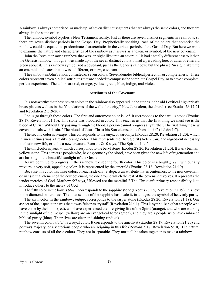A rainbow is always comprised, or made up, of seven distinct segments that are always the same colors, and they are always in the same order.

The rainbow symbol typifies a New Testament reality. Just as there are seven distinct segments in a rainbow, so there are seven distinct periods in the Gospel Day. Prophetically speaking, each of the colors that comprise the rainbow could be equated to predominate characteristics in the various periods of the Gospel Day. But here we want to examine the nature and characteristics of the rainbow as it serves as a token, or symbol, of the new covenant.

John the Revelator saw a rainbow that was "in sight like unto an emerald." It had a totally different cast to it than the Genesis rainbow: though it was made up of the seven distinct colors, it had a pervading hue, or aura, of emerald green about it. This rainbow symbolized a covenant, just as the Genesis rainbow; but the phrase "in sight like unto an emerald" indicates that it was a different, or new, covenant.

The rainbow in John's vision consisted of seven colors. (Seven denotes biblical perfection or completeness.) These colors represent seven biblical attributes that are needed to comprise the complete Gospel Day, or to have a complete, perfect experience. The colors are red, orange, yellow, green, blue, indigo, and violet.

### **Attributes of the Covenant**

It is noteworthy that these seven colors in the rainbow also appeared in the stones in the old Levitical high priest's breastplate as well as in the "foundations of the wall of the city," New Jerusalem, the church (see Exodus 28:17-21 and Revelation 21:19-20).

Let us go through these colors. The first and outermost color is *red.* It corresponds to the sardius stone (Exodus 28:17; Revelation 21:10). This stone was bloodred in color. This teaches us that the first thing we must see is the blood of Christ. Without first passing through the blood, a person cannot progress any further. The first thing the new covenant deals with is sin. "The blood of Jesus Christ his Son cleanseth us from all sin" (1 John 1:7).

The second color is *orange.* This corresponds to the onyx, or sardonyx (Exodus 28:20; Revelation 21:20), which in ancient times was a fire-like orange color. This represents the Holy Spirit (Acts 2:3-4), the ingredient necessary to obtain new life, or to be a new creature. Romans 8:10 says, "The Spirit is life."

The third color is *yellow,* which corresponds to the beryl stone (Exodus 28:20; Revelation 21:20). It was a brilliant yellow stone. This depicts a people who, having come by the blood, have been given the new life of regeneration and are basking in the beautiful sunlight of the Gospel.

As we continue to progress in the rainbow, we see the fourth color. This color is a bright *green,* without any mixture, a very soft, appealing color. It is represented by the emerald (Exodus 28:18; Revelation 21:19).

Because this color has three colors on each side of it, it depicts an attribute that is centermost to the new covenant, or an essential element of the new covenant, the one around which the rest of the covenant revolves. It represents the tender mercies of God. Matthew 5:7 says, "Blessed are the merciful." The Christian's primary responsibility is to introduce others to the mercy of God.

The fifth color in the bow is *blue.* It corresponds to the sapphire stone (Exodus 28:18; Revelation 21:19). It is next to the diamond in hardness. The intense blue of the sapphire has made it, in all ages, the symbol of heavenly purity.

The sixth color in the rainbow, *indigo*, corresponds to the jasper stone (Exodus 28:20; Revelation 21:19). One aspect of the jasper stone was that it was "clear as crystal" (Revelation 21:11). This is symbolizing that a people who have come by the blood (red), who have experienced the life-giving fire of the Spirit (orange), and who are walking in the sunlight of the Gospel (yellow) are an evangelical force (green); and they are a people who have embraced biblical purity (blue). Their lives are clear and shining (indigo).

The seventh color, *violet*, is a royal color. It corresponds to the amethyst (Exodus 28:19; Revelation 21:20) and portrays majesty, or a victorious people who are reigning in this life (Romans 5:17; Revelation 5:10). The natural rainbow consists of all these colors. They are inseparable. They must all be taken together to make a rainbow.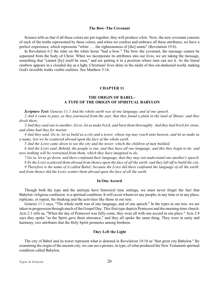### **The Bow–The Covenant**

<span id="page-22-0"></span>Science tells us that if all these colors are put together, they will produce *white.* Now, the new covenant consists of each of the truths represented by these colors*,* and when we confess and embrace all these attributes, we have a perfect experience, which represents "white . . . the righteousness of [the] saints" (Revelation 19:8).

In Revelation 6:2 the rider on the white horse "had a bow." The bow–the covenant, the message–cannot be separated from the body of Christ. When we incorporate its attributes into our lives, we are taking the message, something that "cannot [by] itself be seen," and are putting it in a position where men can see it. As the literal rainbow appears in a clouded sky as a light, Christians' lives shine in the midst of this sin-darkened world, making God's invisible truths visible realities. See Matthew 5:16.

# **CHAPTER 11**

# **THE ORIGIN OF BABEL– A TYPE OF THE ORIGIN OF SPIRITUAL BABYLON**

*Scripture Text: Genesis 11:1 And the whole earth was of one language, and of one speech.*

*2 And it came to pass, as they journeyed from the east, that they found a plain in the land of Shinar; and they dwelt there.*

*3 And they said one to another, Go to, let us make brick, and burn them thoroughly. And they had brick for stone, and slime had they for mortar.*

*4 And they said, Go to, let us build us a city and a tower, whose top may reach unto heaven; and let us make us a name, lest we be scattered abroad upon the face of the whole earth.*

*5 And the LORD came down to see the city and the tower, which the children of men builded.*

*6 And the LORD said, Behold, the people is one, and they have all one language; and this they begin to do: and now nothing will be restrained from them, which they have imagined to do.*

*7 Go to, let us go down, and there confound their language, that they may not understand one another's speech.*

*8 So the LORD scattered them abroad from thence upon the face of all the earth: and they left off to build the city.*

*9 Therefore is the name of it called Babel; because the LORD did there confound the language of all the earth: and from thence did the LORD scatter them abroad upon the face of all the earth.*

### **In One Accord**

Though both the type and the antitype have historical time settings, we must never forget the fact that Babylon–religious confusion–is a spiritual condition. It will occur whenever any people, in any time or in any place, replicate, or repeat, the thinking and the activities like those in our text.

Genesis 11:1 says, "The whole earth was of one language, and of one speech." In the types in our text, we are taken in progression through much of the Gospel Day. This first type depicts Pentecost and the morning-time church. Acts 2:1 tells us, "When the day of Pentecost was fully come, they were all with one accord in one place." Acts 2:4 says they spoke "as the Spirit gave them utterance," and they all spoke the same thing. They were in unity and harmony, two attributes that the Holy Spirit promotes among brethren.

### **They Left the Light**

The city of Babel and its tower represent what is denoted in Revelation 18:10 as "that great city Babylon." By examining the origin of the ancient city, we can see a picture, in type, of what produced the New Testament spiritual condition called Babylon.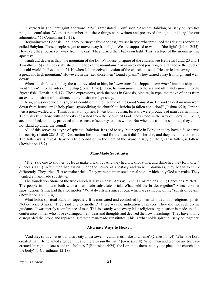In verse 9 in The Septuagint, the word *Babel* is translated "Confusion." Ancient Babylon, or Babylon, typifies religious confusion. We must remember that these things were written and preserved throughout history "for our admonition" (1 Corinthians 10:11).

Beginning with Genesis 11:2, "they journeyed from the east," we see in type what produced the religious condition called Babylon. Those people began to move away from light. We are supposed to walk in "the light" (John 12:35). However, they journeyed away from the east. They turned their backs on light. This is a type of the morning-time apostasy.

Isaiah 2:2 declares that "the mountain of the LORD'S house [a figure of the church; see Hebrews 12:22-23 and 1 Timothy 3:15] shall be established in the top of the mountains," or in an exalted position, one far above the level of this old world. In Revelation 21:10 when John received a vision of the church, he said, "He carried me away . . . to a great and high mountain." However, in the text, those men "found a plain." They turned away from light and went down!

When Jonah failed to obey the truth revealed to him, he "*went down*" to Joppa, "*went down*" into the ship, and went "*down*" into the sides of the ship (Jonah 1:3-5). Then, he *went down* into the sea and ultimately *down* into the "great fish" (Jonah 1:15-17). These expressions, with the ones in Genesis, picture, in type, the move of ones from an exalted position of obedience to the position of apostasy.

Also, Jesus described this type of condition in the Parable of the Good Samaritan. He said "a certain man went down from Jerusalem [a holy place, symbolizing the church] to Jericho [a fallen condition]" (Joshua 6:20). Jericho was a great-walled city. Think of what it typifies. It was built by man. Its walls were products of man's carnal mind. The walls kept those within the city separated from the people of God. They stood in the way of God's will being accomplished, and they provided a false sense of security to ones within. But when the trumpet sounded, they could not stand up under the sound!

All of this serves as a type of spiritual Babylon. It is sad to say, but people in Babylon today have a false sense of security (Isaiah 28:15-18). Destruction lies out ahead for them as it did for Jericho, and they are oblivious to it. The fallen walls reveal Babylon's true condition in the light of the Word: "Babylon the great is fallen, is fallen" (Revelation 18:2).

# **Man-Made Substitutes**

"They said one to another . . . let us make brick . . . . And they had brick for stone, and slime had they for morter" (Genesis 11:3). After men had fallen under the power of apostasy and were in darkness, they began to think differently. They cried, "Let *us* make brick." They were not interested in real stone, which only God can make. They wanted a man-made substitute.

The foundation Stone of the true church is Jesus Christ (Acts 4:11-12; 1 Corinthians 3:11; Ephesians 2:19-20). The people in our text built with a man-made substitute–brick. What held the bricks together? Slime–another substitution. "Slime had they for morter." What dwells in slime? Frogs, which are symbolic of the "spirits of devils" (Revelation 16:13-14).

What holds spiritual Babylon together? It is motivated and controlled by men with devilish, religious spirits. Notice verse 3 says, "They said one to another." There was no indication of prayer. They did not seek divine guidance. It was merely a conference of men. This is exactly what every false religious organization is made up of–a conference of men who have exchanged their ideas and thoughts and devised their own teachings. They have totally disregarded the Stone and replaced Him with man-made substitutes. This is what holds spiritual Babylon together.

#### **Alternate Ways to Heaven**

"And they said . . . let us build us a city and a tower . . . and let us make us a name" (Genesis 11:4). When the Lord created man, He "planted a garden . . . and there *he put* the man" (Genesis 2:8). When men and women are truly recreated "in righteousness and true holiness" (Ephesians 4:24), the Lord puts them in only one place–the church–"in the body" (1 Corinthians 12:18).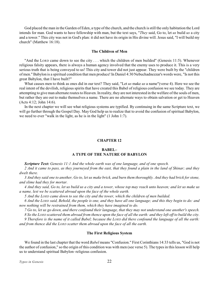<span id="page-24-0"></span>God placed the man in the Garden of Eden, a type of the church, and the church is still the only habitation the Lord intends for man. God wants to have fellowship with man, but the text says, "*They* said, Go to, let *us* build *us* a city and a tower." This city was not in God's plan: it did not have its origin in His divine will. Jesus said, "I will build my church" (Matthew 16:18).

### **The Children of Men**

"And the LORD came down to see the city . . . which the children of men builded" (Genesis 11:5). Whenever religious falsity appears, there is always a human agency involved that the enemy uses to produce it. This is a very serious truth that is being conveyed to us! This city and tower did not just appear. They were built by the "children of men." Babylon is a spiritual condition that men produce! In Daniel 4:30 Nebuchadnezzar's words were, "Is not this great Babylon, that I have built?"

What causes men to think as ones did in our text? They said, "Let *us* make *us* a name"(verse 4). Here we see the real intent of the devilish, religious spirits that have created this Babel of religious confusion we see today. They are attempting to give man alternate routes to Heaven. In reality, they are not interested in the welfare of the souls of men, but rather they are out to make themselves a name. There are no alternate ways to obtain salvation or get to Heaven (Acts 4:12; John 14:6).

In the next chapter we will see what religious systems are typified. By continuing in the same Scripture text, we will go further through the Gospel Day. May God help us to realize that to avoid the confusion of spiritual Babylon, we need to ever "walk in the light, as he is in the light" (1 John 1:7).

#### **CHAPTER 12**

# **BABEL– A TYPE OF THE NATURE OF BABYLON**

*Scripture Text: Genesis 11:1 And the whole earth was of one language, and of one speech.*

*2 And it came to pass, as they journeyed from the east, that they found a plain in the land of Shinar; and they dwelt there.*

*3 And they said one to another, Go to, let us make brick, and burn them thoroughly. And they had brick for stone, and slime had they for mortar.*

*4 And they said, Go to, let us build us a city and a tower, whose top may reach unto heaven; and let us make us a name, lest we be scattered abroad upon the face of the whole earth.*

*5 And the LORD came down to see the city and the tower, which the children of men builded.*

*6 And the LORD said, Behold, the people is one, and they have all one language; and this they begin to do: and now nothing will be restrained from them, which they have imagined to do.*

*7 Go to, let us go down, and there confound their language, that they may not understand one another's speech.*

*8 So the LORD scattered them abroad from thence upon the face of all the earth: and they left off to build the city.*

*9 Therefore is the name of it called Babel; because the LORD did there confound the language of all the earth: and from thence did the LORD scatter them abroad upon the face of all the earth.*

### **The First Religious System**

We found in the last chapter that the word *Babel* means "Confusion." First Corinthians 14:33 tells us, "God is not the author of confusion," so the origin of this condition was with men (see verse 5). The types in this lesson will help us to understand spiritual Babylon–religious confusion.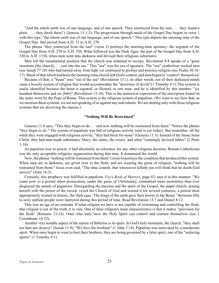"And the whole earth was of one language, and of one speech. They journeyed from the east, . . . they found a plain . . . ; they dwelt there" ( Genesis 11:1-2)**.** The progression through much of the Gospel Day begins in verse 1 with this type: "the whole earth was of one language, and of one speech." This type depicts the morning time of the Gospel Day: that period from A.D. 33 to A.D. 270.

The phrase "they journeyed from the east" (verse 2) portrays the morning-time apostasy: the segment of the Gospel Day from A.D. 270 to A.D. 530. What followed was the Dark Ages: the part of the Gospel Day from A.D. 530 to A.D. 1530, when men went into darkness and devised their religious substitutes.

Men left the mountaintop position that the church was ordained to occupy. Revelation 8:8 speaks of a "great mountain [the church] . . . cast into the sea." This "sea" was the sea of apostasy. The "sea" symbolizes wicked men (see Isaiah 57:20) who had turned away from light yet continued to profess and practice religion (see Psalm 50:16- 17). Much of that which had been the morning-time church left God's control, and men began to "control" themselves!

Because of that, a "beast" rose "out of the sea" (Revelation 13:1). In other words, out of their darkened minds came a beastly system of religion that would accommodate the "doctrines of devils"(1 Timothy 4:1).This system is easily identified because the beast is equated, or likened, to one man, and he is identified by this number: "six hundred threescore and six [666]" (Revelation 13:18). This is the numerical expression of the inscription found on the miter worn by the Pope of Rome. This system is the religious system of papalism. (We want to say here that, as we mention these systems, we are not speaking of or against any individuals. We are dealing only with those religious systems that are deceiving the masses.)

### **"Nothing Will Be Restrained"**

Genesis 11:6 says, "This they begin to do . . . and now nothing will be restrained from them." Notice the phrase "they begin to *do*." The system of papalism was full of religious activity (and is yet today). But remember, all the while they were engaged with religious activity, "they had brick for stone" (Genesis 11:3). Instead of the Stone Jesus Christ, they had man-made substitutes: Mary, the saints, the rosary, and other "cunningly devised fables" (2 Peter 1:16).

As papalism rose to power, it had absolutely no tolerance for any other religious doctrine. Roman Catholicism was the only acceptable religious organization during that time. It dominated the world.

Now, the phrase "nothing will be restrained from them" (verse 6) portrays the condition that produced this system. When men are in darkness, are given over to the flesh, and are wearing the guise of religion, "nothing will be restrained from them." Jesus even said, "The time cometh, that whosoever killeth you will think that he doeth God service" (John 16:2).

Certainly, this prophecy was fulfilled in papalism. *Fox's Book of Martyrs*, page 43, says it in this manner: "We come now to a period when persecution, under the guise of Christianity, committed more enormities than ever disgraced the annals of paganism. Disregarding the maxims and the spirit of the Gospel, the papal church, arming herself with the power of the sword, vexed the Church of God and wasted it for several centuries, a period most appropriately termed in history, the 'dark ages.' The kings of the earth gave their power to the Beast." Between fifty to sixty million people were martyred during this period of time. Read Revelation 13:7 and Daniel 8:12.

This was an age of no restraint. If what religion we have is not capable of restraining and controlling the flesh, that religion is not of the truth; it is vain. One of false religion's main characteristics is that it makes "provision for the flesh" (Romans 13:14). Ones who truly have the Holy Spirit can control and restrain themselves (see 1 Corinthians 14:32).

Another very notable aspect of the nature of Babylon is its spirit. In God's holy mountain, the church, "they shall not hurt nor destroy" (Isaiah 11:9). "We love the brethren" (1 John 3:14). Papalism was motivated by a murderous spirit. When ones begin to want to hurt their brothers, they are being governed by a false spirit, one of the "seducing spirits" (1 Timothy 4:1).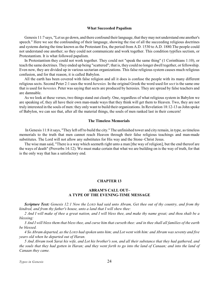#### **What Succeeded Papalism**

<span id="page-26-0"></span>Genesis 11:7 says, "Let us go down, and there confound their language, that they may not understand one another's speech." Here we see the confounding of their language, showing the rise of all the succeeding religious doctrines and systems during the time known as the Protestant Era, the period from A.D. 1530 to A.D. 1880.The people could not understand one another; so they could not communicate and work together. This condition typifies sectism, or Protestantism. It is what followed papalism.

In Protestantism they could not work together. They could not "speak the same thing" (1 Corinthians 1:10), or teach the same doctrines. They ended up being "scattered"; that is, they could no longer dwell together, or fellowship. Even now, they are divided up in various sectarian organizations. This false religious system causes much religious confusion, and for that reason, it is called Babylon.

All the earth has been covered with false religion and all it does is confuse the people with its many different religious sects. Second Peter 2:1 uses the word *heresies.* In the original Greek the word used for *sect* is the same one that is used for *heresies.* Peter was saying that sects are produced by heresies. They are spread by false teachers and are damnable.

As we look at these verses, two things stand out clearly. One, regardless of what religious system in Babylon we are speaking of, they all have their own man-made ways that they think will get them to Heaven. Two, they are not truly interested in the souls of men: they only want to build their organizations. In Revelation 18:12-13 as John spoke of Babylon, we can see that, after all the material things, the souls of men ranked last in their concern!

### **The Timeless Memorials**

In Genesis 11:8 it says, "They left off to build the city." The unfinished tower and city remain, in type, as timeless memorials to the truth that men cannot reach Heaven through their false religious teachings and man-made substitutes. The Lord will not allow any substitutes for His way and the Stone–Christ Jesus.

The wise man said, "There is a way which seemeth right unto a man [the way of religion], but the end thereof are the ways of death" (Proverbs 14:12). We must make certain that what we are building on is the way of truth, for that is the only way that has a satisfactory end.

### **CHAPTER 13**

## **ABRAM'S CALL OUT– A TYPE OF THE EVENING-TIME MESSAGE**

*Scripture Text: Genesis 12:1 Now the LORD had said unto Abram, Get thee out of thy country, and from thy kindred, and from thy father's house, unto a land that I will shew thee:*

*2 And I will make of thee a great nation, and I will bless thee, and make thy name great; and thou shalt be a blessing:*

*3 And I will bless them that bless thee, and curse him that curseth thee: and in thee shall all families of the earth be blessed.*

*4 So Abram departed, as the LORD had spoken unto him; and Lot went with him: and Abram was seventy and five years old when he departed out of Haran.*

*5 And Abram took Sarai his wife, and Lot his brother's son, and all their substance that they had gathered, and the souls that they had gotten in Haran; and they went forth to go into the land of Canaan; and into the land of Canaan they came.*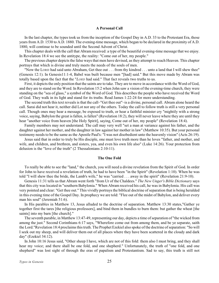#### **A Personal Call**

In the last chapter, the types took us from the inception of the Gospel Day in A.D. 33 to the Protestant Era, those years from A.D. 1530 to A.D. 1880. The evening-time message, which began to be declared in the proximity of A.D. 1880, will continue to be sounded until the Second Advent of Christ.

This chapter deals with the call that Abram received: a type of the beautiful evening-time message that we enjoy. In Revelation 18:4 we see the antitype, the reality: "Come out of her, my people."

The previous chapter depicts the false ways that men have devised, as they attempt to reach Heaven. This chapter portrays that which is divine and truly meets the needs of the souls of men.

"Now the LORD had said unto Abraham, Get thee out . . . from thy kindred . . . unto a land that I will shew thee" (Genesis 12:1). In Genesis11:1-4, Babel was built because men "[had] said." But this move made by Abram was totally based upon the fact that the "*LORD* had said." That fact reveals two truths to us.

First, it depicts the only position that the saints are to take. They are to move in accordance with the Word of God, and they are to stand on the Word. In Revelation 15:2 when John saw a vision of the evening-time church, they were standing on the "sea of glass," a symbol of the Word of God. This describes the people who have received the Word of God. They walk in its light and stand for its truths. Read James 1:22-24 for more understanding.

The second truth this text reveals is that the call–"Get thee out"–is a divine, personal call. Abram alone heard the call. Sarai did not hear it, neither did Lot nor any of the others. Today the call to follow truth is still a very personal call. Though ones may hear a message, be exposed to truth, or hear a faithful minister cry "mightily with a strong voice, saying, Babylon the great is fallen, is fallen" (Revelation 18:2), they will never leave where they are until they hear "another voice from heaven [the Holy Spirit], saying, Come out of her, my people" (Revelation 18:4).

Family members may not understand. The call may very well "set a man at variance against his father, and the daughter against her mother, and the daughter in law against her mother in law" (Matthew 10:35). But your personal testimony needs to be the same as the Apostle Paul's: "I was not disobedient unto the heavenly vision" (Acts 26:19).

Jesus said that in order to truly be His disciple, one must love truth more than he loves "father, and mother, and wife, and children, and brethren, and sisters, yea, and even his own life also" (Luke 14:26). Your protection from delusion is the "love of the truth" (2 Thessalonians 2:10-11).

### **The One Fold**

To really be able to see the "land," the church, you will need a divine revelation from the Spirit of God. In order for John to have received a revelation of truth, he had to have been "in the Spirit" (Revelation 1:10). When he was told "I will shew thee the bride, the Lamb's wife," he was "carried . . . away in the spirit" (Revelation 21:9-10).

Genesis 11:31 tells us that Abram went forth "from Ur of the Chaldees." *The New Unger's Bible Dictionary* says that this city was located in "southern Babylonia." When Abram received his call, he was in Babylonia. His call was very pointed and clear: "Get thee out." This vividly portrays the biblical doctrine of separation that is being heralded in this evening time of the Gospel Day. In prophecy we are told: "Flee out of the midst of Babylon, and deliver every man his soul" (Jeremiah 51:6).

In His parables in Matthew 13, Jesus alluded to the doctrine of separation. Matthew 13:30 states,"Gather ye together first the tares [the religious professors], and bind them in bundles to burn them: but gather the wheat [the saints] into my barn [the church]."

The seventh parable, in Matthew 13:47-49, representing our day, depicts a time of separation of "the wicked from among the just." Second Corinthians 6:17 says, "Wherefore come out from among them, and be ye separate, saith the Lord."Revelation 18:4 proclaims thistruth. The Prophet Ezekiel also spoke of the doctrine of separation: "So will I seek out my sheep, and will deliver them out of all places where they have been scattered in the cloudy and dark day" (Ezekiel 34:12).

In John 10:16 Jesus said, "Other sheep I have, which are not of this fold: them also I must bring, and they shall hear my voice; and there shall be one fold, and one shepherd." Unfortunately, the truth of "one fold, and one shepherd" was lost sight of through the eras of papalism and Protestantism. Sad to say, this truth is still not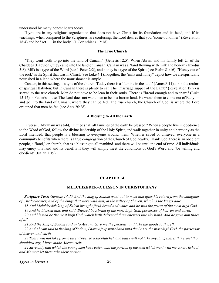<span id="page-28-0"></span>understood by many honest hearts today.

If you are in any religious organization that does not have Christ for its foundation and its head, and if its teachings, when compared to the Scriptures, are confusing; the Lord desires that you "come out of her" (Revelation 18:4) and be "set . . . in the body" (1 Corinthians 12:18).

### **The True Church**

"They went forth to go into the land of Canaan" (Genesis 12:5). When Abram and his family left Ur of the Chaldees (Babylon), they came into the land of Canaan. Canaan was a "land flowing with milk and honey" (Exodus 3:8). Milk is a type of the Word (see 1 Peter 2:2), and honey is a type of the Spirit (see Psalm 81:16). "Honey out of the rock" is the Spirit that was in Christ. (see Luke 4:1).Together, the "milk and honey" depict how we are spiritually nourished in a land where the nourishment is ample.

Canaan, in this setting, is a type of the church. Today there is a "famine in the land" (Amos 8:11), or in the realms of spiritual Babylon; but in Canaan there is plenty to eat. The "marriage supper of the Lamb" (Revelation 19:9) is served to the true church. Men do not have to be lean in their souls. There is "bread enough and to spare" (Luke 15:17) in Father's house. The Lord does not want men to be in a barren land. He wants them to come out of Babylon and go into the land of Canaan, where they can be fed. The true church, the Church of God, is where the Lord ordained that men be fed (see Acts 20:28).

### **A Blessing to All the Earth**

In verse 3 Abraham was told, "In thee shall all families of the earth be blessed." When a people live in obedience to the Word of God, follow the divine leadership of the Holy Spirit, and walk together in unity and harmony as the Lord intended, that people is a blessing to everyone around them. Whether saved or unsaved, everyone in a community benefits when there is a true congregation of the Church of God nearby. Thank God, there is an obedient people, a "land," or church, that is a blessing to all mankind–and there will be until the end of time. All individuals may enjoy this land and its benefits if they will simply meet the conditions of God's Word and "be willing and obedient" (Isaiah 1:19).

#### **CHAPTER 14**

### **MELCHIZEDEK–A LESSON IN CHRISTOPHANY**

*Scripture Text: Genesis 14:17 And the king of Sodom went out to meet him after his return from the slaughter of Chedorlaomer, and of the kings that were with him, at the valley of Shaveh, which is the king's dale.*

*18 And Melchizedek king of Salem brought forth bread and wine: and he was the priest of the most high God.*

*19 And he blessed him, and said, Blessed be Abram of the most high God, possessor of heaven and earth:*

*20 And blessed be the most high God, which hath delivered thine enemies into thy hand. And he gave him tithes of all.*

*21 And the king of Sodom said unto Abram, Give me the persons, and take the goods to thyself.*

*22 And Abram said to the king of Sodom, I have lift up mine hand unto the LORD, the most high God, the possessor of heaven and earth,*

*23 That I will not take from a thread even to a shoelatchet, and that I will not take any thing that is thine, lest thou shouldest say, I have made Abram rich:*

*24 Save only that which the young men have eaten, and the portion of the men which went with me, Aner, Eshcol, and Mamre; let them take their portion.*

*Types in Genesis* 26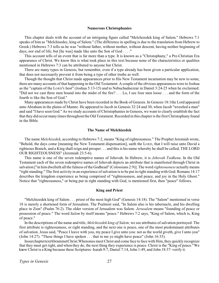#### **Numerous Christophanies**

This chapter deals with the account of an intriguing figure called "Melchizedek king of Salem." Hebrews 7:1 speaks of him as "Melchisedec, king of Salem." (The difference in spelling is due to the translation from Hebrew to Greek.) Hebrews 7:3 tells us he was "without father, without mother, without descent, having neither beginning of days, nor end of life; but [he was] made like unto the Son of God . . . ."

This account tells of an event that is far more than a type. It is known as a "Christophany," a Pre-Christian Era appearance of Christ. We know this is what took place in this text because none of the characteristics or qualities mentioned in Hebrews 7:3 can be attributed to anyone but Christ.

There are many types in Genesis, but remember, even if a type already has been given a particular application, that does not necessarily prevent it from being a type of other truths as well.

Though the thought that Christ made appearances prior to His New Testament incarnation may be new to some, there are many accounts of that happening in the Old Testament. A couple of the obvious appearances were to Joshua as the "captain of the LORD'S host" (Joshua 5:13-15) and to Nebuchadnezzar in Daniel 3:24-25 when he exclaimed: "Did not we cast three men bound into the midst of the fire? . . . Lo, I see four men loose . . . and the form of the fourth is like the Son of God."

Many appearances made by Christ have been recorded in the Book of Genesis. In Genesis 18:1the Lord appeared unto Abraham in the plains of Mamre. He appeared to Jacob in Genesis 32:24 and 30, when Jacob "wrestled a man" and said "I have seen God." As we study accounts of Christophanies in Genesis, we want to clearly establish the fact that they did occur many times throughout the Old Testament. Recorded in this chapter is the first Christophany found in the Bible.

### **The Name of Melchizedek**

The name *Melchizedek*, according to Hebrews 7:2, means "King of righteousness." The Prophet Jeremiah wrote, "Behold, the days come [meaning the New Testament dispensation], saith the LORD, that I will raise unto David a righteous Branch, and a King shall reign and prosper . . . and this is his name whereby he shall be called, THE LORD OUR RIGHTEOUSNESS" (Jeremiah 23:5-6).

This name is one of the seven redemptive names of Jehovah. In Hebrew, it is *Jehovah Tsidkenu*. In the Old Testament each of the seven redemptive names of Jehovah depicts an attribute that is manifested through Christ in salvation ["in him dwelleth all the fulness of the Godhead" (Colossians 2:9)]. The word *righteousness* actually means "right standing." The first activity in an experience of salvation is to be put in right standing with God. Romans 14:17 describes the kingdom experience as being comprised of "righteousness, and peace, and joy in the Holy Ghost." Notice that "righteousness," or being put in right standing with God, is mentioned first, then "peace" follows.

### **King and Priest**

"Melchizedek king of Salem . . . priest of the most high God" (Genesis 14:18). The "Salem" mentioned in verse 18 is merely a shortened form of Jerusalem. The Psalmist said, "In Salem also is his tabernacle, and his dwelling place in Zion" (Psalm 76:2). The older version of Jerusalem was Salem. *Jerusalem* means "founding of peace or possession of peace." The word *Salem* by itself means "peace." Hebrews 7:2 says, "King of Salem, which is, King of peace."

In the descriptions of the name and title, *Melchizedek king of Salem,* we see attributes of salvation portrayed. The first attribute is righteousness, or right standing, and the next one is peace, one of the most predominant attributes of salvation. Jesus said, "Peace I leave with you, my peace I give unto you: not as the world giveth, give I unto you" (John 14:27). "These things I have spoken . . . that in me ye might have peace" (John 16:33).

In our chapter textAbram met Christ. When ones meet Christ and come face to face with Him, they quickly recognize that they must get right, and when they do, the next thing they experience is peace. Christ is the "King of peace."We know Christ is a King because these Scriptures–Isaiah 9:7, Daniel 7:14,John 1:49, and John 18:37–verify it.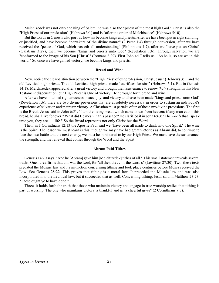Melchizedek was not only the king of Salem; he was also the "priest of the most high God." Christ is also the "High Priest of our profession" (Hebrews 3:1) and is "after the order of Melchisedec" (Hebrews 5:10).

But the words in Genesis also portray how *we* become kings and priests. After we have been put in right standing, or justified, and have become "partakers of the divine nature" (2 Peter 1:4) through conversion, after we have received the "peace of God, which passeth all understanding" (Philippians 4:7), after we "have put on Christ" (Galatians 3:27), then we become "kings and priests unto God" (Revelation 1:6). Through salvation we are "conformed to the image of his Son [Christ]" (Romans 8:29). First John 4:17 tells us, "As he is, so are we in this world." So once we have gained victory, we become kings and priests.

### **Bread and Wine**

Now**,** notice the clear distinction between the "High Priest of our profession, Christ Jesus" (Hebrews 3:1) and the old Levitical high priests. The old Levitical high priests made "sacrifices for sins" (Hebrews 5:1). But in Genesis 14:18, Melchizedek appeared after a great victory and brought them sustenance to renew *their* strength. In this New Testament dispensation, our High Priest is One of victory. He "brought forth bread and wine."

After we have obtained righteousness, peace, joy, and victory and have been made "kings and priests unto God" (Revelation 1:6), there are two divine provisions that are absolutely necessary in order to sustain an individual's experience of salvation and maintain victory. A Christian must partake often of these two divine provisions. The first is the Bread. Jesus said in John 6:51, "I am the living bread which came down from heaven: if any man eat of this bread, he shall live for ever." What did He mean in this passage? He clarified it in John 6:63: "The *words* that I speak unto you, they are . . . life." So the Bread represents not only Christ but the Word.

Then, in 1 Corinthians 12:13 the Apostle Paul said we "have been all made to drink into one Spirit." The wine is the Spirit. The lesson we must learn is this: though we may have had great victories as Abram did, to continue to face the next battle and the next enemy, we must be ministered to by our High Priest. We must have the sustenance, the strength, and the renewal that comes through the Word and the Spirit.

### **Abram Paid Tithes**

Genesis 14:20 says, "And he [Abram] gave him [Melchizedek] tithes of all." This small statement reveals several truths. One, it reaffirms that this was the Lord, for "all the tithe . . . is the LORD'S" (Leviticus 27:30). Two, these texts predated the Mosaic law and its injunction concerning tithing and took place centuries before Moses received the Law. See Genesis 28:22. This proves that tithing is a moral law. It preceded the Mosaic law and was also incorporated into the Levitical law, but it succeeded that as well. Concerning tithing, Jesus said in Matthew 23:23, "These ought ye to have done."

Three, it holds forth the truth that those who maintain victory and engage in true worship realize that tithing is part of worship. The one who maintains victory is thankful and is "a cheerful giver" (2 Corinthians 9:7).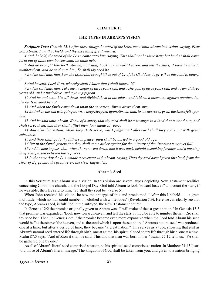### **THE TYPES IN ABRAM'S VISION**

<span id="page-31-0"></span>*Scripture Text: Genesis 15:1 After these things the word of the LORD came unto Abram in a vision, saying, Fear not, Abram: I am thy shield, and thy exceeding great reward.*

*4 And, behold, the word of the LORD came unto him, saying, This shall not be thine heir; but he that shall come forth out of thine own bowels shall be thine heir.*

*5 And he brought him forth abroad, and said, Look now toward heaven, and tell the stars, if thou be able to number them: and he said unto him, So shall thy seed be.*

*7 And he said unto him, I am the LORD that brought thee out of Ur of the Chaldees, to give thee this land to inherit it.*

*8 And he said, Lord GOD, whereby shall I know that I shall inherit it?*

*9 And he said unto him, Take me an heifer of three years old, and a she goat of three years old, and a ram of three years old, and a turtledove, and a young pigeon.*

*10 And he took unto him all these, and divided them in the midst, and laid each piece one against another: but the birds divided he not.*

*11 And when the fowls came down upon the carcases, Abram drove them away.*

*12 And when the sun was going down, a deep sleep fell upon Abram; and, lo, an horror of great darkness fell upon him.*

*13 And he said unto Abram, Know of a surety that thy seed shall be a stranger in a land that is not theirs, and shall serve them; and they shall afflict them four hundred years;*

*14 And also that nation, whom they shall serve, will I judge: and afterward shall they come out with great substance.*

*15 And thou shalt go to thy fathers in peace; thou shalt be buried in a good old age.*

*16 But in the fourth generation they shall come hither again: for the iniquity of the Amorites is not yet full.*

*17 And it came to pass, that, when the sun went down, and it was dark, behold a smoking furnace, and a burning lamp that passed between those pieces.*

*18 In the same day the LORD made a covenant with Abram, saying, Unto thy seed have I given this land, from the river of Egypt unto the great river, the river Euphrates:*

### **Abram's Seed**

In this Scripture text Abram saw a vision. In this vision are several types depicting New Testament realities concerning Christ, the church, and the Gospel Day. God told Abram to look "toward heaven" and count the stars, if he was able; then He said to him, "So shall thy seed be" (verse 5).

When John received his vision, he saw the antitype of this and proclaimed, "After this I beheld . . . a great multitude, which no man could number . . . clothed with white robes" (Revelation 7:9). Here we can clearly see that the type, Abram's seed, is fulfilled in the antitype, the New Testament church.

In Genesis 12:2 the promise originally given to Abram was, "I will make of thee a great nation." In Genesis 15:5 that promise was expanded, "Look now toward heaven, and tell the stars, if thou be able to number them: . . .So shall thy seed be." Then, in Genesis 22:17 the promise became even more expansive when the Lord told Abram his seed would be "as the stars of the heaven, and as the sand which is upon the sea shore." Abram's natural seed was produced one at a time, but after a period of time, they became "a great nation." This serves as a type, showing that just as Abram's natural seed entered life through birth, one at a time, his spiritual seed enters life through birth, one at a time. Psalm 87:5 says, "And of Zion it shall be said, This and that man was born in her." Isaiah 27:12 tells us, "Ye shall be gathered one by one."

As all of Abram's literal seed comprised a nation, so his spiritual seed comprises a nation. In Matthew 21:43 Jesus told those of Abram's literal lineage,"The kingdom of God shall be taken from you, and given to a nation bringing

*Types in Genesis* 29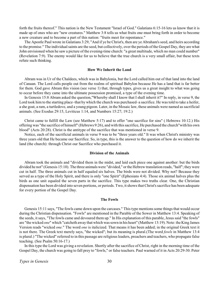forth the fruits thereof." This nation is the New Testament "Israel of God." Galatians 6:15-16 lets us know that it is made up of ones who are "new creatures." Matthew 3:8 tells us what fruits one must bring forth in order to become a new creature and to become a part of this nation: "fruits meet for repentance."

The Apostle Paul wrote in Galatians 3:29, "And if ye be Christ's, then are ye Abraham's seed, and heirs according to the promise." The individual saints are the seed, but collectively, over the periods of the Gospel Day, they are what John envisioned when he saw a picture of the evening-time church: "a great multitude, which no man could number" (Revelation 7:9). The enemy would like for us to believe that the true church is a very small affair, but these texts refute such thinking.

### **How We Inherit the Land**

Abram was in Ur of the Chaldees, which was in Babylonia, but the Lord called him out of that land into the land of Canaan. The Lord calls people out from the realms of spiritual Babylon because He has a land that is far better for them. God gave Abram this vision (see verse 1) that, through types, gives us a great insight to what was going to occur before they came into the ultimate possession promised, a type of the evening time.

In Genesis 15:8 Abram asked the question,"Whereby shall I know that I shall inherit it?" In reply, in verse 9, the Lord took him to the starting place–that by which the church was purchased–a sacrifice. He was told to take a heifer, a she goat, a ram, a turtledove, and a young pigeon. Later, in the Mosaic law, these animals were named as sacrificial animals. (See Exodus 29:15, Leviticus 1:14, and Numbers 15:27; 19:2.)

Christ came to fulfill the Law (see Matthew 5:17) and to offer "one sacrifice for sins" ( Hebrews 10:12.) His offering was "the sacrifice of himself" (Hebrews 9:26), and with this sacrifice, He purchased the church"with his own blood" (Acts 20:28). Christ is the antitype of the sacrifice that was mentioned in verse 9.

Notice, each of the sacrificial animals in verse 9 was to be "three years old." It was when Christ's ministry was three years old that He became our Sacrifice. So, in type, this is the answer to the question of how do we inherit the land (the church): through Christ our Sacrifice who purchased it.

### **Division of the Animals**

Abram took the animals and "divided them in the midst, and laid each piece one against another: but the birds divided he not" (Genesis 15:10). The three animals were "divided," or the Hebrew translation reads, "half"; they were cut in half. The three animals cut in half equaled six halves. The birds were not divided. Why not? Because they served as a type of the Holy Spirit, and there is only "one Spirit" (Ephesians 4:4). Those six animal halves plus the birds as one unit equaled the seven parts in the sacrifice. This type makes two truths clear. One, the Christian dispensation has been divided into seven portions, or periods. Two, it shows that Christ's sacrifice has been adequate for every portion of the Gospel Day.

#### **The Fowls**

Genesis 15:11 says, "The fowls came down upon the carcases." This type mentions some things that would occur during the Christian dispensation. "Fowls" are mentioned in the Parable of the Sower in Matthew 13:4. Speaking of the seeds, it says, "The fowls came and devoured them up." In His explanation of this parable, Jesus said "the fowls" are "the wicked *one*" which "catcheth away that which was sown in his heart" (Matthew 13:19). Note: the King James Version reads "wicked *one.*" The word *one* is italicized. That means it has been added; in the original Greek text it is not there. The Greek text merely says, "the wicked"; but its meaning is plural.(The word *fowls* in Matthew 13:4 is plural.) "The wicked" referred to in this passage are religious leaders, preachers and teachers, who propagate false teaching. (See Psalm 50:16-17.)

In this type the Lord was giving a revelation. Shortly after the sacrifice of Christ, right in the morning time of the Gospel Day, the church was going to fall prey to "fowls," or false teachers. Paul warned of it in Acts 20:29-30. Peter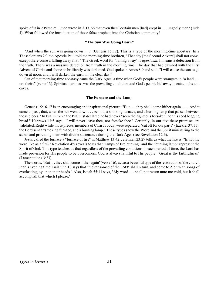spoke of it in 2 Peter 2:1. Jude wrote in A.D. 66 that even then "certain men [had] crept in . . . ungodly men" (Jude 4). What followed the introduction of those false prophets into the Christian community?

### **"The Sun Was Going Down"**

"And when the sun was going down . . ." (Genesis 15:12). This is a type of the morning-time apostasy. In 2 Thessalonians 2:3 the Apostle Paul told the morning-time brethren, "That day [the Second Advent] shall not come, except there come a falling away first." The Greek word for "falling away" is *apostasia*. It means a defection from the truth. There was a massive defection from truth in the morning time. The day that had dawned with the First Advent of Christ and shone so brilliantly was darkened. God spoke in Amos 8:9 and said, "I will cause the sun to go down at noon, and I will darken the earth in the clear day."

Out of that morning-time apostasy came the Dark Ages: a time when God's people were strangers in "a land . . . not theirs" (verse 13). Spiritual darkness was the prevailing condition, and God's people hid away in catacombs and caves.

#### **The Furnace and the Lamp**

Genesis 15:16-17 is an encouraging and inspirational picture: "But . . . they shall come hither again . . . . And it came to pass, that, when the sun went down . . . behold, a smoking furnace, and a burning lamp that passed between those pieces." In Psalm 37:25 the Psalmist declared he had never "seen the righteous forsaken, nor his seed begging bread." Hebrews 13:5 says, "I will never leave thee, nor forsake thee." Certainly, in our text these promises are validated. Right while those pieces, members of Christ's body, were separated,"cut off for our parts" (Ezekiel 37:11), the Lord sent a "smoking furnace, and a burning lamp." These types show the Word and the Spirit ministering to the saints and providing them with divine sustenance during the Dark Ages (see Revelation 12:6).

Jesus called the furnace a "furnace of fire" in Matthew 13:42. Jeremiah 23:29 tells us what the fire is: "Is not my word like as a fire?" Revelation 4:5 reveals to us that "lamps of fire burning" and the "burning lamp" represent the Spirit of God. This type teaches us that regardless of the prevailing conditions in each period of time, the Lord has made provision for His people to be overcomers. God is always faithful to His people! "Great is thy faithfulness" (Lamentations 3:23).

The words, "But . . . they shall come hither again"(verse 16), act as a beautiful type of the restoration of the church in this evening time. Isaiah 35:10 says that "the ransomed of the LORD shall return, and come to Zion with songs of everlasting joy upon their heads." Also, Isaiah 55:11 says, "My word . . . shall not return unto me void, but it shall accomplish that which I please."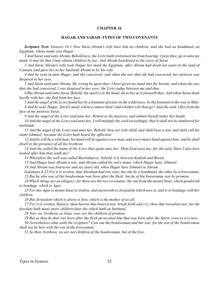# **HAGAR AND SARAH–TYPES OF TWO COVENANTS**

<span id="page-34-0"></span>*Scripture Text: Genesis 16:1 Now Sarai Abram's wife bare him no children: and she had an handmaid, an Egyptian, whose name was Hagar.*

*2 And Sarai said unto Abram, Behold now, the LORD hath restrained me from bearing: I pray thee, go in unto my maid; it may be that I may obtain children by her. And Abram hearkened to the voice of Sarai.*

*3 And Sarai Abram's wife took Hagar her maid the Egyptian, after Abram had dwelt ten years in the land of Canaan, and gave her to her husband Abram to be his wife.*

*4 And he went in unto Hagar, and she conceived: and when she saw that she had conceived, her mistress was despised in her eyes.*

*5 And Sarai said unto Abram, My wrong be upon thee: I have given my maid into thy bosom; and when she saw that she had conceived, I was despised in her eyes: the LORD judge between me and thee.*

*6 But Abram said unto Sarai, Behold, thy maid is in thy hand; do to her as it pleaseth thee. And when Sarai dealt hardly with her, she fled from her face.*

*7 And the angel of the LORD found her by a fountain of water in the wilderness, by the fountain in the way to Shur. 8 And he said, Hagar, Sarai's maid, whence camest thou? and whither wilt thou go? And she said, I flee from the face of my mistress Sarai.*

*9 And the angel of the LORD said unto her, Return to thy mistress, and submit thyself under her hands.*

*10 And the angel of the LORD said unto her, I will multiply thy seed exceedingly, that it shall not be numbered for multitude.*

*11 And the angel of the LORD said unto her, Behold, thou art with child, and shalt bear a son, and shalt call his name Ishmael; because the LORD hath heard thy affliction.*

*12 And he will be a wild man; his hand will be against every man, and every man's hand against him; and he shall dwell in the presence of all his brethren.*

*13 And she called the name of the LORD that spake unto her, Thou God seest me: for she said, Have I also here looked after him that seeth me?*

*14 Wherefore the well was called Beerlahairoi; behold, it is between Kadesh and Bered.*

*15 And Hagar bare Abram a son: and Abram called his son's name, which Hagar bare, Ishmael.*

*16 And Abram was fourscore and six years old, when Hagar bare Ishmael to Abram.*

*Galatians 4:22 For it is written, that Abraham had two sons, the one by a bondmaid, the other by a freewoman. 23 But he who was of the bondwoman was born after the flesh; but he of the freewoman was by promise.*

*24 Which things are an allegory: for these are the two covenants; the one from the mount Sinai, which gendereth to bondage, which is Agar.*

*25 For this Agar is mount Sinai in Arabia, and answereth to Jerusalem which now is, and is in bondage with her children.*

*26 But Jerusalem which is above is free, which is the mother of us all.*

*27 For it is written, Rejoice, thou barren that bearest not; break forth and cry, thou that travailest not: for the desolate hath many more children than she which hath an husband.*

*28 Now we, brethren, as Isaac was, are the children of promise.*

*29 But as then he that was born after the flesh persecuted him that was born after the Spirit, even so it is now.*

*30 Nevertheless what saith the scripture? Cast out the bondwoman and her son: for the son of the bondwoman shall not be heir with the son of the freewoman.*

*31 So then, brethren, we are not children of the bondwoman, but of the free.*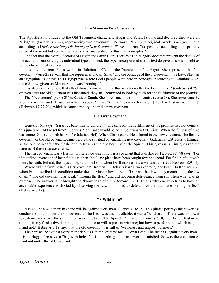#### **Two Women–Two Covenants**

The Apostle Paul alluded to the Old Testament characters, Hagar and Sarah (Sarai), and declared they were an "allegory" (Galatians 4:24), representing two covenants. The word *allegory* in original Greek is *allegoreo*, and according to *Vine's Expository Dictionary of New Testament Words*, it means "to speak not according to the primary sense of the word but so that the facts stated are applied to illustrate principles."

 The fact that the overall account of Hagar and Sarah (Sarai) serves as an allegory does not prevent the details of the account from serving as individual types. Indeed, the types incorporated in this text do give us some insight as to the character of each covenant.

It is obvious from Paul's words in Galatians 4:23 that the "bondwoman" is Hagar. She represents the first covenant. Verse 25 reveals that she represents "mount Sinai" and the bondage of the old covenant, the Law. She was an "Egyptian" (Genesis 16:1). Egypt was where God's people were held in bondage. According to Galatians 4:25, the old Law–given on Mount Sinai–was "bondage."

It is also worthy to note that after Ishmael came–after "he that was born after the flesh [came]" (Galatians 4:29), or even after the old covenant was instituted–they still continued to look by faith for the fulfillment of the promise.

The "freewoman" (verse 23) is Sarai, or Sarah. She bore Isaac, the son of promise (verse 28). She represents the second covenant and "Jerusalem which is above" (verse 26), the "heavenly Jerusalem [the New Testament church]" (Hebrews 12:22-23), which became a reality under the new covenant.

### **The First Covenant**

Genesis 16:1 says, "Sarai . . . bare him no children." The time for the fulfillment of the promise had not come at this juncture. "At the set time" (Genesis 21:2) Isaac would be born. So it was with Christ: "When the fulness of time was come, God sent forth his Son" (Galatians 4:4). When Christ came, He ushered in the new covenant. The fleshly covenant, or the old covenant, came before the spiritual covenant, the new covenant. Galatians 4:29 refers to Ishmael as the one born "after the flesh" and to Isaac as the one born "after the Spirit." This gives us an insight as to the natures of these two covenants.

The first covenant was a fleshly, or literal, covenant. It was a covenant that was flawed. Hebrews 8:7-8 says: "For if that first covenant had been faultless, then should no place have been sought for the second. For finding fault with them, he saith, Behold, the days come, saith the Lord, when I will make a new covenant . . ." (read Hebrews 8:9-11).

Where did the fault lie in this first covenant? Romans 8:3 tells us it was "weak through the flesh." In Romans 7:23 when Paul described his condition under the old Mosaic law, he said, "I see another law in my members . . . the law of sin." The old covenant was weak "through the flesh" and did not bring deliverance from sin. Then what was its purpose? The answer is, it brought the "knowledge of sin" (Romans 3:20). This is why one who tries to have an acceptable experience with God by observing the Law is doomed to defeat, "for the law made nothing perfect" (Hebrews 7:19).

#### **"A Wild Man"**

"He will be a wild man; his hand will be against every man" (Genesis 16:12). This phrase portrays the powerless condition of man under the old covenant. The flesh was uncontrollable; it was a "wild man." There was no power to restrain, or control, the sinful impulses of the flesh. The Apostle Paul said in Romans 7:18, "For I know that in me (that is, in my flesh,) dwelleth no good thing: for to will is present with me; but how to perform that which is good I find not." Hebrews 7:18 says that the old covenant was full of "weakness and unprofitableness."

The phrase "be against every man" depicts a man's greatest foe–his own flesh. The flesh is "against every man." It is as Haggai 1:6 says, a "bag with holes." It is something that can never be satisfied. So was the condition of mankind under the old covenant.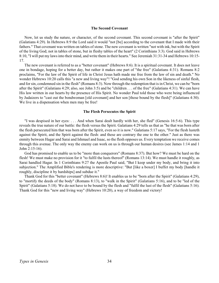#### **The Second Covenant**

Now, let us study the nature, or character, of the second covenant. This second covenant is "after the Spirit" (Galatians 4:29). In Hebrews 8:9 the Lord said it would "not [be] according to the covenant that I made with their fathers." That covenant was written on tables of stone. The new covenant is written "not with ink, but with the Spirit of the living God; not in tables of stone, but in fleshy tables of the heart" (2 Corinthians 3:3). God said in Hebrews 8:10, "I will put my laws into their mind, and write them in their hearts." See Jeremiah 31:31-34 and Hebrews 10:15- 17.

The new covenant is referred to as a "better covenant" (Hebrews 8:6). It is a spiritual covenant. It does not leave one in bondage, hoping for a better day, but rather it makes one part of "the free" (Galatians 4:31). Romans 8:2 proclaims, "For the law of the Spirit of life in Christ Jesus hath made me free from the law of sin and death." No wonder Hebrews 10:20 calls this "a new and living way"! "God sending his own Son in the likeness of sinful flesh, and for sin, condemned sin in the flesh" (Romans 8:3). Now through the redemption that is in Christ, we can be "born after the Spirit" (Galatians 4:29; also, see John 3:5) and be "children . . . of the free" (Galatians 4:31). We can have His law written in our hearts by the presence of His Spirit. No wonder Paul told those who were being influenced by Judaizers to "cast out the bondwoman [old covenant] and her son [those bound by the flesh]" (Galatians 4:30). We live in a dispensation when men may be free!

### **The Flesh Persecutes the Spirit**

"I was despised in her eyes: . . . And when Sarai dealt hardly with her, she fled" (Genesis 16:5-6). This type reveals the true nature of our battle: the flesh versus the Spirit. Galatians 4:29 tells us that as "he that was born after the flesh persecuted him that was born after the Spirit, even so it is now." Galatians 5:17 says, "For the flesh lusteth against the Spirit, and the Spirit against the flesh: and these are contrary the one to the other." Just as there was enmity between Hagar and Sarai and Ishmael and Isaac, so the flesh opposes us. Every temptation we receive comes through this avenue. The only way the enemy can work on us is through our human desires (see James 1:14 and 1 John 2:15-16).

God has promised to enable us to be "more than conquerors" (Romans 8:37). But how? We must be hard on the flesh! We must make no provision for it "to fulfil the lusts thereof" (Romans 13:14). We must handle it roughly, as Sarai handled Hagar. In 1 Corinthians 9:27 the Apostle Paul said, "But I keep under my body, and bring it into subjection." The Amplified Bible's rendering is more descriptive: "But [like a boxer] I buffet my body [handle it roughly, discipline it by hardships] and subdue it."

Thank God for this "better covenant" (Hebrews 8:6)! It enables us to be "born after the Spirit" (Galatians 4:29), to "mortify the deeds of the body" (Romans 8:13), to "walk in the Spirit" (Galatians 5:16), and to be "led of the Spirit" (Galatians 5:18). We do not have to be bound by the flesh and "fulfil the lust of the flesh" (Galatians 5:16). Thank God for this "new and living way" (Hebrews 10:20), a way of freedom and victory!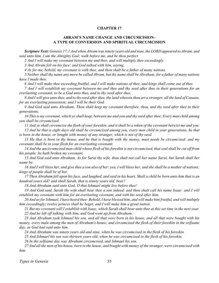# **ABRAM'S NAME CHANGE AND CIRCUMCISION– A TYPE OF CONVERSION AND SPIRITUAL CIRCUMCISION**

<span id="page-37-0"></span>*Scripture Text: Genesis 17:1 And when Abram was ninety years old and nine, the LORD appeared to Abram, and said unto him, I am the Almighty God; walk before me, and be thou perfect.*

*2 And I will make my covenant between me and thee, and will multiply thee exceedingly.*

*3 And Abram fell on his face: and God talked with him, saying,*

*4 As for me, behold, my covenant is with thee, and thou shalt be a father of many nations.*

*5 Neither shall thy name any more be called Abram, but thy name shall be Abraham; for a father of many nations have I made thee.*

*6 And I will make thee exceeding fruitful, and I will make nations of thee, and kings shall come out of thee.*

*7 And I will establish my covenant between me and thee and thy seed after thee in their generations for an everlasting covenant, to be a God unto thee, and to thy seed after thee.*

*8 And I will give unto thee, and to thy seed after thee, the land wherein thou art a stranger, all the land of Canaan, for an everlasting possession; and I will be their God.*

*9 And God said unto Abraham, Thou shalt keep my covenant therefore, thou, and thy seed after thee in their generations.*

*10 This is my covenant, which ye shall keep, between me and you and thy seed after thee; Every man child among you shall be circumcised.*

*11 And ye shall circumcise the flesh of your foreskin; and it shall be a token of the covenant betwixt me and you. 12 And he that is eight days old shall be circumcised among you, every man child in your generations, he that is born in the house, or bought with money of any stranger, which is not of thy seed.*

*13 He that is born in thy house, and he that is bought with thy money, must needs be circumcised: and my covenant shall be in your flesh for an everlasting covenant.*

*14 And the uncircumcised man child whose flesh of his foreskin is not circumcised, that soul shall be cut off from his people; he hath broken my covenant.*

*15 And God said unto Abraham, As for Sarai thy wife, thou shalt not call her name Sarai, but Sarah shall her name be.*

*16 And I will bless her, and give thee a son also of her: yea, I will bless her, and she shall be a mother of nations; kings of people shall be of her.*

*17 Then Abraham fell upon his face, and laughed, and said in his heart, Shall a child be born unto him that is an hundred years old? and shall Sarah, that is ninety years old, bear?*

*18 And Abraham said unto God, O that Ishmael might live before thee!*

*19 And God said, Sarah thy wife shall bear thee a son indeed; and thou shalt call his name Isaac: and I will establish my covenant with him for an everlasting covenant, and with his seed after him.*

*20 And as for Ishmael, I have heard thee: Behold, I have blessed him, and will make him fruitful, and will multiply him exceedingly; twelve princes shall he beget, and I will make him a great nation.*

*21 But my covenant will I establish with Isaac, which Sarah shall bear unto thee at this set time in the next year. 22 And he left off talking with him, and God went up from Abraham.*

*23 And Abraham took Ishmael his son, and all that were born in his house, and all that were bought with his money, every male among the men of Abraham's house; and circumcised the flesh of their foreskin in the selfsame day, as God had said unto him.*

*24 And Abraham was ninety years old and nine, when he was circumcised in the flesh of his foreskin.*

*25 And Ishmael his son was thirteen years old, when he was circumcised in the flesh of his foreskin.*

*26 In the selfsame day was Abraham circumcised, and Ishmael his son.*

*27 And all the men of his house, born in the house, and bought with money of the stranger, were circumcised with him.*

*Types in Genesis* 35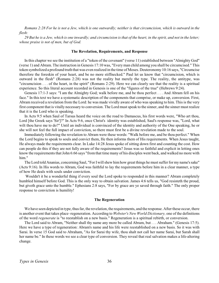*Romans 2:28 For he is not a Jew, which is one outwardly; neither is that circumcision, which is outward in the flesh:*

*29 But he is a Jew, which is one inwardly; and circumcision is that of the heart, in the spirit, and not in the letter; whose praise is not of men, but of God.*

### **The Revelation, Requirements, and Response**

In this chapter we see the institution of a "token of the covenant" (verse 11) established between "Almighty God" (verse 1) and Abram. The instruction in Genesis 17:10 was, "Every man child among you shall be circumcised." This token symbolized a profound truth that was even realized in the time of Moses. Deuteronomy 10:16 says, "Circumcise therefore the foreskin of your heart, and be no more stiffnecked." Paul let us know that "circumcision, which is outward in the flesh" (Romans 2:28) was not the reality but merely the type. The reality, the antitype, was "circumcision . . . of the heart, in the spirit" (Romans 2:29). Here we can clearly see that the reality is a spiritual experience. So this literal account recorded in Genesis is one of the "figures of the true" (Hebrews 9:24).

Genesis 17:1-3 says: "I am the Almighty God; walk before me, and be thou perfect . . . And Abram fell on his face." In this text we have a systematic description of the components that comprise, or make up, conversion. First, Abram received a revelation from the Lord: he was made vividly aware of who was speaking to him. This is the very first component that is vitally necessary to conversion. The Lord must speak to the sinner, and the sinner must realize that it is the Lord who is speaking.

In Acts 9:5 when Saul of Tarsus heard the voice on the road to Damascus, his first words were, "Who art thou, Lord [the Greek says 'Sir']?" In Acts 9:6, once Christ's identity was established, Saul's response was, "Lord, what wilt thou have me to do?" Until an individual is convinced of the identity and authority of the One speaking, he or she will not feel the full impact of conviction, so there must first be a divine revelation made to the soul.

Immediately following the revelation to Abram were these words: "Walk before me, and be thou perfect." When the Lord begins to speak to souls and convict them, He then informs them of His requirements. When Jesus taught, He always made the requirements clear. In Luke 14:28 Jesus spoke of sitting down first and counting the cost. How can people do this if they are not fully aware of the requirements? Jesus was so faithful and explicit in letting ones know the requirements that John 6:66 says "from that time many of his disciples went back, and walked no more with him."

The Lord told Ananias, concerning Saul, "For I will shew him how great things he must suffer for my name's sake" (Acts 9:16). In His words to Abram, God was faithful to lay the requirements before him in a clear manner, a type of how He deals with souls under conviction.

Wouldn't it be a wonderful thing if every soul the Lord spoke to responded in this manner? Abram completely humbled himself before God. This is the only way to obtain salvation. James 4:6 tells us, "God resisteth the proud, but giveth grace unto the humble." Ephesians 2:8 says, "For by grace are ye saved through faith." The only proper response to conviction is humility!

#### **The Regeneration**

We have seen depicted in type, thus far, the revelation, the requirements, and the response. After these occur, there is another event that takes place–regeneration. According to *Webster's New World Dictionary,* one of the definitions of the word *regenerate* is "to reestablish on a new basis." Regeneration is a spiritual rebirth, or conversion.

The Lord said to Abram, "Neither shall thy name any more be called Abram, but . . . Abraham." (Genesis 17:5). Here we have a type of regeneration: Abram's name and his life were reestablished on a new basis. So it was with Sarai. In verse 15 God said to Abraham, "As for Sarai thy wife, thou shalt not call her name Sarai, but Sarah shall her name be." In these words we see a clear type of conversion. They reveal that real salvation makes a life-altering change.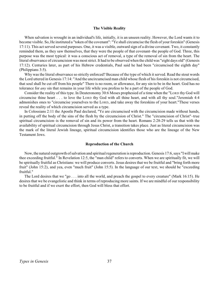#### **The Visible Reality**

When salvation is wrought in an individual's life, initially, it is an unseen reality. However, the Lord wants it to become visible. So, He instituted a "token of the covenant": "Ye shall circumcise the flesh of your foreskin" (Genesis 17:11). This act served several purposes. One, it was a visible, outward sign of a divine covenant. Two, it constantly reminded them, as they saw themselves, that they were the people of that covenant–the people of God. Three, this purpose was the most typical: it was a conscious act of removal, a type of the removal of sin from the heart. The literal observance of circumcision was most strict. It had to be observed when the child was "eight days old" (Genesis 17:12). Centuries later, as part of his Hebrew credentials, Paul said he had been "circumcised the eighth day" (Philippians 3:5).

Why was the literal observance so strictly enforced? Because of the type of which it served. Read the stout words the Lord uttered in Genesis 17:14: "And the uncircumcised man child whose flesh of his foreskin is not circumcised, that soul shall be cut off from his people" There is no room, or allowance, for any sin to be in the heart. God has no tolerance for *any* sin that remains in your life while you profess to be a part of the people of God.

Consider the reality of this type. In Deuteronomy 30:6 Moses prophesied of a time when the "LORD thy God will circumcise thine heart . . . to love the LORD thy God with all thine heart, and with all thy soul."Jeremiah 4:4 admonishes ones to "circumcise yourselves to the LORD, and take away the foreskins of your heart."These verses reveal the reality of which circumcision served as a type.

In Colossians 2:11 the Apostle Paul declared, "Ye are circumcised with the circumcision made without hands, in putting off the body of the sins of the flesh by the circumcision of Christ." The "circumcision of Christ"–true spiritual circumcision–is the removal of sin and its power from the heart. Romans 2:28-29 tells us that with the availability of spiritual circumcision through Jesus Christ, a transition takes place. Just as literal circumcision was the mark of the literal Jewish lineage, spiritual circumcision identifies those who are the lineage of the New Testament Jews.

### **Reproduction of the Church**

Now, the natural outgrowth of salvation and spiritual regeneration is reproduction. Genesis 17:6, says "I will make thee exceeding fruitful." In Revelation 12:5, the "man child" refers to converts. When we are spiritually fit, we will be spiritually fruitful as Christians: we will produce converts. Jesus desires that we be fruitful and "bring forth more fruit" (John 15:2), and yea, even "much fruit" (John 15:5). In the language of our text, we should be "exceeding fruitful."

The Lord desires that we "go . . . into all the world, and preach the gospel to every creature" (Mark 16:15). He desires that we be evangelistic and think in terms of reproducing more saints. If we are mindful of our responsibility to be fruitful and if we exert the effort, then God will bless that effort.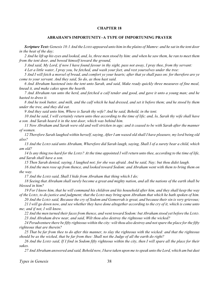# **ABRAHAM'S IMPORTUNITY–A TYPE OF IMPORTUNING PRAYER**

<span id="page-40-0"></span>*Scripture Text: Genesis 18:1 And the LORD appeared unto him in the plains of Mamre: and he sat in the tent door in the heat of the day;*

*2 And he lift up his eyes and looked, and, lo, three men stood by him: and when he saw them, he ran to meet them from the tent door, and bowed himself toward the ground,*

*3 And said, My Lord, if now I have found favour in thy sight, pass not away, I pray thee, from thy servant:*

*4 Let a little water, I pray you, be fetched, and wash your feet, and rest yourselves under the tree:*

*5 And I will fetch a morsel of bread, and comfort ye your hearts; after that ye shall pass on: for therefore are ye come to your servant. And they said, So do, as thou hast said.*

*6 And Abraham hastened into the tent unto Sarah, and said, Make ready quickly three measures of fine meal, knead it, and make cakes upon the hearth.*

*7 And Abraham ran unto the herd, and fetched a calf tender and good, and gave it unto a young man; and he hasted to dress it.*

*8 And he took butter, and milk, and the calf which he had dressed, and set it before them; and he stood by them under the tree, and they did eat.*

*9 And they said unto him, Where is Sarah thy wife? And he said, Behold, in the tent.*

*10 And he said, I will certainly return unto thee according to the time of life; and, lo, Sarah thy wife shall have a son. And Sarah heard it in the tent door, which was behind him.*

*11 Now Abraham and Sarah were old and well stricken in age; and it ceased to be with Sarah after the manner of women.*

*12 Therefore Sarah laughed within herself, saying, After I am waxed old shall I have pleasure, my lord being old also?*

*13 And the LORD said unto Abraham, Wherefore did Sarah laugh, saying, Shall I of a surety bear a child, which am old?*

*14 Is any thing too hard for the LORD? At the time appointed I will return unto thee, according to the time of life, and Sarah shall have a son.*

*15 Then Sarah denied, saying, I laughed not; for she was afraid. And he said, Nay; but thou didst laugh.*

*16 And the men rose up from thence, and looked toward Sodom: and Abraham went with them to bring them on the way.*

*17 And the LORD said, Shall I hide from Abraham that thing which I do;*

*18 Seeing that Abraham shall surely become a great and mighty nation, and all the nations of the earth shall be blessed in him?*

*19 For I know him, that he will command his children and his household after him, and they shall keep the way of the LORD, to do justice and judgment; that the LORD may bring upon Abraham that which he hath spoken of him.*

*20 And the LORD said, Because the cry of Sodom and Gomorrah is great, and because their sin is very grievous;*

*21 I will go down now, and see whether they have done altogether according to the cry of it, which is come unto me; and if not, I will know.*

*22 And the men turned their faces from thence, and went toward Sodom: but Abraham stood yet before the LORD. 23 And Abraham drew near, and said, Wilt thou also destroy the righteous with the wicked?*

*24 Peradventure there be fifty righteous within the city: wilt thou also destroy and not spare the place for the fifty righteous that are therein?*

*25 That be far from thee to do after this manner, to slay the righteous with the wicked: and that the righteous should be as the wicked, that be far from thee: Shall not the Judge of all the earth do right?*

*26 And the LORD said, If I find in Sodom fifty righteous within the city, then I will spare all the place for their sakes.*

*27 And Abraham answered and said, Behold now, I have taken upon me to speak unto the Lord, which am but dust*

*Types in Genesis* 38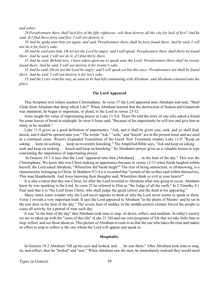*and ashes:*

*28 Peradventure there shall lack five of the fifty righteous: wilt thou destroy all the city for lack of five? And he said, If I find there forty and five, I will not destroy it.*

*29 And he spake unto him yet again, and said, Peradventure there shall be forty found there. And he said, I will not do it for forty's sake.*

*30 And he said unto him, Oh let not the Lord be angry, and I will speak: Peradventure there shall thirty be found there. And he said, I will not do it, if I find thirty there.*

*31 And he said, Behold now, I have taken upon me to speak unto the Lord: Peradventure there shall be twenty found there. And he said, I will not destroy it for twenty's sake.*

*32 And he said, Oh let not the Lord be angry, and I will speak yet but this once: Peradventure ten shall be found there. And he said, I will not destroy it for ten's sake.*

*33 And the LORD went his way, as soon as he had left communing with Abraham: and Abraham returned unto his place.*

#### **The Lord Appeared**

This Scripture text relates another Christophany. In verse 17 the Lord appeared unto Abraham and said, "Shall I hide from Abraham that thing which I do?" When Abraham learned that the destruction of Sodom and Gomorrah was imminent, he began to importune, or plead, to the Lord in verses 23-32.

Jesus taught the value of importuning prayer in Luke 11:5-8. There He told the story of one who asked a friend for some loaves of bread at midnight. In verse 8 Jesus said, "Because of his importunity he will rise and give him as many as he needeth."

Luke 11:9 gives us a good definition of importunity: "Ask, and it shall be given you; seek, and ye shall find; knock, and it shall be opened unto you." The words "Ask," "seek," and "knock" are in the present tense and are used in a continual sense. Wuest's Expanded Translation of the Greek New Testament renders Luke 11:9: "Keep on asking . . . keep on seeking . . . keep on reverently knocking." The Amplified Bible says, "Ask and keep on asking . . . seek and keep on seeking . . . knock and keep on knocking." So Abraham's prayer gives us a valuable lesson in type concerning the importance of importuning prayer.

In Genesis 18:1 it says that the Lord "appeared unto him [Abraham] . . . in the heat of the day." This was the Christophany. We know this was Christ making an appearance because in verses 12-13 when Sarah laughed within herself, the Lord asked Abraham, "Wherefore did Sarah laugh?" The trait of being omniscient, or all-knowing, is a characteristic belonging to Christ. In Matthew 9:3-4 it is recorded that "certain of the scribes said within themselves, This man blasphemeth. And Jesus knowing their thoughts said, Wherefore think ye evil in your hearts?"

It is also evident that this was Christ, for after the Lord revealed to Abraham what was going to occur, Abraham knew he was speaking to the Lord. In verse 25 he referred to Him as "the Judge of all the earth." In 2 Timothy 4:1 Paul said that it is "the Lord Jesus Christ, who shall judge the quick [alive] and the dead at his appearing."

Many times some wonder why the Lord never appears to them or why the Lord never seems to speak to them. Verse 1 reveals a very important truth. It says the Lord appeared to Abraham "in the plains of Mamre: and he sat in the tent door in the heat of the day." The severe heat of midday in the middle-eastern climate forced the people to cease all activity for a period of time each day.

It was "in the heat of the day" that Abraham took time to stop, sit down, reflect, and meditate. In today's society we are so taken up with the "cares of this life" (Luke 21:34) and our own programs of life that we take little time to stop, reflect, and see those about us. This picture of Abraham reveals to us that the one who takes the time and makes an effort to stop to reflect is the one whom the Lord will appear and speak to.

### **Hospitality**

In Genesis 18:2 Abraham "lift up his eyes and looked, and . . . he saw them." After Abraham took time to stop, sit, and reflect, then he "looked" and "saw." When Abraham saw the men, he immediately realized they would need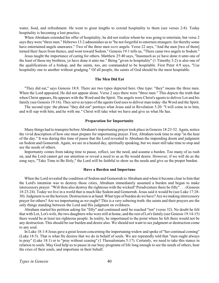water, food, and refreshment. He went to great lengths to extend hospitality to them (see verses 2-8). Today hospitality is becoming a lost practice.

When Abraham extended his offer of hospitality, he did not realize whom he was going to entertain, but verse 2 says they were "three men." Hebrews 13:2 admonishes us to "be not forgetful to entertain strangers: for thereby some have entertained angels unawares." Two of the three men *were* angels. Verse 22 says, "And the men [two of them] turned their faces from thence, and went toward Sodom." Genesis 19:1 tells us, "There came two angels to Sodom."

Jesus taught the importance of caring for others. Matthew 25:40 says, "Inasmuch as ye have done it unto one of the least of these my brethren, ye have done it unto me." Being "given to hospitality" (1 Timothy 3:2) is also one of the qualifications of a bishop, and the saints, too, are commanded to be hospitable. First Peter 4:9 says, "Use hospitality one to another without grudging." Of all people, the saints of God should be the most hospitable.

### **The Men Did Eat**

"They did eat," says Genesis 18:8. There are two types depicted here. One type: "they" means the three men. When the Lord appeared, He did not appear alone. Verse 2 says there were "three men." This depicts the truth that when Christ appears, He appears with the Word and the Spirit. The angels were Christ's agents to deliver Lot and his family (see Genesis 19:16). They serve as types of the agents God uses to deliver man today–the Word and the Spirit.

The second type: the phrase "they did eat" portrays what Jesus said in Revelation 3:20: "I will come in to him, and will sup with him, and he with me." Christ will take what we have and give us what He has.

### **Preparation for Importunity**

Many things had to transpire before Abraham's importuning prayer took place in Genesis 18:23-32. Again, notice the vivid description of how one must prepare for importuning prayer. First, Abraham took time to stop "in the heat of the day." It was during this time of pause that the Lord revealed to Abraham the impending doom and judgment on Sodom and Gomorrah. Again, we are in a heated day, spiritually speaking, but we must still take time to stop and see the needs of others.

Importunity comes from taking time to pause, reflect, see the need, and assume a burden. Too many of us rush on, and the Lord cannot get our attention or reveal a need to us as He would desire. However, if we will do as the song says, "Take Time to Be Holy," the Lord will be faithful to show us the needs and give us the proper burden.

#### **Have a Burden and Importune**

When the Lord revealed the condition of Sodom and Gomorrah to Abraham and when it became clear to him that the Lord's intention was to destroy those cities, Abraham immediately assumed a burden and began to make intercessory prayer: "Wilt thou also destroy the righteous with the wicked? Peradventure there be fifty" . . . (Genesis 18:23-24). Today we live in a world that is much like Sodom and Gomorrah. Jesus said it would be (see Luke 17:28- 30). Judgment is on the horizon. Destruction is at hand. What type of burden do we have? Are we making intercessory prayer for others? Are we importuning as we ought? This is a very sobering truth–the saints and their prayers are the only things standing between the Lord and His judgment on evildoers.

Abraham started his petition asking for "fifty" and continued until he reached "ten" (verse 32). No doubt he felt that with Lot, Lot's wife, the two daughters who were still at home, and the rest of Lot's family (see Genesis 19:14-15) there would be at least ten righteous people. In reality, he importuned to the point where he felt there would not be any destruction. This should be our burden and desire also. We should not want to see judgment or destruction come to any soul.

In Luke 18:1-8 Jesus gave a great lesson concerning the importuning widow and spoke of "her continual coming" (Luke 18:5). That is what He desires that we do in behalf of souls. We are repeatedly told that "men ought always to pray" (Luke 18:1) or to "pray without ceasing" (1 Thessalonians 5:17). Certainly, we need to take this stance in relation to souls. May God help us to pause in our busy programs of life long enough to see the needs of others, hear the cries of their souls, and importune in their behalf.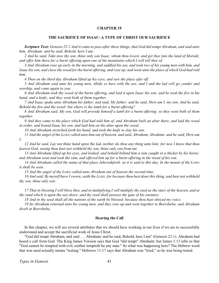### **THE SACRIFICE OF ISAAC–A TYPE OF CHRIST OUR SACRIFICE**

<span id="page-43-0"></span>*Scripture Text: Genesis 22:1 And it came to pass after these things, that God did tempt Abraham, and said unto him, Abraham: and he said, Behold, here I am.*

*2 And he said, Take now thy son, thine only son Isaac, whom thou lovest, and get thee into the land of Moriah; and offer him there for a burnt offering upon one of the mountains which I will tell thee of.*

*3 And Abraham rose up early in the morning, and saddled his ass, and took two of his young men with him, and Isaac his son, and clave the wood for the burnt offering, and rose up, and went unto the place of which God had told him.*

*4 Then on the third day Abraham lifted up his eyes, and saw the place afar off.*

*5 And Abraham said unto his young men, Abide ye here with the ass; and I and the lad will go yonder and worship, and come again to you.*

*6 And Abraham took the wood of the burnt offering, and laid it upon Isaac his son; and he took the fire in his hand, and a knife; and they went both of them together.*

*7 And Isaac spake unto Abraham his father, and said, My father: and he said, Here am I, my son. And he said, Behold the fire and the wood: but where is the lamb for a burnt offering?*

8 And Abraham said, My son, God will provide himself a lamb for a burnt offering: so they went both of them *together.*

*9 And they came to the place which God had told him of; and Abraham built an altar there, and laid the wood in order, and bound Isaac his son, and laid him on the altar upon the wood.*

*10 And Abraham stretched forth his hand, and took the knife to slay his son.*

*11 And the angel of the LORD called unto him out of heaven, and said, Abraham, Abraham: and he said, Here am I.*

*12 And he said, Lay not thine hand upon the lad, neither do thou any thing unto him: for now I know that thou fearest God, seeing thou hast not withheld thy son, thine only son from me.*

*13 And Abraham lifted up his eyes, and looked, and behold behind him a ram caught in a thicket by his horns: and Abraham went and took the ram, and offered him up for a burnt offering in the stead of his son.*

*14 And Abraham called the name of that place Jehovahjireh: as it is said to this day, In the mount of the LORD it shall be seen.*

*15 And the angel of the LORD called unto Abraham out of heaven the second time,*

*16 And said, By myself have I sworn, saith the LORD, for because thou hast done this thing, and hast not withheld thy son, thine only son:*

*17 That in blessing I will bless thee, and in multiplying I will multiply thy seed as the stars of the heaven, and at the sand which is upon the sea shore; and thy seed shall possess the gate of his enemies;*

*18 And in thy seed shall all the nations of the earth be blessed; because thou hast obeyed my voice.*

*19 So Abraham returned unto his young men, and they rose up and went together to Beersheba; and Abraham dwelt at Beersheba.*

### **Hearing the Call**

In this chapter, we will see several attributes that we should have working in our lives if we are to successfully understand and accept the sacrificial work of Jesus Christ.

"God did tempt Abraham, and said . . . Abraham: and he said, Behold, here I am" (Genesis 22:1). Abraham had heard a call from God. The King James Version says that God "did tempt" Abraham; but James 1:13 tells us that "God cannot be tempted with evil, neither tempteth he any man." So what was happening here? The Hebrew word that was used actually means "testing." Hebrews 11:17 says that Abraham was "tried," so he was being tested.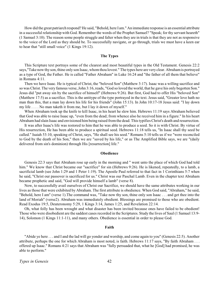How did the great patriarch respond? He said, "Behold, here I am." An immediate response is an essential attribute in a successful relationship with God. Remember the words of the Prophet Samuel? "Speak; for thy servant heareth" (1 Samuel 3:10). The reason some people struggle and falter when they are in trials is that they are not as responsive to the voice of the Lord as they should be. To successfully navigate, or go through, trials we must have a keen ear to hear that "still small voice" (1 Kings 19:12).

### **The Types**

This Scripture text portrays some of the clearest and most beautiful types in the Old Testament. Genesis 22:2 says,"Take now thy son, thine only son Isaac, whom thou lovest." The types here are very clear. Abraham is portrayed as a type of God, the Father. He is called "Father Abraham" in Luke 16:24 and "the father of all them that believe" in Romans 4:11.

Then we have Isaac. He is typical of Christ, the "beloved Son" (Matthew 3:17). Isaac was a willing sacrifice and so was Christ. The very famous verse, John 3:16, reads, "God so loved the world, that he gave his only begotten Son." Jesus did "put away sin by the sacrifice of himself" (Hebrews 9:26). But first, God had to offer His "beloved Son" (Matthew 17:5) as a sacrifice. This is the antitype of the type portrayed in the text. Jesus said, "Greater love hath no man than this, that a man lay down his life for his friends" (John 15:13). In John 10:17-18 Jesus said: "I lay down my life . . . . No man taketh it from me, but I lay it down of myself."

When Abraham took up the knife to kill Isaac, in his heart he slew him. Hebrews 11:19 says Abraham believed that God was able to raise Isaac up, "even from the dead; from whence also he received him in a figure." In his heart Abraham had slain Isaac and envisioned him being raised from the dead. This typifies Christ's death and resurrection.

It was after Isaac's life was restored to him that he was able to produce a seed. So it is with Christ. By virtue of His resurrection, He has been able to produce a spiritual seed. Hebrews 11:18 tells us, "In Isaac shall thy seed be called." Isaiah 53:10, speaking of Christ, says, "He shall see his seed." Romans 5:10 tells us if we "were reconciled to God by the death of his Son," then we are "saved by his life," or as The Amplified Bible says, we are "(daily delivered from sin's dominion) through His [resurrection] life."

# **Obedience**

Genesis 22:3 says that Abraham rose up early in the morning and " went unto the place of which God had told him." We know that Christ became our "sacrifice" for sin (Hebrews 9:26). He is likened, repeatedly, to a lamb, a sacrificial lamb (see John 1:29 and 1 Peter 1:19). The Apostle Paul referred to that fact in 1 Corinthians 5:7 when he said, "Christ our passover is sacrificed for us." Christ was our Paschal Lamb. Even in the chapter text Abraham became prophetic and said, "God will provide himself a lamb" (verse 8).

Now, to successfully avail ourselves of Christ our Sacrifice, we should have the same attributes working in our lives as those that were exhibited by Abraham. The first attribute is obedience. When God said, "Abraham," he said, "Behold, here I am" (verse 1).The command was, "Take now thy son, thine only son Isaac . . . and get thee into the land of Moriah" (verse2). Abraham was immediately obedient. Blessings are promised to those who are obedient. Read Exodus 19:5, Deuteronomy 5:29, 1 Kings 3:14, James 1:25, and Revelation 22:14.

Oh, what folly has been wrought and what disaster has been invited because ones have failed to be obedient! Those who were disobedient are the saddest cases recorded in the Scriptures. Study the lives of Saul (1 Samuel 13:9- 14), Solomon (1 Kings 11:1-11), and many others. Obedience is essential in order to please God.

#### **Faith**

"Abide ye here . . . and I and the lad will go yonder and worship, and come again to you" (Genesis 22:5). Another attribute, perhaps the one for which Abraham is most noted, is faith. Hebrews 11:17 says, "By faith Abraham . . . offered up Isaac." Romans 4:21 says that Abraham was "fully persuaded that, what he [God] had promised, he was able to perform."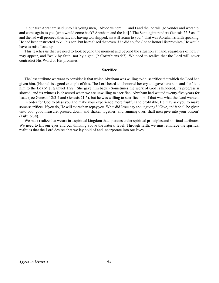In our text Abraham said unto his young men, "Abide ye here . . . and I and the lad will go yonder and worship, and come again to you [who would come back? Abraham and the lad]." The Septuagint renders Genesis 22:5 as: "I and the lad will proceed thus far, and having worshipped, *we* will return to you." That was Abraham's faith speaking. He had been instructed to kill his son; but he realized that even if he did so, for God to honor His promises, He would have to raise Isaac up.

This teaches us that we need to look beyond the moment and beyond the situation at hand, regardless of how it may appear, and "walk by faith, not by sight" (2 Corinthians 5:7). We need to realize that the Lord will never contradict His Word or His promises.

### **Sacrifice**

The last attribute we want to consider is that which Abraham was willing to do: sacrifice that which the Lord had given him. (Hannah is a good example of this. The Lord heard and honored her cry and gave her a son, and she "lent him to the LORD" [1 Samuel 1:28]. She gave him back.) Sometimes the work of God is hindered, its progress is slowed, and its witness is obscured when we are unwilling to sacrifice. Abraham had waited twenty-five years for Isaac (see Genesis 12:3-4 and Genesis 21:5), but he was willing to sacrifice him if that was what the Lord wanted.

In order for God to bless you and make your experience more fruitful and profitable, He may ask you to make some sacrifices. If you do, He will more than repay you. What did Jesus say about giving? "Give, and it shall be given unto you; good measure, pressed down, and shaken together, and running over, shall men give into your bosom" (Luke 6:38).

We must realize that we are in a spiritual kingdom that operates under spiritual principles and spiritual attributes. We need to lift our eyes and our thinking above the natural level. Through faith, we must embrace the spiritual realities that the Lord desires that we lay hold of and incorporate into our lives.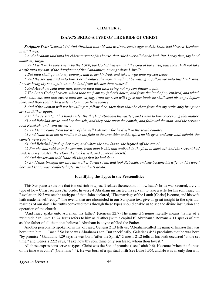# **ISAAC'S BRIDE–A TYPE OF THE BRIDE OF CHRIST**

<span id="page-46-0"></span>*Scripture Text: Genesis 24:1 And Abraham was old, and well stricken in age: and the LORD had blessed Abraham in all things.*

*2 And Abraham said unto his eldest servant of his house, that ruled over all that he had, Put, I pray thee, thy hand under my thigh:*

*3 And I will make thee swear by the LORD, the God of heaven, and the God of the earth, that thou shalt not take a wife unto my son of the daughters of the Canaanites, among whom I dwell:*

*4 But thou shalt go unto my country, and to my kindred, and take a wife unto my son Isaac.*

*5 And the servant said unto him, Peradventure the woman will not be willing to follow me unto this land: must I needs bring thy son again unto the land from whence thou camest?*

*6 And Abraham said unto him, Beware thou that thou bring not my son thither again.*

*7 The LORD God of heaven, which took me from my father's house, and from the land of my kindred, and which spake unto me, and that sware unto me, saying, Unto thy seed will I give this land; he shall send his angel before thee, and thou shalt take a wife unto my son from thence.*

*8 And if the woman will not be willing to follow thee, then thou shalt be clear from this my oath: only bring not my son thither again.*

*9 And the servant put his hand under the thigh of Abraham his master, and sware to him concerning that matter.*

*61 And Rebekah arose, and her damsels, and they rode upon the camels, and followed the man: and the servant took Rebekah, and went his way.*

*62 And Isaac came from the way of the well Lahairoi; for he dwelt in the south country.*

*63 And Isaac went out to meditate in the field at the eventide: and he lifted up his eyes, and saw, and, behold, the camels were coming.*

*64 And Rebekah lifted up her eyes, and when she saw Isaac, she lighted off the camel.*

*65 For she had said unto the servant, What man is this that walketh in the field to meet us? And the servant had said, It is my master: therefore she took a veil, and covered herself.*

*66 And the servant told Isaac all things that he had done.*

*67 And Isaac brought her into his mother Sarah's tent, and took Rebekah, and she became his wife; and he loved her: and Isaac was comforted after his mother's death.*

### **Identifying the Types in the Personalities**

This Scripture text is one that is most rich in types. It relates the account of how Isaac's bride was secured, a vivid type of how Christ secures *His* bride. In verse 4 Abraham instructed his servant to take a wife for his son, Isaac. In Revelation 19:7 we see the antitype of that. John declared, "The marriage of the Lamb [Christ] is come, and his wife hath made herself ready." The events that are chronicled in our Scripture text give us great insight to the spiritual realities of our day. The truths conveyed to us through these types should enable us to see the divine institution and operation of the church.

"And Isaac spake unto Abraham his father" (Genesis 22:7).The name *Abraham* literally means "father of a multitude." In Luke 16:24 Jesus refers to him as "Father [with a capital F] Abraham." Romans 4:11 speaks of him as "the father of all them that believe." Abraham is a type of God the Father.

Another personality spoken of is that of Isaac*.* Genesis 21:3 tells us, "Abraham called the name of his *son* that was born unto him . . . Isaac." So Isaac was Abraham's son. But specifically, Galatians 4:23 proclaims that he was born "by promise." Galatians 4:29 says he was born "after the Spirit," Genesis 21:2 tells us his birth occurred "at the set time," and Genesis 22:2 says, "Take now thy son, thine only son Isaac, whom thou lovest."

All these expressions serve as types. Christ was the Son of promise ( see Isaiah 9:6). He came "when the fulness of the time was come" (Galatians 4:4). He was born of a spiritual birth (see Luke 1:35), and He was an only Son who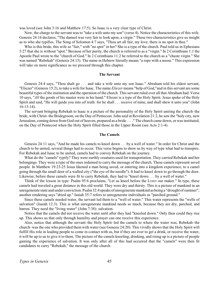was loved (see John 3:16 and Matthew 17:5). So Isaac is a very clear type of Christ.

Now, the charge to the servant was to "take a wife unto my son" (verse 4). Notice the characteristics of this wife. Genesis 24:16 declares, "The damsel was very fair to look upon, a virgin." These two characteristics give us insight as to who she typifies. The Song of Solomon 4:7 says, "Thou art all fair, my love; there is no spot in thee."

Who is this bride, this wife so "fair," with "no spot" in her? She is a type of the church. Paul told us in Ephesians 5:27 that she is without "spot." Because of her purity, the church is referred to as a "virgin." In 2 Corinthians 1:1 the Apostle Paul wrote to the "church of God." In 2 Corinthians 11:2 he referred to the church as a "chaste virgin." She was named "Rebekah" (Genesis 24:15). The name in Hebrew literally means "a rope with a noose." This expression will take on more significance as we proceed through this chapter.

### **The Servant**

Genesis 24:4 says, "Thou shalt go . . . and take a wife unto my son Isaac." Abraham told his eldest servant, "Eliezer" (Genesis 15:2), to take a wife for Isaac. The name *Eliezer* means "help of God,"and in this servant are some beautiful types of the institution and the operation of the church*.* This servant ruled over all that Abraham had. Verse 10 says, "*All* the goods of his master were in his hand." Eliezer is a type of the Holy Spirit. Jesus spoke of the Holy Spirit and said, "He will guide you into *all* truth: for he shall . . . receive of mine, and shall shew it unto you" (John 16:13-14).

The servant bringing Rebekah to Isaac is a picture of the personality of the Holy Spirit uniting the church–the bride, with Christ–the Bridegroom, on the Day of Pentecost. John said in Revelation 21:2, he saw the "holy city, new Jerusalem, coming down from God out of heaven, prepared as a bride . . . ." The church came down, or was instituted, on the Day of Pentecost when the Holy Spirit filled those in the Upper Room (see Acts 2:1-4).

### **The Camels**

Genesis 24:11 says, "And he made his camels to kneel down . . . by a well of water." In order for Christ and the church to be united, several things had to occur. This verse begins to show us by way of type what had to transpire. For Rebekah and Isaac to be united, camels had to convey Rebekah on the journey.

What do the "camels" typify? They were earthly creatures used for transportation. They carried Rebekah and her belongings. They were a type of the ones ordained to carry the message of the church. These camels represent saved people. In Matthew 19:23-25 Jesus likened a man being saved, or entering into a kingdom experience, to a camel going through the small door of a walled city ("the eye of the needle"). It had to kneel down to go through the door. Likewise, before these camels were fit to carry Rebekah, they had to "kneel down . . . by a well of water."

Think of the lesson in type: Psalm 95:6 proclaims, "Let us kneel before the LORD our maker." In type, these camels had traveled a great distance in this old world. They were dry and thirsty. This is a picture of mankind in an unregenerate state and under conviction. Psalm 32:4 speaks of unregenerate mankind as being a "drought of summer"; another rendering says "dried up." Isaiah 35:7 refers to unregenerate individuals as "parched ground."

Since these camels needed water, the servant led them to a "well of water." This water represents the "wells of salvation" (Isaiah 12:3). This is what unregenerate mankind needs so much, because they are dry, parched, and barren. They need the "living water" (John 7:38): salvation.

Notice that the camels did not receive the water until after they had "kneeled down." Only then could they rise up. This shows us that only through humility and prayer can one receive this experience.

Also, notice that although the servant–the Holy Spirit–led the camels to where the water was, Rebekah–the church–was the one who provided them with water (see Genesis 24:20). This vividly shows that the Holy Spirit will fulfill His role in leading people to come in contact with us, but if they are ever to get a drink, or receive the water, it will be up to us to give it to them. The picture of the camels kneeling, drinking, and rising up is a picture of people gaining the experience of salvation. It was only after all of this had occurred that the "camels" were then fit candidates to carry "Rebekah," the message of the church.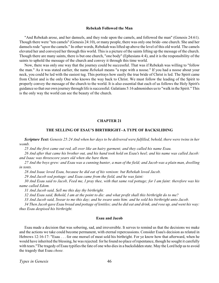#### **Rebekah Followed the Man**

<span id="page-48-0"></span>"And Rebekah arose, and her damsels, and they rode upon the camels, and followed the man" (Genesis 24:61). Though there were "ten camels" (Genesis 24:10), or many people, there was only one bride–one church. She and her damsels rode "*upon* the camels." In other words, Rebekah was lifted up above the level of this old world. The camels elevated her and conveyed her through this world. This is a picture of the saints lifting up the message of the church. Though there are many saints, there is but one church, "one body" (Ephesians 4:4), and it is the responsibility of the saints to uphold the message of the church and convey it through this time world.

Now, there was only one way that the journey could be successful. That was if Rebekah was willing to "follow the man." As it was stated earlier, the name *Rebekah* means "a rope with a noose." If you had a noose about your neck, you could be led with the easiest tug. This portrays how easily the true bride of Christ is led. The Spirit came from Christ and is the only One who knows the way back to Christ. We must follow the leading of the Spirit to properly convey the message of the church to the world. It is also essential that each of us follows the Holy Spirit's guidance so that our own journey through life is successful. Galatians 5:16 admonishes us to "walk in the Spirit." This is the only way the world can see the beauty of the church.

### **CHAPTER 21**

### **THE SELLING OF ESAU'S BIRTHRIGHT–A TYPE OF BACKSLIDING**

*Scripture Text: Genesis 25:24 And when her days to be delivered were fulfilled, behold, there were twins in her womb.*

*25 And the first came out red, all over like an hairy garment; and they called his name Esau.*

*26 And after that came his brother out, and his hand took hold on Esau's heel; and his name was called Jacob: and Isaac was threescore years old when she bare them.*

*27 And the boys grew: and Esau was a cunning hunter, a man of the field; and Jacob was a plain man, dwelling in tents.*

*28 And Isaac loved Esau, because he did eat of his venison: but Rebekah loved Jacob.*

*29 And Jacob sod pottage: and Esau came from the field, and he was faint:*

*30 And Esau said to Jacob, Feed me, I pray thee, with that same red pottage; for I am faint: therefore was his name called Edom.*

*31 And Jacob said, Sell me this day thy birthright.*

*32 And Esau said, Behold, I am at the point to die: and what profit shall this birthright do to me?*

*33 And Jacob said, Swear to me this day; and he sware unto him: and he sold his birthright unto Jacob.*

*34 Then Jacob gave Esau bread and pottage of lentiles; and he did eat and drink, and rose up, and went his way: thus Esau despised his birthright.*

### **Esau and Jacob**

Esau made a decision that was sobering, sad, and irreversible. It serves to remind us that the decisions we make and the actions we take could become permanent, with eternal repercussions. Consider Esau's decision as related in Hebrews 12:16-17: "Esau . . . for one morsel of meat sold his birthright. For ye know how that afterward, when he would have inherited the blessing, he was rejected: for he found no place of repentance, though he sought it carefully with tears."The tragedy of Esau typifies the fate of one who dies in a backslidden state. May the Lord help us to avoid the tragedy that Esau *chose.*

*Types in Genesis* 46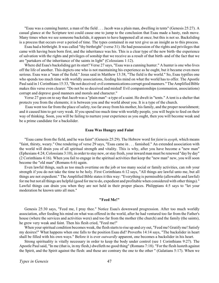"Esau was a cunning hunter, a man of the field . . . Jacob was a plain man, dwelling in tents" (Genesis 25:27). A casual glance at the Scripture text could cause one to jump to the conclusion that Esau made a hasty, rash move. Many times when we see someone backslide, it appears to have happened all at once; but this is not so. Backsliding is a process that occurs over a period of time. The types contained in our text give us an insight as to this process.

Esau had a birthright. It was called "thy birthright" (verse 31). He had possession of the rights and privileges that came with having been born first, and the inheritance was his. This is a clear type of the new birth–the experience of salvation with the rights and privileges of sonship that we receive as a result of that birth–and of the fact that we are "partakers of the inheritance of the saints in light" (Colossians 1:12).

Where did Esau's backsliding get its start? Verse 27 says, "Esau was a cunning hunter." A hunter is one who lives off the life of another. This depicts one who is not maintaining his experience as he ought, but it became even more serious. Esau was a "man of the field." Jesus said in Matthew 13:38, "The field is the world." So, Esau typifies one who spends too much time with worldly associations, feeding his mind on what the world has to offer. The Apostle Paul said in 1 Corinthians 15:33, "Be not deceived: evil communications corrupt good manners." The Amplified Bible makes this verse even clearer: "Do not be so deceived and misled! Evil companionships (communion, associations) corrupt and deprave good manners and morals and character."

Verse 27 goes on to say that Jacob was a "plain man"–a type of a saint. He dwelt in "tents." A tent is a shelter that protects you from the elements; it is between you and the world about you. It is a type of the church.

 Esau went too far from the place ofsafety, too far away from his mother, his family, and the proper nourishment; and it caused him to get very weak. If you spend too much time with worldly people, you will begin to feed on their way of thinking. Soon, you will be failing to nurture your experience as you ought, then you will become weak and be a prime candidate for a backslider.

### **Esau Was Hungry and Faint**

"Esau came from the field, and he was faint" (Genesis 25:29). The Hebrew word for *faint* is *ayeph*, which means "faint, thirsty, weary." One rendering of verse 29 says, "Esau came in . . . famished." An extended association with the world will drain you of all spiritual strength and vitality. This is why, after you have become a "new man" (Ephesians 4:24; Colossians 3:10), in order to stay new, or stay fresh, your inward man must be renewed "day by day" (2 Corinthians 4:16). When you fail to engage in the spiritual activities that keep the "new man" new, you will soon become the "old man" (Romans 6:6) again.

Even lawful things, such as too much overtime on the job or too many social or family activities, can rob your strength if you do not take the time to be holy. First Corinthians 6:12 says, "All things are lawful unto me, but all things are not expedient." The Amplified Bible states it this way: "Everything is permissible (allowable and lawful) for me but not all things are helpful (good for me to do, expedient and profitable when considered with other things)." Lawful things can drain you when they are not held in their proper places. Philippians 4:5 says to "let your moderation be known unto all men."

#### **"Feed Me!"**

Genesis 25:30 says, "Feed me, I pray thee." Notice Esau's downward progression. After too much worldly association, after feeding his mind on what was offered in the world, after he had ventured too far from the Father's house (where the services and activities were) and too far from the mother (the church) and the family (the saints), he grew very weak and faint. Then his flesh cried, "Feed me!"

When your spiritual condition becomes weak, the flesh starts to rise up and cry out, "Feed me! Gratify me! Satisfy my desires!" What happens when one falls to the position Esau did? Proverbs 14:14 says, "The backslider in heart shall be filled with his own ways." Before it is ever *outwardly* apparent, one becomes a backslider in his heart.

Strong spirituality is vitally necessary in order to keep the body under control (see 1 Corinthians 9:27). The Apostle Paul said, "In me (that is, in my flesh,) dwelleth no good thing" (Romans 7:18). "For the flesh lusteth against the Spirit, and the Spirit against the flesh: and these are contrary the one to the other " (Galatians 5:17). When we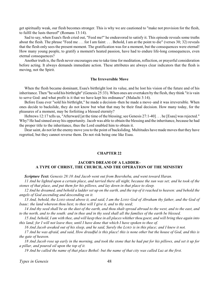<span id="page-50-0"></span>get spiritually weak, our flesh becomes stronger. This is why we are cautioned to "make not provision for the flesh, to fulfil the lusts thereof" (Romans 13:14).

Sad to say, when Esau's flesh cried out, "Feed me!" he endeavored to satisfy it. This episode reveals some truths about the flesh. The phrase "Feed me . . . for I am faint: . . . Behold, I am at the point to die" (verses 30; 32) reveals that the flesh only sees the present moment. The gratification was for a moment, but the consequences were eternal! How many young people, to gratify a moment's heated passion, have had to endure life-long consequences, even eternal consequences?

Another truth is, the flesh never encourages one to take time for meditation, reflection, or prayerful consideration before acting. It always demands immediate action. These attributes are always clear indicators that the flesh is moving, not the Spirit.

### **The Irreversible Move**

When the flesh became dominant, Esau's birthright lost its value, and he lost his vision of the future and of his inheritance. Then "he sold his birthright" (Genesis 25:33). When ones are overtaken by the flesh, they think "it is vain to serve God: and what profit is it that we have kept his ordinance" (Malachi 3:14).

Before Esau ever "sold his birthright," he made a decision–then he made a move–and it was irreversible. When ones decide to backslide, they do not know but what that may be their final decision. How many today, for the pleasures of a moment, may be forfeiting a blessed eternity?

Hebrews 12:17 tells us, "Afterward [at the time of the blessing; see Genesis 27:1-40] . . . he [Esau] was rejected." Why? He had sinned away his opportunity. Jacob was able to obtain the blessing and the inheritance, because he had the proper title to the inheritance, thus the Lord enabled him to obtain it.

Dear saint, do not let the enemy move you to the point of backsliding. Multitudes have made moves that they have regretted, but they cannot reverse them. Do not risk being one like Esau.

# **CHAPTER 22**

# **JACOB'S DREAM OF A LADDER– A TYPE OF CHRIST, THE CHURCH, AND THE OPERATION OF THE MINISTRY**

*Scripture Text: Genesis 28:10 And Jacob went out from Beersheba, and went toward Haran.*

*11 And he lighted upon a certain place, and tarried there all night, because the sun was set; and he took of the stones of that place, and put them for his pillows, and lay down in that place to sleep.*

*12 And he dreamed, and behold a ladder set up on the earth, and the top of it reached to heaven: and behold the angels of God ascending and descending on it.*

*13 And, behold, the LORD stood above it, and said, I am the LORD God of Abraham thy father, and the God of Isaac: the land whereon thou liest, to thee will I give it, and to thy seed;*

*14 And thy seed shall be as the dust of the earth, and thou shalt spread abroad to the west, and to the east, and to the north, and to the south: and in thee and in thy seed shall all the families of the earth be blessed.*

*15 And, behold, I am with thee, and will keep thee in all places whitherthou goest, and will bring thee again into this land; for I will not leave thee, until I have done that which I have spoken to thee of.*

*16 And Jacob awaked out of his sleep, and he said, Surely the LORD is in this place; and I knew it not.*

*17 And he was afraid, and said, How dreadful is this place! this is none other but the house of God, and this is the gate of heaven.*

*18 And Jacob rose up early in the morning, and took the stone that he had put for his pillows, and set it up for a pillar, and poured oil upon the top of it.*

*19 And he called the name of that place Bethel: but the name of that city was called Luz at the first.*

*Types in Genesis* 48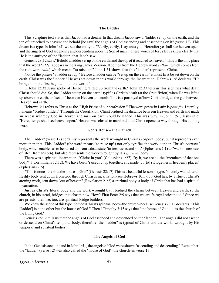### **The Ladder**

This Scripture text states that Jacob had a dream. In that dream Jacob saw a "ladder set up on the earth, and the top of it reached to heaven: and behold [he saw] the angels of God ascending and descending on it" (verse 12). This dream is a type. In John 1:51 we see the antitype: "Verily, verily, I say unto you, Hereafter ye shall see heaven open, and the angels of God ascending and descending upon the Son of man." These words of Jesus let us know clearly that He is the antitype of the "ladder" that Jacob saw.

Genesis 28:12 says,"Behold a ladder set up on the earth, and the top of it reached to heaven." This is the only place that the word *ladder* appears in the King James Version. It comes from the Hebrew word *cullam,* which comes from the root word *calal,* which means "to raise up." John 1:51 shows that this "ladder" represents Christ.

Notice the phrase "a ladder set up." Before a ladder can be "set up on the earth," it must first be set down on the earth. Christ was the "ladder." He was set down in this world through the Incarnation. Hebrews 1:6 declares, "He bringeth in the first begotten into the world."

In John 12:32 Jesus spoke of His being "lifted up from the earth." John 12:33 tells us this signifies what death Christ should die. So, the "ladder set up on the earth" typifies Christ's death (at the Crucifixion) when He was lifted up above the earth, or "set up" between Heaven and earth. This is a portrayal of how Christ bridged the gap between Heaven and earth.

Hebrews 3:1 refers to Christ as the "High Priest of our profession." The word *priest* in Latin is *pontifex.* Literally, it means "bridge builder." Through the Crucifixion, Christ bridged the distance between Heaven and earth and made an access whereby God in Heaven and man on earth could be united. This was why, in John 1:51, Jesus said, "Hereafter ye shall see heaven open." Heaven was closed to mankind until Christ opened a way through His atoning work.

### **God's House–The Church**

The "ladder" (verse 12) certainly represents the work wrought in Christ's corporal body, but it represents even more than that. This "ladder" (the word means "to raise up") not only typifies the work done in Christ's *corporal* body, which enables us to be raised up from a dead state "in trespasses and sins" (Ephesians 2:1) to "walk in newness of life" (Romans 6:4), but also represents the work wrought by His *spiritual* body.

There was a spiritual incarnation: "Christ in you" (Colossians 1:27). By it, we are all the "members of that one body" (1 Corinthians 12:12). We have been "raised . . . up together, and made . . . [to] sit together in heavenly places" (Ephesians 2:6).

"This is none other but the house of God" (Genesis 28:17).This is a beautiful lesson in type. Not only was a literal, fleshly body sent down from God through Christ's incarnation (see Hebrews 10:5), but God has, by virtue of Christ's atoning work, sent down "out of heaven" (Revelation 21:2) a spiritual body, a body of Christ that has had a spiritual incarnation.

Just as Christ's literal body and the work wrought by it bridged the chasm between Heaven and earth, so the church, in his stead, bridges that chasm now. How? First Peter 2:9 says that we are "a royal priesthood." Since we are priests, then we, too, are spiritual bridge builders.

We know the scope of this type includes Christ's spiritual body–the church–because Genesis 28:17 declares, "This ['ladder'] is none other but the house of God." Then 1Timothy 3:15 says that "the house of God . . . is the church of the living God."

Genesis 28:12 tells us that the angels of God ascended and descended on the "ladder." The angels did not ascend or descend on Christ's temporal body; therefore, the "ladder" is typical of Christ and the works wrought by His temporal and spiritual bodies.

### **The Angels of God**

In the Genesis account and in John 1:51, the angels of God were shown "ascending and descending." Remember, the "ladder" (verse 12) was also called the "house of God"–the church–in verse 17.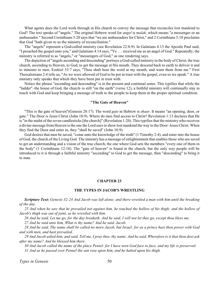<span id="page-52-0"></span>What agents does the Lord work through in His church to convey the message that reconciles lost mankind to God? The text speaks of "angels." The original Hebrew word for *angel* is *malak,* which means "a messenger or an ambassador." Second Corinthians 5:20 says that "we are ambassadors for Christ," and 2 Corinthians 5:18 proclaims that God "hath given to us the ministry of reconciliation."

The "angels" represent a God-called ministry (see Revelation 22:8-9). In Galatians 4:13 the Apostle Paul said, "I preached the gospel unto you," and Galatians 4:14 says, "Ye . . . received me as an angel of God." Repeatedly, the ministry is referred to as "angels," or "messengers of God," as one rendering says.

The depiction of "angels ascending and descending" portrays a God-called ministry in the body of Christ, the true church, ascending to Heaven, to God, to get the message at His mouth. They descend back to earth to deliver it and to minister to men. Ezekiel 33:7 says, "Thou shalt hear the word at my mouth, and warn them from me." First Thessalonians 2:4 tells us, "As we were allowed of God to be put in trust with the gospel, even so we speak." A true ministry only speaks that which they have been put in trust with.

Notice the phrase "ascending and descending" is in the present and continual sense. This typifies that while the "ladder"–the house of God, the church–is still "on the earth" (verse 12), a faithful ministry will continually stay in touch with God and keep bringing a message of truth to the people to keep them in the proper spiritual condition.

### **"The Gate of Heaven"**

"This is the gate of heaven"(Genesis 28:17). The word *gate* in Hebrew is *shaar*. It means "an opening, door, or gate." The Door is Jesus Christ (John 10:9). Where do men find access to Christ? Revelation 1:13 declares that He is "in the midst of the seven candlesticks [the church]" (Revelation 1:20). This typifies that the ministry who receives a divine message fromHeaven is the one the Lord uses to show lost mankind the way to the Door–Jesus Christ. When they find the Door and enter in, they "shall be saved" (John 10:9).

God desires that men be saved, "come unto the knowledge of the truth" (1 Timothy 2:4), and enter into the house of God, the church of the Living God. The ministry has a message of enlightenment that enables those who are saved to get an understanding and a vision of the true church, the one where God sets the members "every one of them in the body" (1 Corinthians 12:18). The "gate of heaven" is found in the church, but the only way people will be introduced to it is through a faithful ministry "ascending" to God to get the message, then "descending" to bring it to man.

### **CHAPTER 23**

### **THE TYPES IN JACOB'S WRESTLING**

*Scripture Text: Genesis 32:24 And Jacob was left alone; and there wrestled a man with him until the breaking of the day.*

*25 And when he saw that he prevailed not against him, he touched the hollow of his thigh; and the hollow of Jacob's thigh was out of joint, as he wrestled with him.*

*26 And he said, Let me go, for the day breaketh. And he said, I will not let thee go, except thou bless me.*

*27 And he said unto him, What is thy name? And he said, Jacob.*

*28 And he said, Thy name shall be called no more Jacob, but Israel: for as a prince hast thou power with God and with men, and hast prevailed.*

*29 And Jacob asked him, and said, Tell me, I pray thee, thy name. And he said, Wherefore is it that thou dost ask after my name? And he blessed him there.*

*30 And Jacob called the name of the place Peniel: for I have seen God face to face, and my life is preserved. 31 And as he passed over Penuel the sun rose upon him, and he halted upon his thigh.*

*Types in Genesis* 50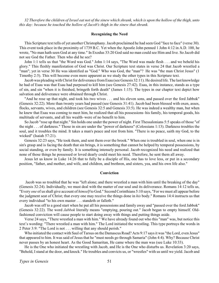*32 Therefore the children of Israel eat not of the sinew which shrank, which is upon the hollow of the thigh, unto this day: because he touched the hollow of Jacob's thigh in the sinew that shrank.*

### **Recognizing the Need**

This Scripture text tells of yet another Christophany.Jacob proclaimed he had seen God "face to face" (verse 30). This event took place in the proximity of 1739 B.C. Yet when the Apostle John penned 1 John 4:12 in A.D. 100, he wrote, "No man hath seen God at any time." In Exodus 33:20 God said no man could see Him and live. So Jacob did not see God the Father. Then who did he see?

John 1:1 tells us that "the Word was God." John 1:14 says, "The Word was made flesh . . . and we beheld his glory." This fleshly manifestation of God was Christ. Our Scripture text states in verse 24 that Jacob wrestled a "man"; yet in verse 30 He was identified as "God." Who was God, the "man"? He was "the man Christ Jesus" (1 Timothy 2:5). This will become even more apparent as we study the other types in this Scripture text.

Jacob was pleading with Christ for deliverance from Esau (see Genesis 32:11). He desired life. The last knowledge he had of Esau was that Esau had purposed to kill him (see Genesis 27:42). Esau, in this instance, stands as a type of sin, and sin "when it is finished, bringeth forth death" (James 1:15). The types in our chapter text depict how salvation and deliverance were obtained through Christ.

"And he rose up that night, and took his two wives . . . and his eleven sons, and passed over the ford Jabbok" (Genesis 32:22). More than twenty years had passed (see Genesis 31:41). Jacob had been blessed with oxen, asses, flocks, servants, wives, and children (see Genesis 32:5 and Genesis 33:5). He was indeed a wealthy man, but when he knew that Esau was coming to meet him, he realized that all his possessions–his family, his temporal goods, his multitude of servants, and all his wealth–were of no benefit to him.

So Jacob "rose up that night." Sin holds one under the power of night. First Thessalonians 5:5 speaks of those "of the night . . . of darkness." Those in sin are under the "power of darkness" (Colossians 1:13). Darkness troubles the soul, and it troubles the mind. It takes a man's peace and rest from him. "There is no peace, saith my God, to the wicked" (Isaiah 57:21).

Genesis 32:23 says, "He took them, and sent them over the brook." When one is troubled in soul, when one is in sin's grasp and is facing the death that sin brings, it is something that cannot be helped by temporal possessions, by social standing, or even by family. It is something intensely personal. Jacob recognized his need and realized that none of those things he possessed or loved dearly could meet his need. Therefore, he sent them all away.

Jesus let us know in Luke 14:26 that to fully be a disciple of His, one has to love less, or put in a secondary position, "father, and mother, and wife, and children, and brethren, and sisters, yea, and his own life also."

#### **Conviction**

 Jacob was so troubled that he was "left alone; and there wrestled a man with him until the breaking of the day" (Genesis 32:24). Individually, we must deal with the matter of our soul and its deliverance. Romans 14:12 tells us, "Every *one* of us shall give account of *himself* to God." Second Corinthians 5:10 says, "For we must all appear before the judgment seat of Christ; that every one may receive the things done in *his* body." Romans 14:4 instructs us that every individual "to his own master . . . standeth or falleth."

Jacob was off to a good start when he put all his possessions and family away and "passed over the ford Jabbok" (Genesis 32:22). The word *Jabbok* literally means "emptying, pouring out." Jacob began to empty himself. Oldfashioned conviction will cause people to start doing away with things and putting things aside.

Verse 24 says, "There wrestled a man with him." We have already found out who this "man" was, but notice this text's wording: "There wrestled a man with him." The Lord initiated the wrestling. This type portrays the words in 2 Peter 3:9: "The Lord is not . . . willing that any should perish."

Who initiated the contact with Saul of Tarsus on the Damascus Road? Acts 9:17 says it was "the Lord, even Jesus" that appeared to him. It was said of Jesus that he "must needs go through Samaria" (John 4:4). Why? Because Christ never passes by an honest heart. As the Good Samaritan, He came where the man was (see Luke 10:33).

He is the One who initiated the wrestling with Jacob, and He is the One who disturbs us. Revelation 3:20 says, "Behold, I stand at the door, and knock." He troubles and convicts us, or "wrestles" with us until we yield. Jacob and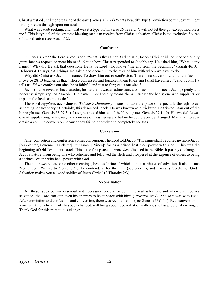Christ wrestled until the "breaking of the day" (Genesis 32:24).What a beautiful type! Conviction continues until light finally breaks through upon our souls.

What was Jacob seeking, and what was it a type of? In verse 26 he said, "I will not let thee go, except thou bless me." This is typical of the greatest blessing man can receive from Christ–salvation. Christ is the exclusive Source of our salvation (see Acts 4:12).

#### **Confession**

In Genesis 32:27 the Lord asked Jacob, "What is thy name? And he said, Jacob." Christ did not unconditionally grant Jacob's request or meet his need. Notice how Christ responded to Jacob's cry. He asked him, "What is thy name?" Why did He ask that question? He is the Lord who knows "the end from the beginning" (Isaiah 46:10). Hebrews 4:13 says, "All things are naked and opened unto the eyes of him with whom we have to do."

Why did Christ ask Jacob his name? To draw him out to confession. There is no salvation without confession. Proverbs 28:13 teaches us that "whoso confesseth and forsaketh them [their sins] shall have mercy"; and 1 John 1:9 tells us, "If we confess our sins, he is faithful and just to forgive us our sins."

Jacob's name revealed his character, his nature. It was an admission, a confession of his need. Jacob, openly and honestly, simply replied, "Jacob." The name *Jacob* literally means "he will trip up the heels; one who supplants, or trips up the heels as racers do."

The word *supplant*, according to *Webster's Dictionary* means "to take the place of, especially through force, scheming, or treachery." Certainly, this described Jacob. He was known as a trickster. He tricked Esau out of the birthright (see Genesis 25:29-34). Later, he tricked him out of the blessing (see Genesis 27:1-40). His whole life was one of supplanting, or trickery; and confession was necessary before he could ever be changed. Many fail to ever obtain a genuine conversion because they fail to honestly and completely confess.

### **Conversion**

After conviction and confession comes conversion. The Lord told Jacob,"Thy name shall be called no more Jacob [Supplanter, Schemer, Trickster], but Israel [Prince]: for as a prince hast thou power with God." This was the beginning of Old Testament Israel. This is the first place the word *Israel* is used in the Bible. It portrays a change in Jacob's nature: from being one who schemed and followed the flesh and prospered at the expense of others to being a "prince" or one who had "power with God."

The name *Israel* has some other meanings, besides "prince," which depict attributes of salvation. It also means "contender." We are to "contend," or be contenders, for the faith (see Jude 3); and it means "soldier of God." Salvation makes you a "good soldier of Jesus Christ" (2 Timothy 2:3).

### **Reconciliation**

All these types portray essential and necessary aspects for obtaining real salvation; and when one receives salvation, the Lord "maketh even his enemies to be at peace with him" (Proverbs 16:7). And so it was with Esau. After conviction and confession and conversion, there was reconciliation (see Genesis 33:1-11). Real conversion in a man's nature, when it truly has been changed, will bring about reconciliation with ones he has previously wronged. Thank God for this miraculous change!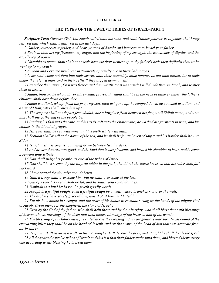# **THE TYPES OF THE TWELVE TRIBES OF ISRAEL–PART 1**

<span id="page-55-0"></span>*Scripture Text: Genesis 49:1 And Jacob called unto his sons, and said, Gather yourselves together, that I may tell you that which shall befall you in the last days.*

*2 Gather yourselves together, and hear, ye sons of Jacob; and hearken unto Israel your father.*

*3 Reuben, thou art my firstborn, my might, and the beginning of my strength, the excellency of dignity, and the excellency of power:*

*4 Unstable as water, thou shalt not excel; because thou wentest up to thy father's bed; then defiledst thou it: he went up to my couch.*

*5 Simeon and Levi are brethren; instruments of cruelty are in their habitations.*

*6 O my soul, come not thou into their secret; unto their assembly, mine honour, be not thou united: for in their anger they slew a man, and in their selfwill they digged down a wall.*

*7 Cursed be their anger, for it was fierce; and their wrath, for it was cruel: I will divide them in Jacob, and scatter them in Israel.*

*8 Judah, thou art he whom thy brethren shall praise: thy hand shall be in the neck of thine enemies; thy father's children shall bow down before thee.*

*9 Judah is a lion's whelp: from the prey, my son, thou art gone up: he stooped down, he couched as a lion, and as an old lion; who shall rouse him up?*

*10 The sceptre shall not depart from Judah, nor a lawgiver from between his feet, until Shiloh come; and unto him shall the gathering of the people be.*

*11 Binding his foal unto the vine, and his ass's colt unto the choice vine; he washed his garments in wine, and his clothes in the blood of grapes:*

*12 His eyes shall be red with wine, and his teeth white with milk.*

*13 Zebulun shall dwell at the haven of the sea; and he shall be for an haven of ships; and his border shall be unto Zidon.*

*14 Issachar is a strong ass couching down between two burdens:*

*15 And he saw that rest was good, and the land that it was pleasant; and bowed his shoulder to bear, and became a servant unto tribute.*

*16 Dan shall judge his people, as one of the tribes of Israel.*

*17 Dan shall be a serpent by the way, an adder in the path, that biteth the horse heels, so that his rider shall fall backward.*

*18 I have waited for thy salvation, O LORD.*

*19 Gad, a troop shall overcome him: but he shall overcome at the last.*

*20 Out of Asher his bread shall be fat, and he shall yield royal dainties.*

*21 Naphtali is a hind let loose: he giveth goodly words.*

*22 Joseph is a fruitful bough, even a fruitful bough by a well; whose branches run over the wall:*

*23 The archers have sorely grieved him, and shot at him, and hated him:*

*24 But his bow abode in strength, and the arms of his hands were made strong by the hands of the mighty God of Jacob; (from thence is the shepherd, the stone of Israel:)*

*25 Even by the God of thy father, who shall help thee; and by the Almighty, who shall bless thee with blessings of heaven above, blessings of the deep that lieth under, blessings of the breasts, and of the womb:*

*26 The blessings of thy father have prevailed above the blessings of my progenitors unto the utmost bound of the everlasting hills: they shall be on the head of Joseph, and on the crown of the head of him that was separate from his brethren.*

*27 Benjamin shall ravin as a wolf: in the morning he shall devourthe prey, and at night he shall divide the spoil. 28 All these are the twelve tribes of Israel: and this is it that their father spake unto them, and blessed them; every one according to his blessing he blessed them.*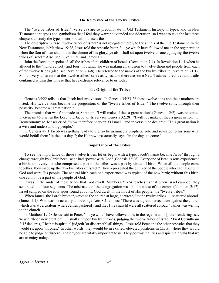### **The Relevance of the Twelve Tribes**

The "twelve tribes of Israel" (verse 28) are so predominate in Old Testament history, in types, and in New Testament antitypes and symbolism that I feel they warrant extended consideration; so I want to take the last three chapters to study the types incorporated in these tribes.

The descriptive phrase "twelve tribes of Israel" is not relegated merely to the annals of the Old Testament. In the New Testament, in Matthew 19:28, Jesus told the Apostle Peter, ". . . ye which have followed me, in the regeneration when the Son of man shall sit in the throne of his glory, ye also shall sit upon twelve thrones, judging the twelve tribes of Israel." Also, see Luke 22:30 and James 1:1.

John the Revelator spoke of "all the tribes of the children of Israel" (Revelation 7:4). In Revelation 14:1 when he alluded to the "hundred forty and four thousand," he was making an allusion to twelve thousand people from each of the twelve tribes (also, see Revelation 7:4-8). He referred to the names of the twelve tribes in Revelation 21:12. So, it is very apparent that the "twelve tribes" serve as types, and there are some New Testament realities and truths contained within this phrase that have extreme relevance to us today.

#### **The Origin of the Tribes**

Genesis 35:22 tells us that Jacob had twelve sons. In Genesis 35:23-26 these twelve sons and their mothers are listed. His twelve sons became the progenitors of the "twelve tribes of Israel." The twelve sons, through their posterity, became a "great nation."

The promise that was first made to Abraham–"I will make of thee a great nation" (Genesis 12:2)–was reiterated in Genesis 46:3 when the Lord told Jacob, or Israel (see Genesis 32:28), "I will . . . make of thee a great nation." In Deuteronomy 4:1Moses cried, "Now therefore hearken, O Israel"; and in verse 6 he declared, "This great nation is a wise and understanding people."

In Genesis 49:1 Jacob was getting ready to die, so he assumed a prophetic role and revealed to his sons what would befall them "in the last days"; the Hebrew text actually says, "in the days to come."

### **Importance of the Tribes**

To see the importance of these twelve tribes, let us begin with a type. Jacob's name became *Israel* through a change wrought by Christ because he had "power with God" (Genesis 32:28). Every one of Israel's sons experienced a birth, and everyone who comprised a part in the tribes was a part by virtue of birth. When all the people came together, they made up the "twelve tribes of Israel." They represented the entirety of the people who had favor with God and were His people. The natural birth each one experienced was typical of the new birth; without this birth, one cannot be a part of the people of God.

It was in the midst of these tribes that God dwelt. Numbers 2:1-34 teaches us that when Israel camped, they separated into four segments. The tabernacle of the congregation was "in the midst of the camp" (Numbers 2:17). Israel camped on the four sides round about it; God dwelt in the midst of His people, the "twelve tribes."

When James, the Lord's brother, wrote to the church at large, he wrote, "to the twelve tribes . . . scattered abroad" (James 1:1). Who was he actually addressing? Acts 8:1 tells us: "There was a great persecution against the church which was at Jerusalem [where James pastored]; and they [the church] were all scattered abroad." James was writing to the church.

In Matthew 19:28 Jesus said to Peter, ". . . ye which have followed me, in the regeneration [other renderings say 'new birth' or 'new creation'] . . . shall sit upon twelve thrones, judging the twelve tribes of Israel." First Corinthians 2:15 declares, "He that is spiritual judgeth [or discerneth] all things." Jesus told Peter and the other Apostles that they would sit upon "thrones." In other words, they would be in exalted, elevated positions in Christ, where they would be able to judge or discern. These types are vitally important to us. They portray realities and spiritual truths that we are to enjoy today.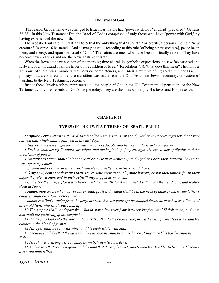### **The Israel of God**

<span id="page-57-0"></span> The reason Jacob's name was changed to Israel was that he had "power with God" and had "prevailed" (Genesis 32:28). In this New Testament Era, the Israel of God is comprised of only those who have "power with God," by having experienced the new birth.

The Apostle Paul said in Galatians 6:15 that the only thing that "availeth," or profits, a person is being a "new creature." In verse 16 he stated, "And as many as walk according to this rule [of being a new creature], peace be on them, and mercy, and upon the Israel of God." The saints are ones who have been spiritually reborn. They have become new creatures and are the New Testament Israel.

When the Revelator saw a vision of the morning-time church in symbolic expressions, he saw "an hundred and forty and four thousand of all the tribes of the children of Israel" (Revelation 7:4). What does this mean? The number 12 is one of the biblical numbers that portrays completeness, and 144 is a multiple of 12; so the number 144,000 portrays that a complete and entire transition was made from the Old Testament Jewish economy, or system of worship, to the New Testament economy.

Just as those "twelve tribes" represented all the people of God in the Old Testament dispensation, so the New Testament church represents all God's people today. They are the ones who enjoy His favor and His presence.

### **CHAPTER 25**

### **TYPES OF THE TWELVE TRIBES OF ISRAEL–PART 2**

*Scripture Text: Genesis 49:1 And Jacob called unto his sons, and said, Gather yourselves together, that I may tell you that which shall befall you in the last days.*

*2 Gather yourselves together, and hear, ye sons of Jacob; and hearken unto Israel your father.*

*3 Reuben, thou art my firstborn, my might, and the beginning of my strength, the excellency of dignity, and the excellency of power:*

*4 Unstable as water, thou shalt not excel; because thou wentest up to thy father's bed; then defiledst thou it: he went up to my couch.*

*5 Simeon and Levi are brethren; instruments of cruelty are in their habitations.*

*6 O my soul, come not thou into their secret; unto their assembly, mine honour, be not thou united: for in their anger they slew a man, and in their selfwill they digged down a wall.*

*7 Cursed be their anger, for it was fierce; and their wrath, for it was cruel: I will divide them in Jacob, and scatter them in Israel.*

*8 Judah, thou art he whom thy brethren shall praise: thy hand shall be in the neck of thine enemies; thy father's children shall bow down before thee.*

*9 Judah is a lion's whelp: from the prey, my son, thou art gone up: he stooped down, he couched as a lion, and as an old lion; who shall rouse him up?*

*10 The sceptre shall not depart from Judah, nor a lawgiver from between his feet, until Shiloh come; and unto him shall the gathering of the people be.*

*11 Binding his foal unto the vine, and his ass's colt unto the choice vine; he washed his garments in wine, and his clothes in the blood of grapes:*

*12 His eyes shall be red with wine, and his teeth white with milk.*

*13 Zebulun shall dwell at the haven of the sea; and he shall be for an haven of ships; and his border shall be unto Zidon.*

*14 Issachar is a strong ass couching down between two burdens:*

*15 And he saw that rest was good, and the land that it was pleasant; and bowed his shoulder to bear, and became a servant unto tribute.*

*Types in Genesis* 55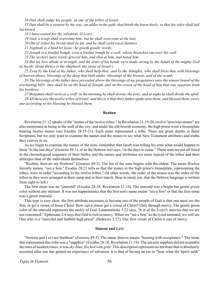*16 Dan shall judge his people, as one of the tribes of Israel.*

*17 Dan shall be a serpent by the way, an adder in the path, that biteth the horse heels, so that his rider shall fall backward.*

*18 I have waited for thy salvation, O LORD.*

*19 Gad, a troop shall overcome him: but he shall overcome at the last.*

*20 Out of Asher his bread shall be fat, and he shall yield royal dainties.*

*21 Naphtali is a hind let loose: he giveth goodly words.*

*22 Joseph is a fruitful bough, even a fruitful bough by a well; whose branches run over the wall:*

*23 The archers have sorely grieved him, and shot at him, and hated him:*

*24 But his bow abode in strength, and the arms of his hands were made strong by the hands of the mighty God of Jacob; (from thence is the shepherd, the stone of Israel:)*

*25 Even by the God of thy father, who shall help thee; and by the Almighty, who shall bless thee with blessings of heaven above, blessings of the deep that lieth under, blessings of the breasts, and of the womb:*

*26 The blessings of thy father have prevailed above the blessings of my progenitors unto the utmost bound of the everlasting hills: they shall be on the head of Joseph, and on the crown of the head of him that was separate from his brethren.*

*27 Benjamin shall ravin as a wolf: in the morning he shall devour the prey, and at night he shall divide the spoil. 28 All these are the twelve tribes of Israel: and this is it that their father spake unto them, and blessed them; every one according to his blessing he blessed them.*

#### **Reuben**

Revelation 21:12 speaks of the "names of the twelve tribes." In Revelation 21:19-20, twelve "precious stones" are also mentioned as being in the wall of the city; and under the old Jewish economy, the high priest wore a breastplate bearing twelve stones (see Exodus 28:15-21). Each stone represented a tribe. There are great depths in these Scriptures, but we only want to examine the names and the stones to see what New Testament attributes and truths they convey to us.

As we begin to examine the names of the sons, remember that Jacob was telling his sons what would happen to them "in the last days" (Genesis 49:1), or as the Hebrew text says, "in the days to come." These sons are not all listed in the chronological sequence of their births, and the names and attributes are more typical of the tribes and their antitypes than of the individuals themselves.

"Reuben, thou art my firstborn" (Genesis 49:3). The list of the sons begins with the oldest. The name *Reuben* literally means, "see a Son." Exodus 28:21 tells us that the stones in the high priest's breastplate, representing the tribes, were in order "according to the twelve tribes." (In other words, the order of the stones was the order of the tribes as they were arranged in their camp and in their march. Bear in mind, too, that the Hebrew language is written from right to left.)

The first stone was an "emerald" (Exodus 28:18; Revelation 21:19). The emerald was a bright but gentle *green* color without any mixture. It was not happenstance that the first son's name meant "see a Son" or that the first stone was a green emerald.

This type is very clear: the first attribute necessary to become one of the people of God is that one must see the Son, or get a vision of Jesus Christ. How can a sinner get a vision of Christ? Only through mercy. The gentle green color of the emerald represents the mercy of God. Lamentations 3:22 says, "It is of the LORD'S mercies that we are not consumed." Ephesians 2:4 says that God is rich in mercy. When we "see a Son" as the Lord intended, we will see One who is a "merciful and faithful high priest" (Hebrews 2:17). Our first vision of Christ is one of mercy.

### **Simeon and Levi**

"Simeon and Levi are brethren" (Genesis 49:5). The name *Simeon* means "hearing with acceptance." The stone that represented this tribe was a "sapphire" (Exodus 28:18; Revelation 21:19). The ancient sapphire did not resemble the ones of modern times; it was *sky-blue, flecked with gold.* This description represents an attribute that is absolutely essential after one has gained an experience of salvation. It is that of having an ear to "hear what the Spirit saith"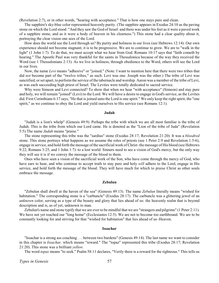(Revelation 2:7), or in other words, "hearing with acceptance." That is how one stays pure and clean.

The sapphire's sky-blue color represented heavenly purity. (The sapphire appears in Exodus 24:10 as the paving stone on which the Lord stood: "And they saw the God of Israel: and there was under his feet as it were a paved work of a sapphire stone, and as it were a body of heaven in his clearness.") This stone had a clear quality about it, portraying the clear vision one sees of the Lord.

How does the world see the Lord through us? By purity and holiness in our lives (see Hebrews 12:14). Our own experience should not become stagnant; it is to be progressive. We are to continue to grow. We are to "walk in the light" (1 John 1:7). To do that, we must accept what we hear from God. Romans 10:17 says that "faith cometh by hearing." The Apostle Paul was very thankful for the saints in Thessalonica because of the way they received the Word (see 1 Thessalonians 2:13). As we live in holiness, through obedience to the Word, others will see the Lord in our lives.

Now, the name *Levi* means "adhesive" or "joined." (Note: I want to mention here that there were two tribes that did *not* become part of the "twelve tribes," as such. Levi was one. Joseph was the other.) The tribe of Levi was sanctified, or set apart, to perform the service of the tabernacle and worship. Aaron was a member of the tribe of Levi, as was each succeeding high priest of Israel. The Levites were totally dedicated to sacred service.

Why were Simeon and Levi connected? To show that when we hear "with acceptance" (Simeon) and stay pure and holy, we will remain "joined" (Levi) to the Lord. We will have a desire to engage in God's service, as the Levites did. First Corinthians 6:17 says, "He that is joined unto the Lord is one spirit." We only keep the right spirit, the "one spirit," as we continue to obey the Lord and yield ourselves to His service (see Romans 12:1).

#### **Judah**

"Judah is a lion's whelp" (Genesis 49:9). Perhaps the tribe with which we are all most familiar is the tribe of Judah. This is the tribe from which our Lord came. He is denoted as the "Lion of the tribe of Juda" (Revelation 5:5).The name *Judah* means "praise."

The stone representing this tribe was the "sardius" stone (Exodus 28:17; Revelation 21:20). It was a *bloodred* stone. This stone portrays what happens as we assume the roles of priests (see 1 Peter 2:9 and Revelation 1:5-6), engage in service, and hold forth the message of the sacrificial work of Christ–the message of His blood (see Hebrews 9:22, Romans 3:25, and 1 John 1:7)–to a lost world. Sinners need to see a vision of God's mercy, but the only way they will see it is if we convey the message of the blood to them.

Ones who have seen a vision of the sacrificial work of the Son, who have come through the mercy of God, who have ears to hear, and who continue to accept truth to stay pure and holy *will* adhere to the Lord, engage in His service, and hold forth the message of the blood. They will have much for which to praise Christ as other souls embrace the message.

### **Zebulun**

"Zebulun shall dwell at the haven of the sea" (Genesis 49:13). The name *Zebulun* literally means "wished for habitation." The corresponding stone is a "carbuncle" (Exodus 28:17). The carbuncle was a glittering jewel of an *unknown* color, serving as a type of the beauty and glory that lies ahead of us: the heavenly realm that is beyond description and is, as of yet, unknown to man.

Zebulun's name and stone typify that we are ever to be mindful that we are "strangers and pilgrims" (1 Peter 2:11). We have not yet reached our "long home" (Ecclesiastes 12:5). We are not to become too earthbound. We are to be constantly looking for and striving for that "wished for habitation" that lies ahead of us–Heaven.

#### **Issachar**

"Issachar is a strong ass couching . . . between two burdens" (Genesis 49:14). The last name we want to consider in this chapter is *Issachar,* which means "reward." The "topaz" represented this tribe (Exodus 28:17; Revelation 21:20). This stone was a brilliant *yellow.*

The word *topaz* means "to seek." Psalm 58:11 declares, "Verily there is a reward for the righteous." This tells us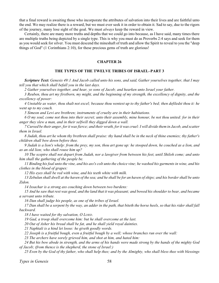<span id="page-60-0"></span>that a final reward is awaiting those who incorporate the attributes of salvation into their lives and are faithful unto the end. We may realize there is a reward, but we must ever seek it in order to obtain it. Sad to say, due to the rigors of the journey, many lose sight of the goal. We must *always* keep the reward in view.

Certainly, there are many more truths and depths that we could go into because, as I have said, many times there are multiple truths being depicted by a single type. This is why you must do as Proverbs 2:4 says and seek for them as you would seek for silver. You must descend the mineshaft of truth and allow the Spirit to reveal to you the "deep things of God" (1 Corinthians 2:10), for these precious gems of truth are glorious!

### **CHAPTER 26**

# **THE TYPES OF THE TWELVE TRIBES OF ISRAEL–PART 3**

*Scripture Text: Genesis 49:1 And Jacob called unto his sons, and said, Gather yourselves together, that I may tell you that which shall befall you in the last days.*

*2 Gather yourselves together, and hear, ye sons of Jacob; and hearken unto Israel your father.*

*3 Reuben, thou art my firstborn, my might, and the beginning of my strength, the excellency of dignity, and the excellency of power:*

*4 Unstable as water, thou shalt not excel; because thou wentest up to thy father's bed; then defiledst thou it: he went up to my couch.*

*5 Simeon and Levi are brethren; instruments of cruelty are in their habitations.*

*6 O my soul, come not thou into their secret; unto their assembly, mine honour, be not thou united: for in their anger they slew a man, and in their selfwill they digged down a wall.*

*7 Cursed be their anger, for it was fierce; and their wrath, for it was cruel: I will divide them in Jacob, and scatter them in Israel.*

*8 Judah, thou art he whom thy brethren shall praise: thy hand shall be in the neck of thine enemies; thy father's children shall bow down before thee.*

*9 Judah is a lion's whelp: from the prey, my son, thou art gone up: he stooped down, he couched as a lion, and as an old lion; who shall rouse him up?*

*10 The sceptre shall not depart from Judah, nor a lawgiver from between his feet, until Shiloh come; and unto him shall the gathering of the people be.*

*11 Binding his foal unto the vine, and his ass's colt unto the choice vine; he washed his garments in wine, and his clothes in the blood of grapes:*

*12 His eyes shall be red with wine, and his teeth white with milk.*

*13 Zebulun shall dwell at the haven of the sea; and he shall be for an haven of ships; and his border shall be unto Zidon.*

*14 Issachar is a strong ass couching down between two burdens:*

*15 And he saw that rest was good, and the land that it was pleasant; and bowed his shoulder to bear, and became a servant unto tribute.*

*16 Dan shall judge his people, as one of the tribes of Israel.*

*17 Dan shall be a serpent by the way, an adder in the path, that biteth the horse heels, so that his rider shall fall backward.*

*18 I have waited for thy salvation, O LORD.*

*19 Gad, a troop shall overcome him: but he shall overcome at the last.*

*20 Out of Asher his bread shall be fat, and he shall yield royal dainties.*

*21 Naphtali is a hind let loose: he giveth goodly words.*

*22 Joseph is a fruitful bough, even a fruitful bough by a well; whose branches run over the wall:*

*23 The archers have sorely grieved him, and shot at him, and hated him:*

*24 But his bow abode in strength, and the arms of his hands were made strong by the hands of the mighty God of Jacob; (from thence is the shepherd, the stone of Israel:)*

*25 Even by the God of thy father, who shall help thee; and by the Almighty, who shall bless thee with blessings*

*Types in Genesis* 58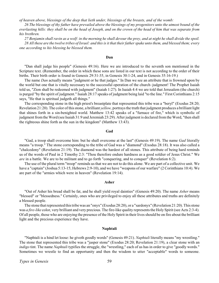*of heaven above, blessings of the deep that lieth under, blessings of the breasts, and of the womb:*

*26 The blessings of thy father have prevailed above the blessings of my progenitors unto the utmost bound of the everlasting hills: they shall be on the head of Joseph, and on the crown of the head of him that was separate from his brethren.*

*27 Benjamin shall ravin as a wolf: in the morning he shall devour the prey, and at night he shall divide the spoil. 28 All these are the twelve tribes of Israel: and this is it that their father spake unto them, and blessed them; every one according to his blessing he blessed them.*

# **Dan**

"Dan shall judge his people" (Genesis 49:16). Here we are introduced to the seventh son mentioned in the Scripture text. (Remember, the order in which these sons are listed in our text is not according to the order of their births. Their birth order is found in Genesis 29:31-35, in Genesis 30:1-24, and in Genesis 35:16-19.)

The name *Dan* actually means "judgment or he that judges." In Dan we see an attribute that is frowned upon by the world but one that is vitally necessary to the successful operation of the church–judgment! The Prophet Isaiah told us, "Zion shall be redeemed with judgment" (Isaiah 1:27). In Isaiah 4:4 we are told that Jerusalem (the church) is purged "by the spirit of judgment." Isaiah 28:17 speaks of judgment being laid "to the line." First Corinthians 2:15 says, "He that is spiritual judgeth all things."

The corresponding stone in the high priest's breastplate that represented this tribe was a "beryl" (Exodus 28:20; Revelation 21:20). The color of this stone, a brilliant *yellow,* portrays the truth that judgment produces a brilliant light that shines forth in a sin-benighted world. Matthew 13:42 speaks of a "furnace of fire," which is symbolic of judgment from the Word (see Isaiah 31:9 and Jeremiah 23:29). After judgment is declared from the Word, "then shall the righteous shine forth as the sun in the kingdom" (Matthew 13:43).

### **Gad**

"Gad, a troop shall overcome him: but he shall overcome at the last" (Genesis 49:19). The name *Gad* literally means "a troop." The stone corresponding to the tribe of Gad was a "diamond" (Exodus 28:18). It was also called a "chalcedony" (Revelation 21:19). The diamond was the hardest of all stones. This attribute of being hard reminds us of the words of Paul in 2 Timothy 2:3: "Thou therefore endure hardness as a good soldier of Jesus Christ." We *are* in a battle. We are to be militant and to go forth "conquering, and to conquer" (Revelation 6:2).

The use of the plural term "troop" reminds usthat we are not to do this alone. We are part of a collective unit. We have a "captain" (Joshua 5:13-15; Hebrews 2:9-10), and we have "weapons of our warfare" (2 Corinthians 10:4). We are part of the "armies which were in heaven" (Revelation 19:14).

### **Asher**

"Out of Asher his bread shall be fat, and he shall yield royal dainties" (Genesis 49:20). The name *Asher* means "blessed" or "blessedness." Certainly, ones who are privileged to enjoy all these attributes and truths are definitely a blessed people.

The stone that represented this tribe was an "onyx" (Exodus 28:20), or a "sardonyx" (Revelation 21:20). This stone was *a fire-like* color, very brilliant and very precious. The fire-like quality represents the Holy Spirit (see Acts 2:3-4). Of all people, those who are enjoying the presence of the Holy Spirit in their lives should be on fire about the brilliant light and the precious experience they have.

### **Naphtali**

"Naphtali is a hind let loose: he giveth goodly words" (Genesis 49:21). *Naphtali* literally means "my wrestling." The stone that represented this tribe was a "jasper stone" (Exodus 28:20; Revelation 21:19), a clear stone with an *indigo* tint. The name *Naphtali* typifies the struggle, the "wrestling," each of us has in order to give "goodly words." Sometimes we wrestle to find an opportunity and then the wisdom to utter "acceptable" words to someone.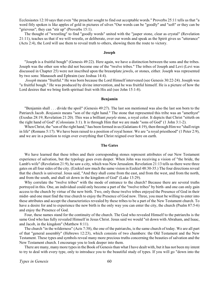Ecclesiastes 12:10 says that even "the preacher sought to find out acceptable words." Proverbs 25:11 tells us that "a word fitly spoken is like apples of gold in pictures of silver."Our words can be "goodly" and "soft" or they can be "grievous"; they can "stir up" (Proverbs 15:1).

The thought of "wrestling" to find "goodly words" united with the "jasper stone, clear as crystal" (Revelation 21:11), teaches us that if we will wrestle, or deliberate, over our words and speak as the Spirit gives us "utterance" (Acts 2:4), the Lord will use them to reveal truth to others, showing them the route to victory.

### **Joseph**

"Joseph is a fruitful bough" (Genesis 49:22). Here again, we have a distinction between the sons and the tribes. Joseph was the other son who did not become one of the "twelve tribes." The tribes of Joseph and Levi (Levi was discussed in Chapter 25) were not inscribed upon the breastplate jewels, or stones, either. Joseph was represented by two sons: Manasseh and Ephraim (see Joshua 14:4).

*Joseph* means "fruitful." He was born because the Lord Himself intervened (see Genesis 30:22-24). Joseph was "a fruitful bough." He was produced by divine intervention, and he was fruitful himself. He is a picture of how the Lord desires that we bring forth spiritual fruit with His aid (see John 15:1-8).

#### **Benjamin**

"Benjamin shall . . . divide the spoil" (Genesis 49:27). The last son mentioned was also the last son born to the Patriarch Jacob. *Benjamin* means "son of the right hand." The stone that represented this tribe was an "amethyst" (Exodus 28:19; Revelation 21:20). This was a brilliant *purple* stone, a royal color. It depicts that Christ "sitteth on the right hand of God" (Colossians 3:1). It is through Him that we are made "sons of God" (1 John 3:1-2).

When Christ, the "son of the right hand," has been formed in us (Galatians 4:19), then through Him we "shall reign in life" (Romans 5:17). We have been raised to a position of royal honor. We are "a royal priesthood" (1 Peter 2:9), and we are in a position to reign over everything that Christ reigned over here on earth.

### **The Gates**

We have learned that these tribes and their corresponding stones represent attributes of our New Testament experience of salvation, but the typology goes even deeper. When John was receiving a vision of "the bride, the Lamb's wife" (Revelation 21:9), he saw a city, which was New Jerusalem. Revelation 21:13 tells us there were three gates on all four sides of the city. (Ezekiel saw much the same vision in Ezekiel 48:30-35.) The four directions reveal that the church is universal. Jesus said, "And they shall come from the east, and from the west, and from the north, and from the south, and shall sit down in the kingdom of God" (Luke 13:29).

Why correlate the "twelve tribes" with the mode of entrance to the church? Because there are several truths portrayed in this. One, an individual could only become a part of the "twelve tribes" by birth–and one can only gain access to the church by virtue of the new birth. Two, only those twelve tribes enjoyed the Presence of God in their midst–and one must find the true church to enjoy the Presence of God now. Three, you must be willing to enter into these attributes and accept the characteristics revealed by these tribes to be a part of the New Testament church. To have a desire for and to experience the new birth is the only way you can enter the city, the church (Psalm 87:5-6) and enjoy the Presence of God.

Four, these names stand for the continuity of the church. The God who revealed Himself to the patriarchs is the same God who has fully revealed Himself in Jesus Christ. Jesus said we would "sit down with Abraham, and Isaac, and Jacob, in the kingdom" (Matthew 8:11).

The church "in the wilderness" (Acts 7:38), the one of the patriarchs, is the same church of today. We are all part of that "general assembly" (Hebrews 12:23), which consists of two chambers: the Old Testament and the New Testament. These types and symbols reveal many more precious truths concerning the beauties of salvation and the New Testament church. I encourage you to look deeper into them.

There are many, many more types in the Book of Genesis than what I have dealt with, but it has not been my intent to try to deal with every type, only to introduce you to the beautiful study of types. If you will go "down into the